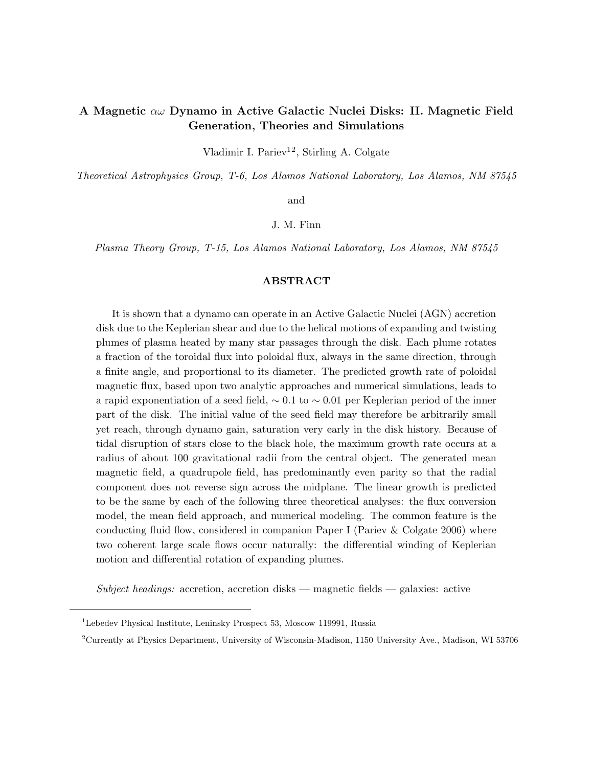# A Magnetic αω Dynamo in Active Galactic Nuclei Disks: II. Magnetic Field Generation, Theories and Simulations

Vladimir I. Pariev<sup>12</sup>, Stirling A. Colgate

Theoretical Astrophysics Group, T-6, Los Alamos National Laboratory, Los Alamos, NM 87545

and

J. M. Finn

Plasma Theory Group, T-15, Los Alamos National Laboratory, Los Alamos, NM 87545

# ABSTRACT

It is shown that a dynamo can operate in an Active Galactic Nuclei (AGN) accretion disk due to the Keplerian shear and due to the helical motions of expanding and twisting plumes of plasma heated by many star passages through the disk. Each plume rotates a fraction of the toroidal flux into poloidal flux, always in the same direction, through a finite angle, and proportional to its diameter. The predicted growth rate of poloidal magnetic flux, based upon two analytic approaches and numerical simulations, leads to a rapid exponentiation of a seed field,  $\sim 0.1$  to  $\sim 0.01$  per Keplerian period of the inner part of the disk. The initial value of the seed field may therefore be arbitrarily small yet reach, through dynamo gain, saturation very early in the disk history. Because of tidal disruption of stars close to the black hole, the maximum growth rate occurs at a radius of about 100 gravitational radii from the central object. The generated mean magnetic field, a quadrupole field, has predominantly even parity so that the radial component does not reverse sign across the midplane. The linear growth is predicted to be the same by each of the following three theoretical analyses: the flux conversion model, the mean field approach, and numerical modeling. The common feature is the conducting fluid flow, considered in companion Paper I (Pariev & Colgate 2006) where two coherent large scale flows occur naturally: the differential winding of Keplerian motion and differential rotation of expanding plumes.

 $Subject$  headings: accretion, accretion disks — magnetic fields — galaxies: active

 $^{1}$  Lebedev Physical Institute, Leninsky Prospect 53, Moscow 119991, Russia

<sup>2</sup>Currently at Physics Department, University of Wisconsin-Madison, 1150 University Ave., Madison, WI 53706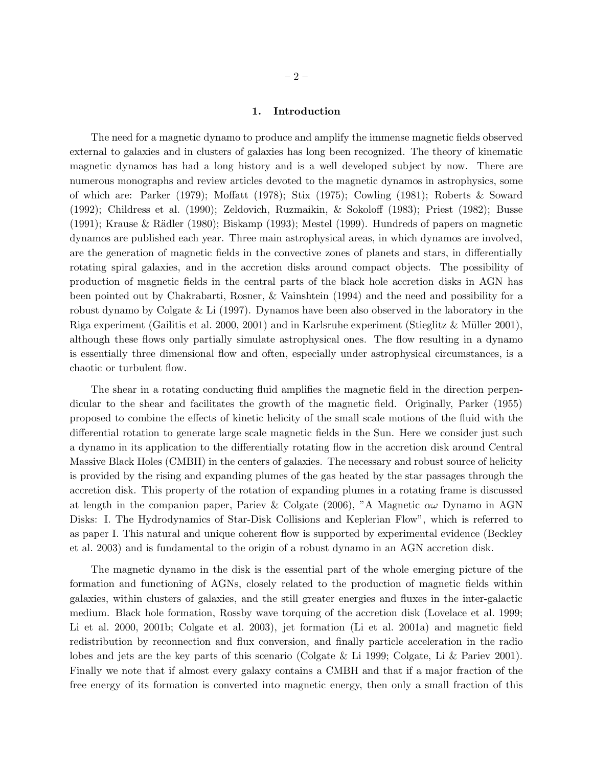## 1. Introduction

The need for a magnetic dynamo to produce and amplify the immense magnetic fields observed external to galaxies and in clusters of galaxies has long been recognized. The theory of kinematic magnetic dynamos has had a long history and is a well developed subject by now. There are numerous monographs and review articles devoted to the magnetic dynamos in astrophysics, some of which are: Parker (1979); Moffatt (1978); Stix (1975); Cowling (1981); Roberts & Soward (1992); Childress et al. (1990); Zeldovich, Ruzmaikin, & Sokoloff (1983); Priest (1982); Busse  $(1991)$ ; Krause & Rädler  $(1980)$ ; Biskamp  $(1993)$ ; Mestel  $(1999)$ . Hundreds of papers on magnetic dynamos are published each year. Three main astrophysical areas, in which dynamos are involved, are the generation of magnetic fields in the convective zones of planets and stars, in differentially rotating spiral galaxies, and in the accretion disks around compact objects. The possibility of production of magnetic fields in the central parts of the black hole accretion disks in AGN has been pointed out by Chakrabarti, Rosner, & Vainshtein (1994) and the need and possibility for a robust dynamo by Colgate & Li (1997). Dynamos have been also observed in the laboratory in the Riga experiment (Gailitis et al. 2000, 2001) and in Karlsruhe experiment (Stieglitz & Müller 2001), although these flows only partially simulate astrophysical ones. The flow resulting in a dynamo is essentially three dimensional flow and often, especially under astrophysical circumstances, is a chaotic or turbulent flow.

The shear in a rotating conducting fluid amplifies the magnetic field in the direction perpendicular to the shear and facilitates the growth of the magnetic field. Originally, Parker (1955) proposed to combine the effects of kinetic helicity of the small scale motions of the fluid with the differential rotation to generate large scale magnetic fields in the Sun. Here we consider just such a dynamo in its application to the differentially rotating flow in the accretion disk around Central Massive Black Holes (CMBH) in the centers of galaxies. The necessary and robust source of helicity is provided by the rising and expanding plumes of the gas heated by the star passages through the accretion disk. This property of the rotation of expanding plumes in a rotating frame is discussed at length in the companion paper, Pariev & Colgate (2006), "A Magnetic  $\alpha\omega$  Dynamo in AGN Disks: I. The Hydrodynamics of Star-Disk Collisions and Keplerian Flow", which is referred to as paper I. This natural and unique coherent flow is supported by experimental evidence (Beckley et al. 2003) and is fundamental to the origin of a robust dynamo in an AGN accretion disk.

The magnetic dynamo in the disk is the essential part of the whole emerging picture of the formation and functioning of AGNs, closely related to the production of magnetic fields within galaxies, within clusters of galaxies, and the still greater energies and fluxes in the inter-galactic medium. Black hole formation, Rossby wave torquing of the accretion disk (Lovelace et al. 1999; Li et al. 2000, 2001b; Colgate et al. 2003), jet formation (Li et al. 2001a) and magnetic field redistribution by reconnection and flux conversion, and finally particle acceleration in the radio lobes and jets are the key parts of this scenario (Colgate & Li 1999; Colgate, Li & Pariev 2001). Finally we note that if almost every galaxy contains a CMBH and that if a major fraction of the free energy of its formation is converted into magnetic energy, then only a small fraction of this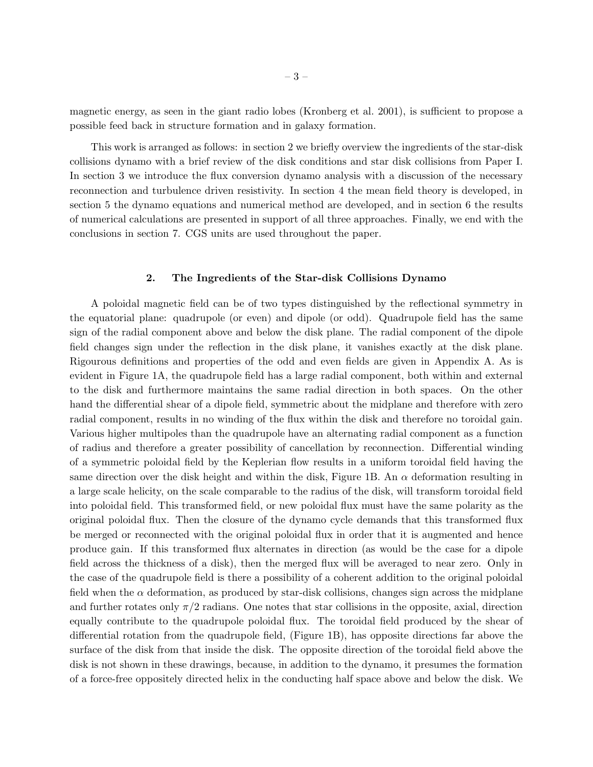magnetic energy, as seen in the giant radio lobes (Kronberg et al. 2001), is sufficient to propose a possible feed back in structure formation and in galaxy formation.

This work is arranged as follows: in section 2 we briefly overview the ingredients of the star-disk collisions dynamo with a brief review of the disk conditions and star disk collisions from Paper I. In section 3 we introduce the flux conversion dynamo analysis with a discussion of the necessary reconnection and turbulence driven resistivity. In section 4 the mean field theory is developed, in section 5 the dynamo equations and numerical method are developed, and in section 6 the results of numerical calculations are presented in support of all three approaches. Finally, we end with the conclusions in section 7. CGS units are used throughout the paper.

# 2. The Ingredients of the Star-disk Collisions Dynamo

A poloidal magnetic field can be of two types distinguished by the reflectional symmetry in the equatorial plane: quadrupole (or even) and dipole (or odd). Quadrupole field has the same sign of the radial component above and below the disk plane. The radial component of the dipole field changes sign under the reflection in the disk plane, it vanishes exactly at the disk plane. Rigourous definitions and properties of the odd and even fields are given in Appendix A. As is evident in Figure 1A, the quadrupole field has a large radial component, both within and external to the disk and furthermore maintains the same radial direction in both spaces. On the other hand the differential shear of a dipole field, symmetric about the midplane and therefore with zero radial component, results in no winding of the flux within the disk and therefore no toroidal gain. Various higher multipoles than the quadrupole have an alternating radial component as a function of radius and therefore a greater possibility of cancellation by reconnection. Differential winding of a symmetric poloidal field by the Keplerian flow results in a uniform toroidal field having the same direction over the disk height and within the disk, Figure 1B. An  $\alpha$  deformation resulting in a large scale helicity, on the scale comparable to the radius of the disk, will transform toroidal field into poloidal field. This transformed field, or new poloidal flux must have the same polarity as the original poloidal flux. Then the closure of the dynamo cycle demands that this transformed flux be merged or reconnected with the original poloidal flux in order that it is augmented and hence produce gain. If this transformed flux alternates in direction (as would be the case for a dipole field across the thickness of a disk), then the merged flux will be averaged to near zero. Only in the case of the quadrupole field is there a possibility of a coherent addition to the original poloidal field when the  $\alpha$  deformation, as produced by star-disk collisions, changes sign across the midplane and further rotates only  $\pi/2$  radians. One notes that star collisions in the opposite, axial, direction equally contribute to the quadrupole poloidal flux. The toroidal field produced by the shear of differential rotation from the quadrupole field, (Figure 1B), has opposite directions far above the surface of the disk from that inside the disk. The opposite direction of the toroidal field above the disk is not shown in these drawings, because, in addition to the dynamo, it presumes the formation of a force-free oppositely directed helix in the conducting half space above and below the disk. We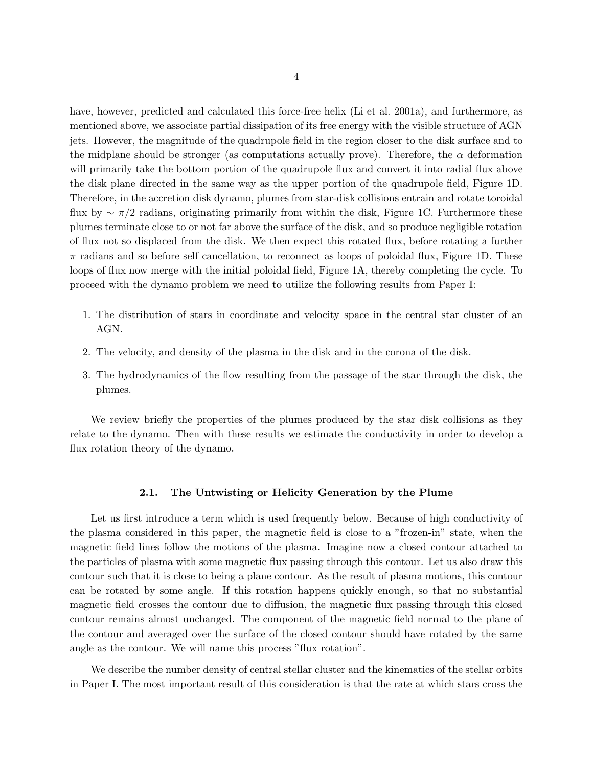have, however, predicted and calculated this force-free helix (Li et al. 2001a), and furthermore, as mentioned above, we associate partial dissipation of its free energy with the visible structure of AGN jets. However, the magnitude of the quadrupole field in the region closer to the disk surface and to the midplane should be stronger (as computations actually prove). Therefore, the  $\alpha$  deformation will primarily take the bottom portion of the quadrupole flux and convert it into radial flux above the disk plane directed in the same way as the upper portion of the quadrupole field, Figure 1D. Therefore, in the accretion disk dynamo, plumes from star-disk collisions entrain and rotate toroidal flux by  $\sim \pi/2$  radians, originating primarily from within the disk, Figure 1C. Furthermore these plumes terminate close to or not far above the surface of the disk, and so produce negligible rotation of flux not so displaced from the disk. We then expect this rotated flux, before rotating a further  $\pi$  radians and so before self cancellation, to reconnect as loops of poloidal flux, Figure 1D. These loops of flux now merge with the initial poloidal field, Figure 1A, thereby completing the cycle. To proceed with the dynamo problem we need to utilize the following results from Paper I:

- 1. The distribution of stars in coordinate and velocity space in the central star cluster of an AGN.
- 2. The velocity, and density of the plasma in the disk and in the corona of the disk.
- 3. The hydrodynamics of the flow resulting from the passage of the star through the disk, the plumes.

We review briefly the properties of the plumes produced by the star disk collisions as they relate to the dynamo. Then with these results we estimate the conductivity in order to develop a flux rotation theory of the dynamo.

## 2.1. The Untwisting or Helicity Generation by the Plume

Let us first introduce a term which is used frequently below. Because of high conductivity of the plasma considered in this paper, the magnetic field is close to a "frozen-in" state, when the magnetic field lines follow the motions of the plasma. Imagine now a closed contour attached to the particles of plasma with some magnetic flux passing through this contour. Let us also draw this contour such that it is close to being a plane contour. As the result of plasma motions, this contour can be rotated by some angle. If this rotation happens quickly enough, so that no substantial magnetic field crosses the contour due to diffusion, the magnetic flux passing through this closed contour remains almost unchanged. The component of the magnetic field normal to the plane of the contour and averaged over the surface of the closed contour should have rotated by the same angle as the contour. We will name this process "flux rotation".

We describe the number density of central stellar cluster and the kinematics of the stellar orbits in Paper I. The most important result of this consideration is that the rate at which stars cross the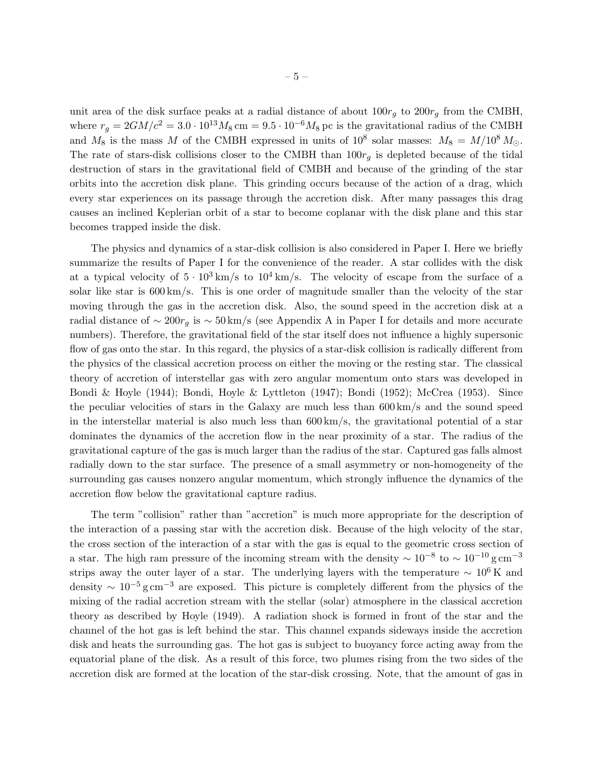unit area of the disk surface peaks at a radial distance of about  $100r<sub>g</sub>$  to  $200r<sub>g</sub>$  from the CMBH, where  $r_g = 2GM/c^2 = 3.0 \cdot 10^{13} M_8 \text{ cm} = 9.5 \cdot 10^{-6} M_8 \text{ pc}$  is the gravitational radius of the CMBH and  $M_8$  is the mass M of the CMBH expressed in units of  $10^8$  solar masses:  $M_8 = M/10^8 M_{\odot}$ . The rate of stars-disk collisions closer to the CMBH than  $100r<sub>q</sub>$  is depleted because of the tidal destruction of stars in the gravitational field of CMBH and because of the grinding of the star orbits into the accretion disk plane. This grinding occurs because of the action of a drag, which every star experiences on its passage through the accretion disk. After many passages this drag causes an inclined Keplerian orbit of a star to become coplanar with the disk plane and this star becomes trapped inside the disk.

The physics and dynamics of a star-disk collision is also considered in Paper I. Here we briefly summarize the results of Paper I for the convenience of the reader. A star collides with the disk at a typical velocity of  $5 \cdot 10^3 \text{ km/s}$  to  $10^4 \text{ km/s}$ . The velocity of escape from the surface of a solar like star is 600 km/s. This is one order of magnitude smaller than the velocity of the star moving through the gas in the accretion disk. Also, the sound speed in the accretion disk at a radial distance of ~ 200r<sub>g</sub> is ~ 50 km/s (see Appendix A in Paper I for details and more accurate numbers). Therefore, the gravitational field of the star itself does not influence a highly supersonic flow of gas onto the star. In this regard, the physics of a star-disk collision is radically different from the physics of the classical accretion process on either the moving or the resting star. The classical theory of accretion of interstellar gas with zero angular momentum onto stars was developed in Bondi & Hoyle (1944); Bondi, Hoyle & Lyttleton (1947); Bondi (1952); McCrea (1953). Since the peculiar velocities of stars in the Galaxy are much less than 600 km/s and the sound speed in the interstellar material is also much less than  $600 \,\mathrm{km/s}$ , the gravitational potential of a star dominates the dynamics of the accretion flow in the near proximity of a star. The radius of the gravitational capture of the gas is much larger than the radius of the star. Captured gas falls almost radially down to the star surface. The presence of a small asymmetry or non-homogeneity of the surrounding gas causes nonzero angular momentum, which strongly influence the dynamics of the accretion flow below the gravitational capture radius.

The term "collision" rather than "accretion" is much more appropriate for the description of the interaction of a passing star with the accretion disk. Because of the high velocity of the star, the cross section of the interaction of a star with the gas is equal to the geometric cross section of a star. The high ram pressure of the incoming stream with the density  $\sim 10^{-8}$  to  $\sim 10^{-10}$  g cm<sup>-3</sup> strips away the outer layer of a star. The underlying layers with the temperature  $\sim 10^6$  K and density  $\sim 10^{-5}$  g cm<sup>-3</sup> are exposed. This picture is completely different from the physics of the mixing of the radial accretion stream with the stellar (solar) atmosphere in the classical accretion theory as described by Hoyle (1949). A radiation shock is formed in front of the star and the channel of the hot gas is left behind the star. This channel expands sideways inside the accretion disk and heats the surrounding gas. The hot gas is subject to buoyancy force acting away from the equatorial plane of the disk. As a result of this force, two plumes rising from the two sides of the accretion disk are formed at the location of the star-disk crossing. Note, that the amount of gas in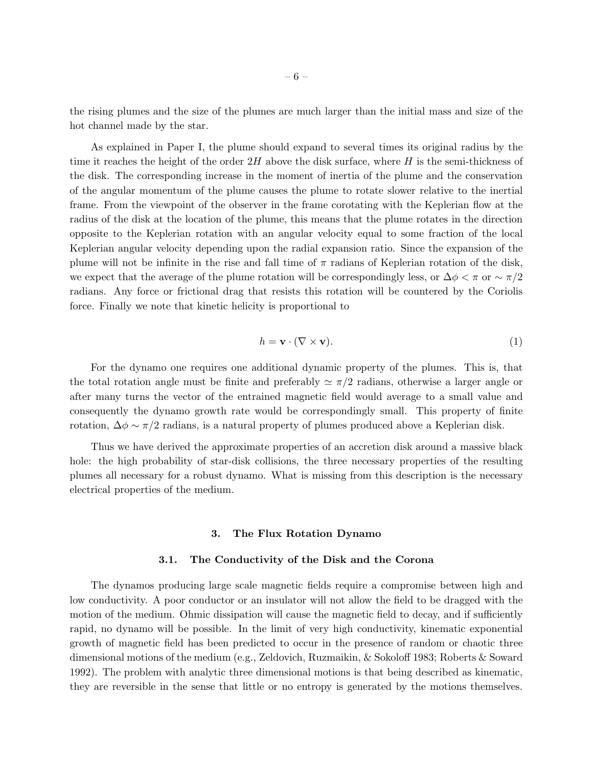the rising plumes and the size of the plumes are much larger than the initial mass and size of the hot channel made by the star.

As explained in Paper I, the plume should expand to several times its original radius by the time it reaches the height of the order  $2H$  above the disk surface, where H is the semi-thickness of the disk. The corresponding increase in the moment of inertia of the plume and the conservation of the angular momentum of the plume causes the plume to rotate slower relative to the inertial frame. From the viewpoint of the observer in the frame corotating with the Keplerian flow at the radius of the disk at the location of the plume, this means that the plume rotates in the direction opposite to the Keplerian rotation with an angular velocity equal to some fraction of the local Keplerian angular velocity depending upon the radial expansion ratio. Since the expansion of the plume will not be infinite in the rise and fall time of  $\pi$  radians of Keplerian rotation of the disk, we expect that the average of the plume rotation will be correspondingly less, or  $\Delta \phi < \pi$  or  $\sim \pi/2$ radians. Any force or frictional drag that resists this rotation will be countered by the Coriolis force. Finally we note that kinetic helicity is proportional to

$$
h = \mathbf{v} \cdot (\nabla \times \mathbf{v}).\tag{1}
$$

For the dynamo one requires one additional dynamic property of the plumes. This is, that the total rotation angle must be finite and preferably  $\simeq \pi/2$  radians, otherwise a larger angle or after many turns the vector of the entrained magnetic field would average to a small value and consequently the dynamo growth rate would be correspondingly small. This property of finite rotation,  $\Delta \phi \sim \pi/2$  radians, is a natural property of plumes produced above a Keplerian disk.

Thus we have derived the approximate properties of an accretion disk around a massive black hole: the high probability of star-disk collisions, the three necessary properties of the resulting plumes all necessary for a robust dynamo. What is missing from this description is the necessary electrical properties of the medium.

#### 3. The Flux Rotation Dynamo

#### 3.1. The Conductivity of the Disk and the Corona

The dynamos producing large scale magnetic fields require a compromise between high and low conductivity. A poor conductor or an insulator will not allow the field to be dragged with the motion of the medium. Ohmic dissipation will cause the magnetic field to decay, and if sufficiently rapid, no dynamo will be possible. In the limit of very high conductivity, kinematic exponential growth of magnetic field has been predicted to occur in the presence of random or chaotic three dimensional motions of the medium (e.g., Zeldovich, Ruzmaikin, & Sokoloff 1983; Roberts & Soward 1992). The problem with analytic three dimensional motions is that being described as kinematic, they are reversible in the sense that little or no entropy is generated by the motions themselves.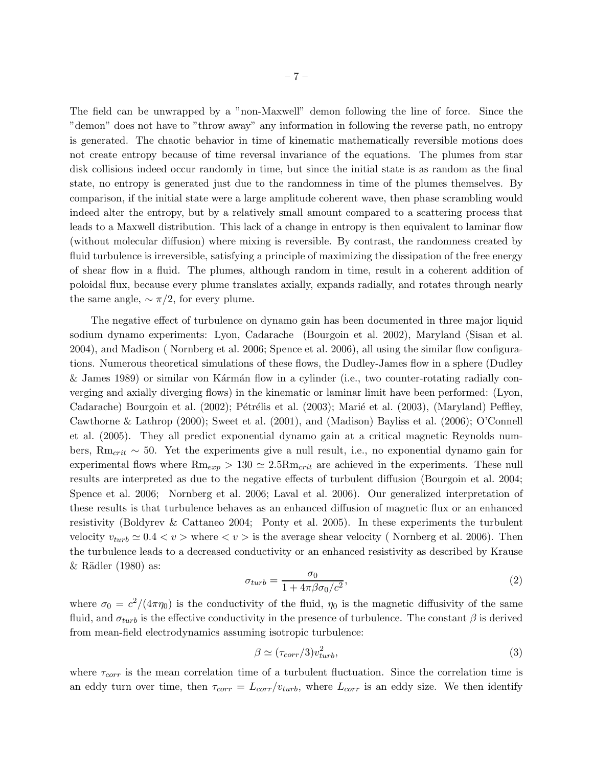The field can be unwrapped by a "non-Maxwell" demon following the line of force. Since the "demon" does not have to "throw away" any information in following the reverse path, no entropy is generated. The chaotic behavior in time of kinematic mathematically reversible motions does not create entropy because of time reversal invariance of the equations. The plumes from star disk collisions indeed occur randomly in time, but since the initial state is as random as the final state, no entropy is generated just due to the randomness in time of the plumes themselves. By comparison, if the initial state were a large amplitude coherent wave, then phase scrambling would indeed alter the entropy, but by a relatively small amount compared to a scattering process that leads to a Maxwell distribution. This lack of a change in entropy is then equivalent to laminar flow (without molecular diffusion) where mixing is reversible. By contrast, the randomness created by fluid turbulence is irreversible, satisfying a principle of maximizing the dissipation of the free energy of shear flow in a fluid. The plumes, although random in time, result in a coherent addition of poloidal flux, because every plume translates axially, expands radially, and rotates through nearly the same angle,  $\sim \pi/2$ , for every plume.

The negative effect of turbulence on dynamo gain has been documented in three major liquid sodium dynamo experiments: Lyon, Cadarache (Bourgoin et al. 2002), Maryland (Sisan et al. 2004), and Madison ( Nornberg et al. 2006; Spence et al. 2006), all using the similar flow configurations. Numerous theoretical simulations of these flows, the Dudley-James flow in a sphere (Dudley & James 1989) or similar von Kármán flow in a cylinder (i.e., two counter-rotating radially converging and axially diverging flows) in the kinematic or laminar limit have been performed: (Lyon, Cadarache) Bourgoin et al. (2002); Pétrélis et al. (2003); Marié et al. (2003), (Maryland) Peffley, Cawthorne & Lathrop (2000); Sweet et al. (2001), and (Madison) Bayliss et al. (2006); O'Connell et al. (2005). They all predict exponential dynamo gain at a critical magnetic Reynolds numbers,  $\mathcal{R}m_{crit} \sim 50$ . Yet the experiments give a null result, i.e., no exponential dynamo gain for experimental flows where  $Rm_{exp} > 130 \simeq 2.5Rm_{crit}$  are achieved in the experiments. These null results are interpreted as due to the negative effects of turbulent diffusion (Bourgoin et al. 2004; Spence et al. 2006; Nornberg et al. 2006; Laval et al. 2006). Our generalized interpretation of these results is that turbulence behaves as an enhanced diffusion of magnetic flux or an enhanced resistivity (Boldyrev & Cattaneo 2004; Ponty et al. 2005). In these experiments the turbulent velocity  $v_{turb} \simeq 0.4 < v >$  where  $\langle v \rangle$  is the average shear velocity (Nornberg et al. 2006). Then the turbulence leads to a decreased conductivity or an enhanced resistivity as described by Krause  $&$  Rädler (1980) as:

$$
\sigma_{turb} = \frac{\sigma_0}{1 + 4\pi\beta\sigma_0/c^2},\tag{2}
$$

where  $\sigma_0 = c^2/(4\pi\eta_0)$  is the conductivity of the fluid,  $\eta_0$  is the magnetic diffusivity of the same fluid, and  $\sigma_{turb}$  is the effective conductivity in the presence of turbulence. The constant  $\beta$  is derived from mean-field electrodynamics assuming isotropic turbulence:

$$
\beta \simeq (\tau_{corr}/3)v_{turb}^2,\tag{3}
$$

where  $\tau_{corr}$  is the mean correlation time of a turbulent fluctuation. Since the correlation time is an eddy turn over time, then  $\tau_{corr} = L_{corr}/v_{turb}$ , where  $L_{corr}$  is an eddy size. We then identify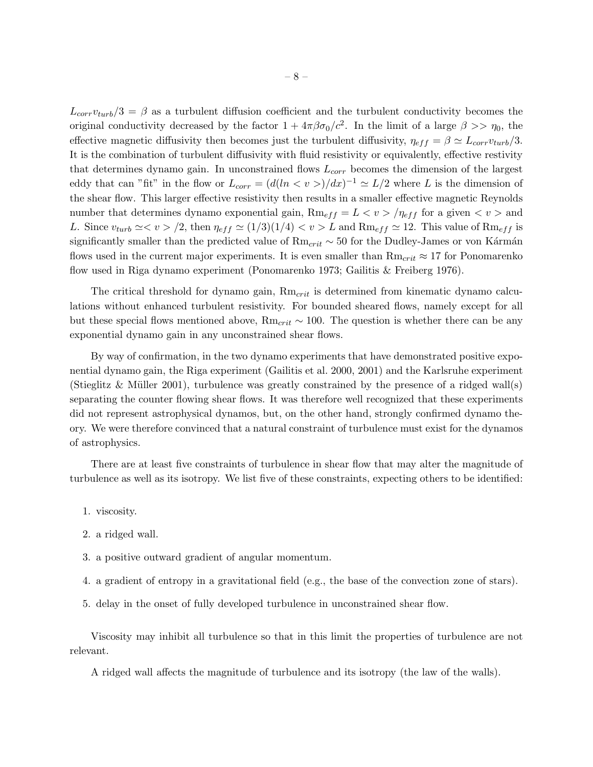$L_{corr}v_{turb}/3 = \beta$  as a turbulent diffusion coefficient and the turbulent conductivity becomes the original conductivity decreased by the factor  $1 + 4\pi\beta\sigma_0/c^2$ . In the limit of a large  $\beta >> \eta_0$ , the effective magnetic diffusivity then becomes just the turbulent diffusivity,  $\eta_{eff} = \beta \simeq L_{corr}v_{turb}/3$ . It is the combination of turbulent diffusivity with fluid resistivity or equivalently, effective restivity that determines dynamo gain. In unconstrained flows  $L_{corr}$  becomes the dimension of the largest eddy that can "fit" in the flow or  $L_{corr} = (d(ln \lt v >)/dx)^{-1} \simeq L/2$  where L is the dimension of the shear flow. This larger effective resistivity then results in a smaller effective magnetic Reynolds number that determines dynamo exponential gain,  $\text{Rm}_{eff} = L < v > / \eta_{eff}$  for a given  $\langle v \rangle$  and L. Since  $v_{turb} \simeq v > /2$ , then  $\eta_{eff} \simeq (1/3)(1/4) < v > L$  and  $\text{Rm}_{eff} \simeq 12$ . This value of  $\text{Rm}_{eff}$  is significantly smaller than the predicted value of  $Rm_{crit} \sim 50$  for the Dudley-James or von Kármán flows used in the current major experiments. It is even smaller than  $Rm_{crit} \approx 17$  for Ponomarenko flow used in Riga dynamo experiment (Ponomarenko 1973; Gailitis & Freiberg 1976).

The critical threshold for dynamo gain,  $Rm_{crit}$  is determined from kinematic dynamo calculations without enhanced turbulent resistivity. For bounded sheared flows, namely except for all but these special flows mentioned above, Rm<sub>crit</sub> ~ 100. The question is whether there can be any exponential dynamo gain in any unconstrained shear flows.

By way of confirmation, in the two dynamo experiments that have demonstrated positive exponential dynamo gain, the Riga experiment (Gailitis et al. 2000, 2001) and the Karlsruhe experiment (Stieglitz & Müller 2001), turbulence was greatly constrained by the presence of a ridged wall(s) separating the counter flowing shear flows. It was therefore well recognized that these experiments did not represent astrophysical dynamos, but, on the other hand, strongly confirmed dynamo theory. We were therefore convinced that a natural constraint of turbulence must exist for the dynamos of astrophysics.

There are at least five constraints of turbulence in shear flow that may alter the magnitude of turbulence as well as its isotropy. We list five of these constraints, expecting others to be identified:

- 1. viscosity.
- 2. a ridged wall.
- 3. a positive outward gradient of angular momentum.
- 4. a gradient of entropy in a gravitational field (e.g., the base of the convection zone of stars).
- 5. delay in the onset of fully developed turbulence in unconstrained shear flow.

Viscosity may inhibit all turbulence so that in this limit the properties of turbulence are not relevant.

A ridged wall affects the magnitude of turbulence and its isotropy (the law of the walls).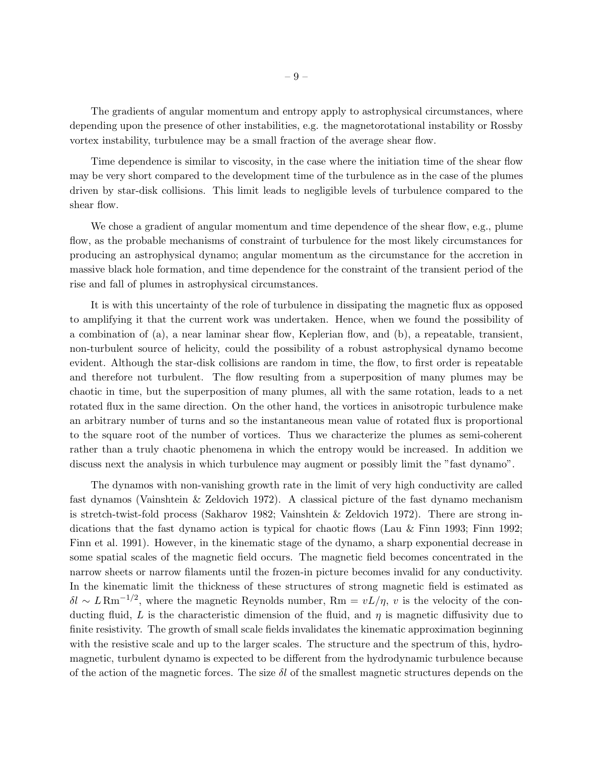The gradients of angular momentum and entropy apply to astrophysical circumstances, where depending upon the presence of other instabilities, e.g. the magnetorotational instability or Rossby vortex instability, turbulence may be a small fraction of the average shear flow.

Time dependence is similar to viscosity, in the case where the initiation time of the shear flow may be very short compared to the development time of the turbulence as in the case of the plumes driven by star-disk collisions. This limit leads to negligible levels of turbulence compared to the shear flow.

We chose a gradient of angular momentum and time dependence of the shear flow, e.g., plume flow, as the probable mechanisms of constraint of turbulence for the most likely circumstances for producing an astrophysical dynamo; angular momentum as the circumstance for the accretion in massive black hole formation, and time dependence for the constraint of the transient period of the rise and fall of plumes in astrophysical circumstances.

It is with this uncertainty of the role of turbulence in dissipating the magnetic flux as opposed to amplifying it that the current work was undertaken. Hence, when we found the possibility of a combination of (a), a near laminar shear flow, Keplerian flow, and (b), a repeatable, transient, non-turbulent source of helicity, could the possibility of a robust astrophysical dynamo become evident. Although the star-disk collisions are random in time, the flow, to first order is repeatable and therefore not turbulent. The flow resulting from a superposition of many plumes may be chaotic in time, but the superposition of many plumes, all with the same rotation, leads to a net rotated flux in the same direction. On the other hand, the vortices in anisotropic turbulence make an arbitrary number of turns and so the instantaneous mean value of rotated flux is proportional to the square root of the number of vortices. Thus we characterize the plumes as semi-coherent rather than a truly chaotic phenomena in which the entropy would be increased. In addition we discuss next the analysis in which turbulence may augment or possibly limit the "fast dynamo".

The dynamos with non-vanishing growth rate in the limit of very high conductivity are called fast dynamos (Vainshtein & Zeldovich 1972). A classical picture of the fast dynamo mechanism is stretch-twist-fold process (Sakharov 1982; Vainshtein & Zeldovich 1972). There are strong indications that the fast dynamo action is typical for chaotic flows (Lau & Finn 1993; Finn 1992; Finn et al. 1991). However, in the kinematic stage of the dynamo, a sharp exponential decrease in some spatial scales of the magnetic field occurs. The magnetic field becomes concentrated in the narrow sheets or narrow filaments until the frozen-in picture becomes invalid for any conductivity. In the kinematic limit the thickness of these structures of strong magnetic field is estimated as  $\delta l \sim L \, \text{Rm}^{-1/2}$ , where the magnetic Reynolds number,  $\text{Rm} = vL/\eta$ , v is the velocity of the conducting fluid, L is the characteristic dimension of the fluid, and  $\eta$  is magnetic diffusivity due to finite resistivity. The growth of small scale fields invalidates the kinematic approximation beginning with the resistive scale and up to the larger scales. The structure and the spectrum of this, hydromagnetic, turbulent dynamo is expected to be different from the hydrodynamic turbulence because of the action of the magnetic forces. The size  $\delta l$  of the smallest magnetic structures depends on the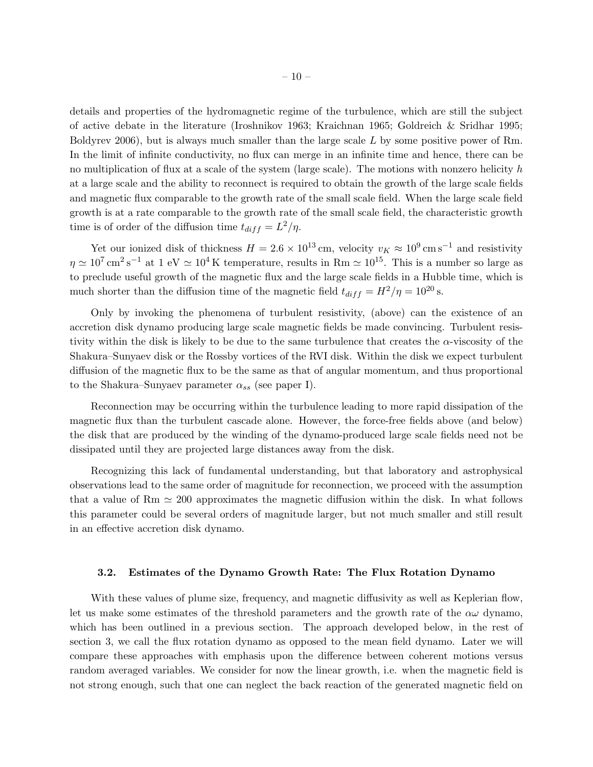details and properties of the hydromagnetic regime of the turbulence, which are still the subject of active debate in the literature (Iroshnikov 1963; Kraichnan 1965; Goldreich & Sridhar 1995; Boldyrev 2006), but is always much smaller than the large scale L by some positive power of Rm. In the limit of infinite conductivity, no flux can merge in an infinite time and hence, there can be no multiplication of flux at a scale of the system (large scale). The motions with nonzero helicity  $h$ at a large scale and the ability to reconnect is required to obtain the growth of the large scale fields and magnetic flux comparable to the growth rate of the small scale field. When the large scale field growth is at a rate comparable to the growth rate of the small scale field, the characteristic growth time is of order of the diffusion time  $t_{diff} = L^2/\eta$ .

Yet our ionized disk of thickness  $H = 2.6 \times 10^{13}$  cm, velocity  $v_K \approx 10^9$  cm s<sup>-1</sup> and resistivity  $\eta \simeq 10^7 \,\mathrm{cm}^2 \,\mathrm{s}^{-1}$  at  $1 \text{ eV} \simeq 10^4 \,\mathrm{K}$  temperature, results in Rm  $\simeq 10^{15}$ . This is a number so large as to preclude useful growth of the magnetic flux and the large scale fields in a Hubble time, which is much shorter than the diffusion time of the magnetic field  $t_{diff} = H^2/\eta = 10^{20}$  s.

Only by invoking the phenomena of turbulent resistivity, (above) can the existence of an accretion disk dynamo producing large scale magnetic fields be made convincing. Turbulent resistivity within the disk is likely to be due to the same turbulence that creates the  $\alpha$ -viscosity of the Shakura–Sunyaev disk or the Rossby vortices of the RVI disk. Within the disk we expect turbulent diffusion of the magnetic flux to be the same as that of angular momentum, and thus proportional to the Shakura–Sunyaev parameter  $\alpha_{ss}$  (see paper I).

Reconnection may be occurring within the turbulence leading to more rapid dissipation of the magnetic flux than the turbulent cascade alone. However, the force-free fields above (and below) the disk that are produced by the winding of the dynamo-produced large scale fields need not be dissipated until they are projected large distances away from the disk.

Recognizing this lack of fundamental understanding, but that laboratory and astrophysical observations lead to the same order of magnitude for reconnection, we proceed with the assumption that a value of Rm  $\simeq 200$  approximates the magnetic diffusion within the disk. In what follows this parameter could be several orders of magnitude larger, but not much smaller and still result in an effective accretion disk dynamo.

## 3.2. Estimates of the Dynamo Growth Rate: The Flux Rotation Dynamo

With these values of plume size, frequency, and magnetic diffusivity as well as Keplerian flow, let us make some estimates of the threshold parameters and the growth rate of the  $\alpha\omega$  dynamo, which has been outlined in a previous section. The approach developed below, in the rest of section 3, we call the flux rotation dynamo as opposed to the mean field dynamo. Later we will compare these approaches with emphasis upon the difference between coherent motions versus random averaged variables. We consider for now the linear growth, i.e. when the magnetic field is not strong enough, such that one can neglect the back reaction of the generated magnetic field on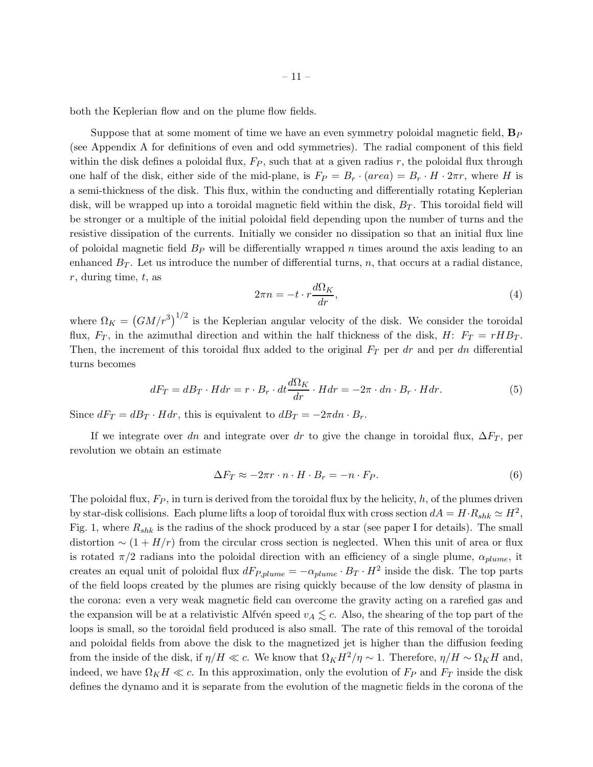both the Keplerian flow and on the plume flow fields.

Suppose that at some moment of time we have an even symmetry poloidal magnetic field,  $\mathbf{B}_P$ (see Appendix A for definitions of even and odd symmetries). The radial component of this field within the disk defines a poloidal flux,  $F_P$ , such that at a given radius r, the poloidal flux through one half of the disk, either side of the mid-plane, is  $F_P = B_r \cdot (area) = B_r \cdot H \cdot 2\pi r$ , where H is a semi-thickness of the disk. This flux, within the conducting and differentially rotating Keplerian disk, will be wrapped up into a toroidal magnetic field within the disk,  $B_T$ . This toroidal field will be stronger or a multiple of the initial poloidal field depending upon the number of turns and the resistive dissipation of the currents. Initially we consider no dissipation so that an initial flux line of poloidal magnetic field  $B<sub>P</sub>$  will be differentially wrapped n times around the axis leading to an enhanced  $B_T$ . Let us introduce the number of differential turns, n, that occurs at a radial distance,  $r$ , during time,  $t$ , as

$$
2\pi n = -t \cdot r \frac{d\Omega_K}{dr},\tag{4}
$$

where  $\Omega_K = (GM/r^3)^{1/2}$  is the Keplerian angular velocity of the disk. We consider the toroidal flux,  $F_T$ , in the azimuthal direction and within the half thickness of the disk, H:  $F_T = rHB_T$ . Then, the increment of this toroidal flux added to the original  $F<sub>T</sub>$  per dr and per dn differential turns becomes

$$
dF_T = dB_T \cdot H dr = r \cdot B_r \cdot dt \frac{d\Omega_K}{dr} \cdot H dr = -2\pi \cdot dn \cdot B_r \cdot H dr. \tag{5}
$$

Since  $dF_T = dB_T \cdot Hdr$ , this is equivalent to  $dB_T = -2\pi dn \cdot B_r$ .

If we integrate over dn and integrate over dr to give the change in toroidal flux,  $\Delta F_T$ , per revolution we obtain an estimate

$$
\Delta F_T \approx -2\pi r \cdot n \cdot H \cdot B_r = -n \cdot F_P. \tag{6}
$$

The poloidal flux,  $F_P$ , in turn is derived from the toroidal flux by the helicity, h, of the plumes driven by star-disk collisions. Each plume lifts a loop of toroidal flux with cross section  $dA = H \cdot R_{shk} \simeq H^2$ , Fig. 1, where  $R_{shk}$  is the radius of the shock produced by a star (see paper I for details). The small distortion  $\sim (1 + H/r)$  from the circular cross section is neglected. When this unit of area or flux is rotated  $\pi/2$  radians into the poloidal direction with an efficiency of a single plume,  $\alpha_{plume}$ , it creates an equal unit of poloidal flux  $dF_{P,plume} = -\alpha_{plume} \cdot B_T \cdot H^2$  inside the disk. The top parts of the field loops created by the plumes are rising quickly because of the low density of plasma in the corona: even a very weak magnetic field can overcome the gravity acting on a rarefied gas and the expansion will be at a relativistic Alfvén speed  $v_A \lesssim c$ . Also, the shearing of the top part of the loops is small, so the toroidal field produced is also small. The rate of this removal of the toroidal and poloidal fields from above the disk to the magnetized jet is higher than the diffusion feeding from the inside of the disk, if  $\eta/H \ll c$ . We know that  $\Omega_K H^2/\eta \sim 1$ . Therefore,  $\eta/H \sim \Omega_K H$  and, indeed, we have  $\Omega_K H \ll c$ . In this approximation, only the evolution of  $F_P$  and  $F_T$  inside the disk defines the dynamo and it is separate from the evolution of the magnetic fields in the corona of the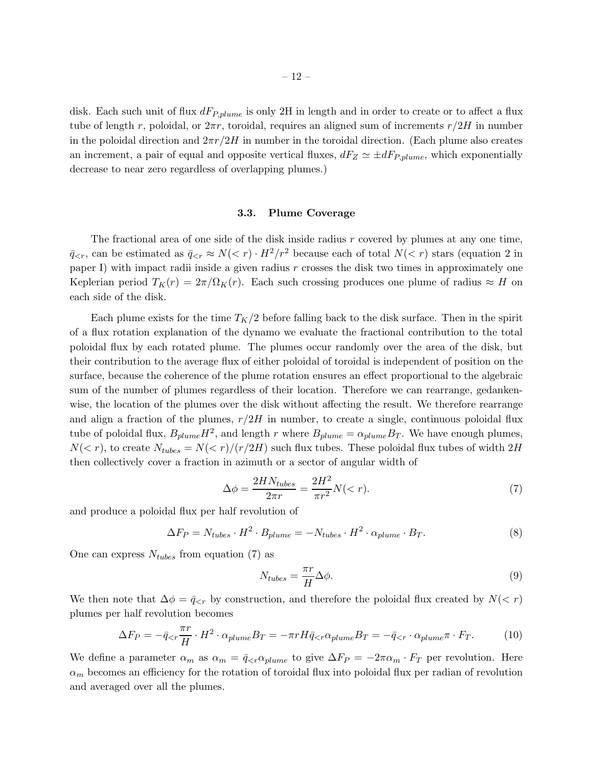disk. Each such unit of flux  $dF_{P,plume}$  is only 2H in length and in order to create or to affect a flux tube of length r, poloidal, or  $2\pi r$ , toroidal, requires an aligned sum of increments  $r/2H$  in number in the poloidal direction and  $2\pi r/2H$  in number in the toroidal direction. (Each plume also creates an increment, a pair of equal and opposite vertical fluxes,  $dF_Z \simeq \pm dF_{P,plume}$ , which exponentially decrease to near zero regardless of overlapping plumes.)

# 3.3. Plume Coverage

The fractional area of one side of the disk inside radius  $r$  covered by plumes at any one time,  $\bar{q}_{\leq r}$ , can be estimated as  $\bar{q}_{\leq r} \approx N(\leq r) \cdot H^2/r^2$  because each of total  $N(\leq r)$  stars (equation 2 in paper I) with impact radii inside a given radius  $r$  crosses the disk two times in approximately one Keplerian period  $T_K(r) = 2\pi/\Omega_K(r)$ . Each such crossing produces one plume of radius  $\approx H$  on each side of the disk.

Each plume exists for the time  $T_K/2$  before falling back to the disk surface. Then in the spirit of a flux rotation explanation of the dynamo we evaluate the fractional contribution to the total poloidal flux by each rotated plume. The plumes occur randomly over the area of the disk, but their contribution to the average flux of either poloidal of toroidal is independent of position on the surface, because the coherence of the plume rotation ensures an effect proportional to the algebraic sum of the number of plumes regardless of their location. Therefore we can rearrange, gedankenwise, the location of the plumes over the disk without affecting the result. We therefore rearrange and align a fraction of the plumes,  $r/2H$  in number, to create a single, continuous poloidal flux tube of poloidal flux,  $B_{plume}H^2$ , and length r where  $B_{plume} = \alpha_{plume}B_T$ . We have enough plumes,  $N(< r)$ , to create  $N_{tubes} = N(< r)/(r/2H)$  such flux tubes. These poloidal flux tubes of width  $2H$ then collectively cover a fraction in azimuth or a sector of angular width of

$$
\Delta \phi = \frac{2H N_{tubes}}{2\pi r} = \frac{2H^2}{\pi r^2} N(\n<sup>(7)</sup>
$$

and produce a poloidal flux per half revolution of

$$
\Delta F_P = N_{tubes} \cdot H^2 \cdot B_{plume} = -N_{tubes} \cdot H^2 \cdot \alpha_{plume} \cdot B_T. \tag{8}
$$

One can express  $N_{tubes}$  from equation (7) as

$$
N_{tubes} = \frac{\pi r}{H} \Delta \phi.
$$
\n(9)

We then note that  $\Delta \phi = \bar{q}_{\leq r}$  by construction, and therefore the poloidal flux created by  $N(\leq r)$ plumes per half revolution becomes

$$
\Delta F_P = -\bar{q}_{\lt r} \frac{\pi r}{H} \cdot H^2 \cdot \alpha_{plume} B_T = -\pi r H \bar{q}_{\lt r} \alpha_{plume} B_T = -\bar{q}_{\lt r} \cdot \alpha_{plume} \pi \cdot F_T. \tag{10}
$$

We define a parameter  $\alpha_m$  as  $\alpha_m = \bar{q}_{\leq r} \alpha_{plume}$  to give  $\Delta F_P = -2\pi \alpha_m \cdot F_T$  per revolution. Here  $\alpha_m$  becomes an efficiency for the rotation of toroidal flux into poloidal flux per radian of revolution and averaged over all the plumes.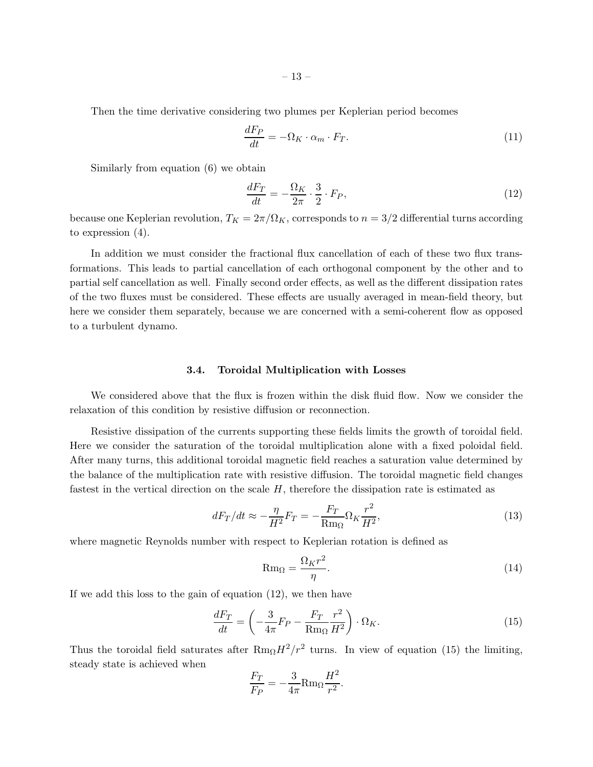Then the time derivative considering two plumes per Keplerian period becomes

$$
\frac{dF_P}{dt} = -\Omega_K \cdot \alpha_m \cdot F_T. \tag{11}
$$

Similarly from equation (6) we obtain

$$
\frac{dF_T}{dt} = -\frac{\Omega_K}{2\pi} \cdot \frac{3}{2} \cdot F_P,\tag{12}
$$

because one Keplerian revolution,  $T_K = 2\pi/\Omega_K$ , corresponds to  $n = 3/2$  differential turns according to expression (4).

In addition we must consider the fractional flux cancellation of each of these two flux transformations. This leads to partial cancellation of each orthogonal component by the other and to partial self cancellation as well. Finally second order effects, as well as the different dissipation rates of the two fluxes must be considered. These effects are usually averaged in mean-field theory, but here we consider them separately, because we are concerned with a semi-coherent flow as opposed to a turbulent dynamo.

## 3.4. Toroidal Multiplication with Losses

We considered above that the flux is frozen within the disk fluid flow. Now we consider the relaxation of this condition by resistive diffusion or reconnection.

Resistive dissipation of the currents supporting these fields limits the growth of toroidal field. Here we consider the saturation of the toroidal multiplication alone with a fixed poloidal field. After many turns, this additional toroidal magnetic field reaches a saturation value determined by the balance of the multiplication rate with resistive diffusion. The toroidal magnetic field changes fastest in the vertical direction on the scale  $H$ , therefore the dissipation rate is estimated as

$$
dF_T/dt \approx -\frac{\eta}{H^2}F_T = -\frac{F_T}{\mathrm{Rm}_{\Omega}}\Omega_K \frac{r^2}{H^2},\tag{13}
$$

where magnetic Reynolds number with respect to Keplerian rotation is defined as

$$
\text{Rm}_{\Omega} = \frac{\Omega_K r^2}{\eta}.
$$
\n(14)

If we add this loss to the gain of equation (12), we then have

$$
\frac{dF_T}{dt} = \left(-\frac{3}{4\pi}F_P - \frac{F_T}{\mathrm{Rm}_\Omega}\frac{r^2}{H^2}\right) \cdot \Omega_K. \tag{15}
$$

Thus the toroidal field saturates after  $Rm_{\Omega}H^2/r^2$  turns. In view of equation (15) the limiting, steady state is achieved when

$$
\frac{F_T}{F_P} = -\frac{3}{4\pi} \text{Rm}_{\Omega} \frac{H^2}{r^2}.
$$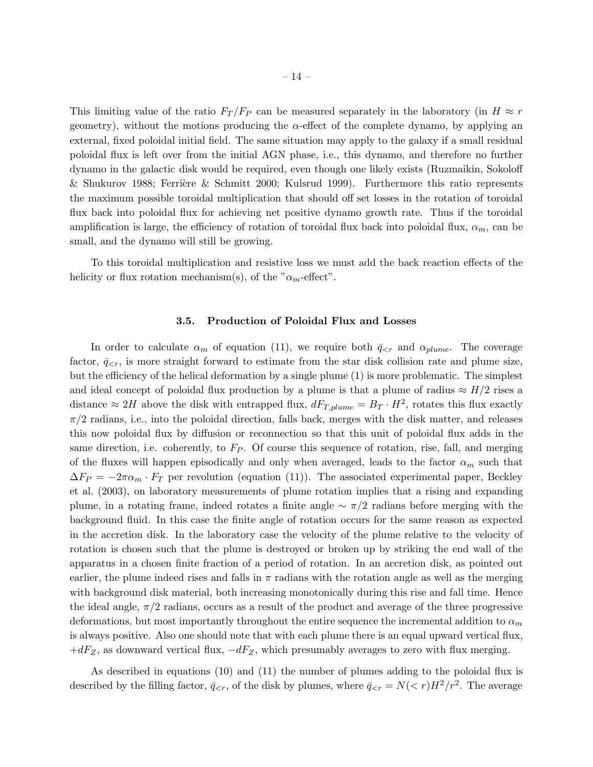This limiting value of the ratio  $F_T / F_P$  can be measured separately in the laboratory (in  $H \approx r$ geometry), without the motions producing the  $\alpha$ -effect of the complete dynamo, by applying an external, fixed poloidal initial field. The same situation may apply to the galaxy if a small residual poloidal flux is left over from the initial AGN phase, i.e., this dynamo, and therefore no further dynamo in the galactic disk would be required, even though one likely exists (Ruzmaikin, Sokoloff & Shukurov 1988; Ferrière & Schmitt 2000; Kulsrud 1999). Furthermore this ratio represents the maximum possible toroidal multiplication that should off set losses in the rotation of toroidal flux back into poloidal flux for achieving net positive dynamo growth rate. Thus if the toroidal amplification is large, the efficiency of rotation of toroidal flux back into poloidal flux,  $\alpha_m$ , can be small, and the dynamo will still be growing.

To this toroidal multiplication and resistive loss we must add the back reaction effects of the helicity or flux rotation mechanism(s), of the " $\alpha_m$ -effect".

### 3.5. Production of Poloidal Flux and Losses

In order to calculate  $\alpha_m$  of equation (11), we require both  $\bar{q}_{\leq r}$  and  $\alpha_{plume}$ . The coverage factor,  $\bar{q}_{\leq r}$ , is more straight forward to estimate from the star disk collision rate and plume size, but the efficiency of the helical deformation by a single plume (1) is more problematic. The simplest and ideal concept of poloidal flux production by a plume is that a plume of radius  $\approx H/2$  rises a distance  $\approx 2H$  above the disk with entrapped flux,  $dF_{T,plume} = B_T \cdot H^2$ , rotates this flux exactly  $\pi/2$  radians, i.e., into the poloidal direction, falls back, merges with the disk matter, and releases this now poloidal flux by diffusion or reconnection so that this unit of poloidal flux adds in the same direction, i.e. coherently, to  $F_P$ . Of course this sequence of rotation, rise, fall, and merging of the fluxes will happen episodically and only when averaged, leads to the factor  $\alpha_m$  such that  $\Delta F_P = -2\pi\alpha_m \cdot F_T$  per revolution (equation (11)). The associated experimental paper, Beckley et al. (2003), on laboratory measurements of plume rotation implies that a rising and expanding plume, in a rotating frame, indeed rotates a finite angle  $\sim \pi/2$  radians before merging with the background fluid. In this case the finite angle of rotation occurs for the same reason as expected in the accretion disk. In the laboratory case the velocity of the plume relative to the velocity of rotation is chosen such that the plume is destroyed or broken up by striking the end wall of the apparatus in a chosen finite fraction of a period of rotation. In an accretion disk, as pointed out earlier, the plume indeed rises and falls in  $\pi$  radians with the rotation angle as well as the merging with background disk material, both increasing monotonically during this rise and fall time. Hence the ideal angle,  $\pi/2$  radians, occurs as a result of the product and average of the three progressive deformations, but most importantly throughout the entire sequence the incremental addition to  $\alpha_m$ is always positive. Also one should note that with each plume there is an equal upward vertical flux,  $+dF_Z$ , as downward vertical flux,  $-dF_Z$ , which presumably averages to zero with flux merging.

As described in equations (10) and (11) the number of plumes adding to the poloidal flux is described by the filling factor,  $\bar{q}_{\leq r}$ , of the disk by plumes, where  $\bar{q}_{\leq r} = N(\leq r)H^2/r^2$ . The average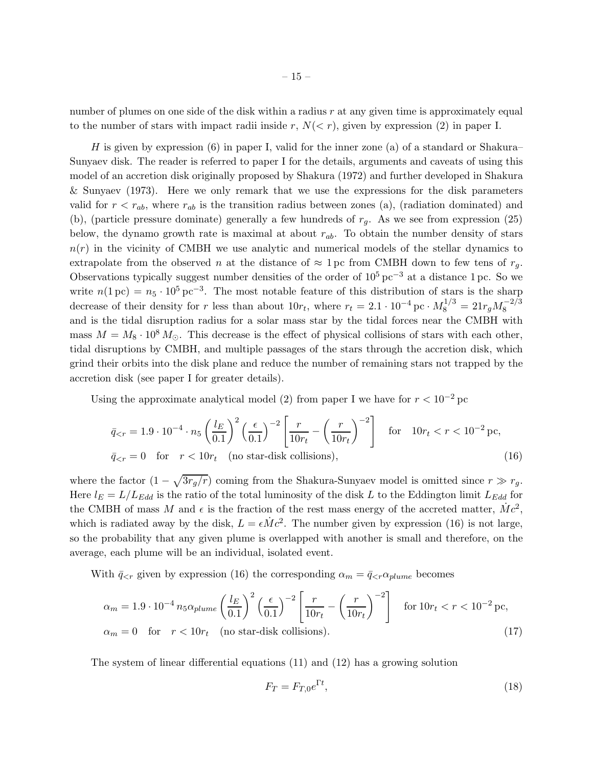number of plumes on one side of the disk within a radius  $r$  at any given time is approximately equal to the number of stars with impact radii inside r,  $N(< r)$ , given by expression (2) in paper I.

H is given by expression  $(6)$  in paper I, valid for the inner zone (a) of a standard or Shakura– Sunyaev disk. The reader is referred to paper I for the details, arguments and caveats of using this model of an accretion disk originally proposed by Shakura (1972) and further developed in Shakura & Sunyaev (1973). Here we only remark that we use the expressions for the disk parameters valid for  $r < r_{ab}$ , where  $r_{ab}$  is the transition radius between zones (a), (radiation dominated) and (b), (particle pressure dominate) generally a few hundreds of  $r<sub>q</sub>$ . As we see from expression (25) below, the dynamo growth rate is maximal at about  $r_{ab}$ . To obtain the number density of stars  $n(r)$  in the vicinity of CMBH we use analytic and numerical models of the stellar dynamics to extrapolate from the observed n at the distance of  $\approx 1 \,\text{pc}$  from CMBH down to few tens of  $r_q$ . Observations typically suggest number densities of the order of  $10^5 \,\mathrm{pc}^{-3}$  at a distance 1 pc. So we write  $n(1\,\text{pc}) = n_5 \cdot 10^5 \,\text{pc}^{-3}$ . The most notable feature of this distribution of stars is the sharp decrease of their density for r less than about  $10r_t$ , where  $r_t = 2.1 \cdot 10^{-4}$  pc ·  $M_8^{1/3} = 21r_g M_8^{-2/3}$ and is the tidal disruption radius for a solar mass star by the tidal forces near the CMBH with mass  $M = M_8 \cdot 10^8 M_{\odot}$ . This decrease is the effect of physical collisions of stars with each other, tidal disruptions by CMBH, and multiple passages of the stars through the accretion disk, which grind their orbits into the disk plane and reduce the number of remaining stars not trapped by the accretion disk (see paper I for greater details).

Using the approximate analytical model (2) from paper I we have for  $r < 10^{-2}$  pc

$$
\bar{q}_{\leq r} = 1.9 \cdot 10^{-4} \cdot n_5 \left(\frac{l_E}{0.1}\right)^2 \left(\frac{\epsilon}{0.1}\right)^{-2} \left[\frac{r}{10r_t} - \left(\frac{r}{10r_t}\right)^{-2}\right] \quad \text{for} \quad 10r_t < r < 10^{-2} \text{ pc},
$$
\n
$$
\bar{q}_{\leq r} = 0 \quad \text{for} \quad r < 10r_t \quad \text{(no star-disk collisions)}, \tag{16}
$$

where the factor  $(1 - \sqrt{3r_g/r})$  coming from the Shakura-Sunyaev model is omitted since  $r \gg r_g$ . Here  $l_E = L/L_{Edd}$  is the ratio of the total luminosity of the disk L to the Eddington limit  $L_{Edd}$  for the CMBH of mass M and  $\epsilon$  is the fraction of the rest mass energy of the accreted matter,  $\dot{M}c^2$ , which is radiated away by the disk,  $L = \epsilon \dot{M} c^2$ . The number given by expression (16) is not large, so the probability that any given plume is overlapped with another is small and therefore, on the average, each plume will be an individual, isolated event.

With  $\bar{q}_{\leq r}$  given by expression (16) the corresponding  $\alpha_m = \bar{q}_{\leq r} \alpha_{plane}$  becomes

$$
\alpha_m = 1.9 \cdot 10^{-4} n_5 \alpha_{plume} \left(\frac{l_E}{0.1}\right)^2 \left(\frac{\epsilon}{0.1}\right)^{-2} \left[\frac{r}{10r_t} - \left(\frac{r}{10r_t}\right)^{-2}\right] \quad \text{for } 10r_t < r < 10^{-2} \text{ pc},
$$
\n
$$
\alpha_m = 0 \quad \text{for} \quad r < 10r_t \quad \text{(no star-disk collisions)}.\tag{17}
$$

The system of linear differential equations (11) and (12) has a growing solution

$$
F_T = F_{T,0}e^{\Gamma t},\tag{18}
$$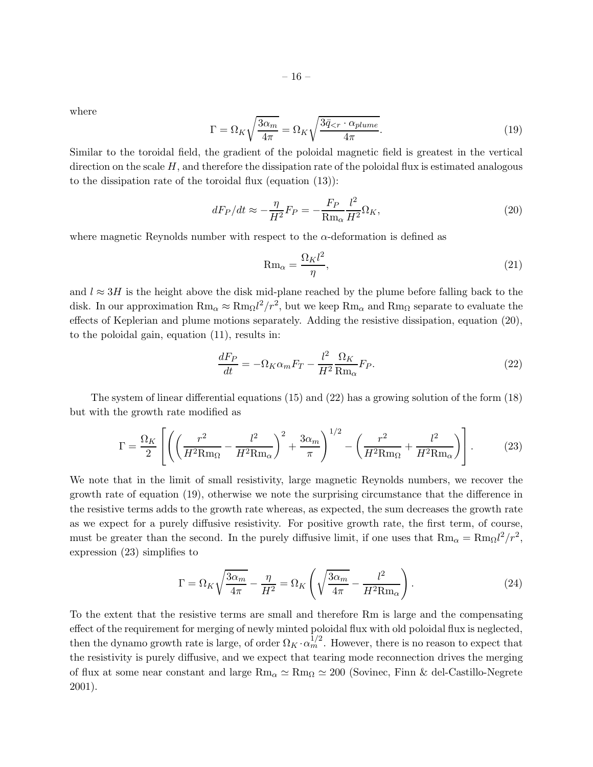where

$$
\Gamma = \Omega_K \sqrt{\frac{3\alpha_m}{4\pi}} = \Omega_K \sqrt{\frac{3\bar{q}_{\leq r} \cdot \alpha_{plume}}{4\pi}}.
$$
\n(19)

Similar to the toroidal field, the gradient of the poloidal magnetic field is greatest in the vertical direction on the scale  $H$ , and therefore the dissipation rate of the poloidal flux is estimated analogous to the dissipation rate of the toroidal flux (equation (13)):

$$
dF_P/dt \approx -\frac{\eta}{H^2}F_P = -\frac{F_P}{\mathrm{Rm}_{\alpha}}\frac{l^2}{H^2}\Omega_K,\tag{20}
$$

where magnetic Reynolds number with respect to the  $\alpha$ -deformation is defined as

$$
\text{Rm}_{\alpha} = \frac{\Omega_K l^2}{\eta},\tag{21}
$$

and  $l \approx 3H$  is the height above the disk mid-plane reached by the plume before falling back to the disk. In our approximation  $Rm_{\alpha} \approx Rm_{\Omega}l^2/r^2$ , but we keep  $Rm_{\alpha}$  and  $Rm_{\Omega}$  separate to evaluate the effects of Keplerian and plume motions separately. Adding the resistive dissipation, equation (20), to the poloidal gain, equation (11), results in:

$$
\frac{dF_P}{dt} = -\Omega_K \alpha_m F_T - \frac{l^2}{H^2} \frac{\Omega_K}{\text{Rm}_\alpha} F_P.
$$
\n(22)

The system of linear differential equations (15) and (22) has a growing solution of the form (18) but with the growth rate modified as

$$
\Gamma = \frac{\Omega_K}{2} \left[ \left( \left( \frac{r^2}{H^2 \text{Rm}_{\Omega}} - \frac{l^2}{H^2 \text{Rm}_{\alpha}} \right)^2 + \frac{3\alpha_m}{\pi} \right)^{1/2} - \left( \frac{r^2}{H^2 \text{Rm}_{\Omega}} + \frac{l^2}{H^2 \text{Rm}_{\alpha}} \right) \right].
$$
 (23)

We note that in the limit of small resistivity, large magnetic Reynolds numbers, we recover the growth rate of equation (19), otherwise we note the surprising circumstance that the difference in the resistive terms adds to the growth rate whereas, as expected, the sum decreases the growth rate as we expect for a purely diffusive resistivity. For positive growth rate, the first term, of course, must be greater than the second. In the purely diffusive limit, if one uses that  $Rm_{\alpha} = Rm_{\Omega}l^2/r^2$ , expression (23) simplifies to

$$
\Gamma = \Omega_K \sqrt{\frac{3\alpha_m}{4\pi}} - \frac{\eta}{H^2} = \Omega_K \left( \sqrt{\frac{3\alpha_m}{4\pi}} - \frac{l^2}{H^2 \text{Rm}_\alpha} \right). \tag{24}
$$

To the extent that the resistive terms are small and therefore Rm is large and the compensating effect of the requirement for merging of newly minted poloidal flux with old poloidal flux is neglected, then the dynamo growth rate is large, of order  $\Omega_K \cdot \alpha_m^{1/2}$ . However, there is no reason to expect that the resistivity is purely diffusive, and we expect that tearing mode reconnection drives the merging of flux at some near constant and large  $Rm_\alpha \simeq Rm_\Omega \simeq 200$  (Sovinec, Finn & del-Castillo-Negrete 2001).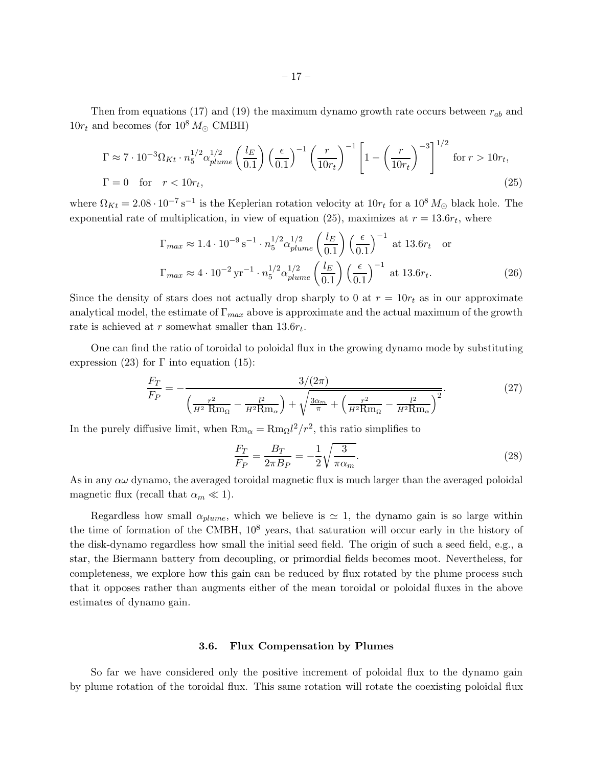Then from equations (17) and (19) the maximum dynamo growth rate occurs between  $r_{ab}$  and  $10r_t$  and becomes (for  $10^8 M_{\odot}$  CMBH)

$$
\Gamma \approx 7 \cdot 10^{-3} \Omega_{Kt} \cdot n_5^{1/2} \alpha_{plume}^{1/2} \left(\frac{l_E}{0.1}\right) \left(\frac{\epsilon}{0.1}\right)^{-1} \left(\frac{r}{10r_t}\right)^{-1} \left[1 - \left(\frac{r}{10r_t}\right)^{-3}\right]^{1/2} \text{ for } r > 10r_t,
$$
  
\n
$$
\Gamma = 0 \quad \text{for} \quad r < 10r_t,
$$
\n(25)

where  $\Omega_{Kt} = 2.08 \cdot 10^{-7} \text{ s}^{-1}$  is the Keplerian rotation velocity at  $10r_t$  for a  $10^8 M_{\odot}$  black hole. The exponential rate of multiplication, in view of equation (25), maximizes at  $r = 13.6r_t$ , where

$$
\Gamma_{max} \approx 1.4 \cdot 10^{-9} \,\mathrm{s}^{-1} \cdot n_5^{1/2} \alpha_{plume}^{1/2} \left(\frac{l_E}{0.1}\right) \left(\frac{\epsilon}{0.1}\right)^{-1} \text{ at } 13.6r_t \text{ or}
$$
\n
$$
\Gamma_{max} \approx 4 \cdot 10^{-2} \,\mathrm{yr}^{-1} \cdot n_5^{1/2} \alpha_{plume}^{1/2} \left(\frac{l_E}{0.1}\right) \left(\frac{\epsilon}{0.1}\right)^{-1} \text{ at } 13.6r_t. \tag{26}
$$

Since the density of stars does not actually drop sharply to 0 at  $r = 10r_t$  as in our approximate analytical model, the estimate of  $\Gamma_{max}$  above is approximate and the actual maximum of the growth rate is achieved at r somewhat smaller than  $13.6r_t$ .

One can find the ratio of toroidal to poloidal flux in the growing dynamo mode by substituting expression (23) for  $\Gamma$  into equation (15):

$$
\frac{F_T}{F_P} = -\frac{3/(2\pi)}{\left(\frac{r^2}{H^2 \text{ Rm}_{\Omega}} - \frac{l^2}{H^2 \text{ Rm}_{\alpha}}\right) + \sqrt{\frac{3\alpha_m}{\pi} + \left(\frac{r^2}{H^2 \text{ Rm}_{\Omega}} - \frac{l^2}{H^2 \text{ Rm}_{\alpha}}\right)^2}}.
$$
(27)

In the purely diffusive limit, when  $Rm_{\alpha} = Rm_{\Omega}l^2/r^2$ , this ratio simplifies to

$$
\frac{F_T}{F_P} = \frac{B_T}{2\pi B_P} = -\frac{1}{2}\sqrt{\frac{3}{\pi\alpha_m}}.\tag{28}
$$

As in any  $\alpha\omega$  dynamo, the averaged toroidal magnetic flux is much larger than the averaged poloidal magnetic flux (recall that  $\alpha_m \ll 1$ ).

Regardless how small  $\alpha_{plane}$ , which we believe is  $\simeq$  1, the dynamo gain is so large within the time of formation of the CMBH,  $10^8$  years, that saturation will occur early in the history of the disk-dynamo regardless how small the initial seed field. The origin of such a seed field, e.g., a star, the Biermann battery from decoupling, or primordial fields becomes moot. Nevertheless, for completeness, we explore how this gain can be reduced by flux rotated by the plume process such that it opposes rather than augments either of the mean toroidal or poloidal fluxes in the above estimates of dynamo gain.

### 3.6. Flux Compensation by Plumes

So far we have considered only the positive increment of poloidal flux to the dynamo gain by plume rotation of the toroidal flux. This same rotation will rotate the coexisting poloidal flux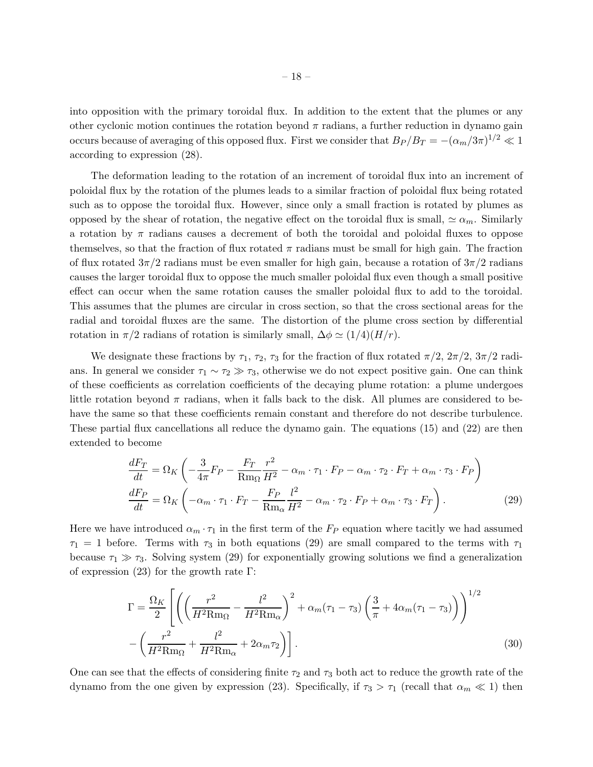into opposition with the primary toroidal flux. In addition to the extent that the plumes or any other cyclonic motion continues the rotation beyond  $\pi$  radians, a further reduction in dynamo gain occurs because of averaging of this opposed flux. First we consider that  $B_P/B_T = -(\alpha_m/3\pi)^{1/2} \ll 1$ according to expression (28).

The deformation leading to the rotation of an increment of toroidal flux into an increment of poloidal flux by the rotation of the plumes leads to a similar fraction of poloidal flux being rotated such as to oppose the toroidal flux. However, since only a small fraction is rotated by plumes as opposed by the shear of rotation, the negative effect on the toroidal flux is small,  $\simeq \alpha_m$ . Similarly a rotation by  $\pi$  radians causes a decrement of both the toroidal and poloidal fluxes to oppose themselves, so that the fraction of flux rotated  $\pi$  radians must be small for high gain. The fraction of flux rotated  $3\pi/2$  radians must be even smaller for high gain, because a rotation of  $3\pi/2$  radians causes the larger toroidal flux to oppose the much smaller poloidal flux even though a small positive effect can occur when the same rotation causes the smaller poloidal flux to add to the toroidal. This assumes that the plumes are circular in cross section, so that the cross sectional areas for the radial and toroidal fluxes are the same. The distortion of the plume cross section by differential rotation in  $\pi/2$  radians of rotation is similarly small,  $\Delta \phi \simeq (1/4)(H/r)$ .

We designate these fractions by  $\tau_1$ ,  $\tau_2$ ,  $\tau_3$  for the fraction of flux rotated  $\pi/2$ ,  $2\pi/2$ ,  $3\pi/2$  radians. In general we consider  $\tau_1 \sim \tau_2 \gg \tau_3$ , otherwise we do not expect positive gain. One can think of these coefficients as correlation coefficients of the decaying plume rotation: a plume undergoes little rotation beyond  $\pi$  radians, when it falls back to the disk. All plumes are considered to behave the same so that these coefficients remain constant and therefore do not describe turbulence. These partial flux cancellations all reduce the dynamo gain. The equations (15) and (22) are then extended to become

$$
\frac{dF_T}{dt} = \Omega_K \left( -\frac{3}{4\pi} F_P - \frac{F_T}{Rm_\Omega} \frac{r^2}{H^2} - \alpha_m \cdot \tau_1 \cdot F_P - \alpha_m \cdot \tau_2 \cdot F_T + \alpha_m \cdot \tau_3 \cdot F_P \right)
$$
\n
$$
\frac{dF_P}{dt} = \Omega_K \left( -\alpha_m \cdot \tau_1 \cdot F_T - \frac{F_P}{Rm_\alpha} \frac{l^2}{H^2} - \alpha_m \cdot \tau_2 \cdot F_P + \alpha_m \cdot \tau_3 \cdot F_T \right). \tag{29}
$$

Here we have introduced  $\alpha_m \cdot \tau_1$  in the first term of the  $F_P$  equation where tacitly we had assumed  $\tau_1 = 1$  before. Terms with  $\tau_3$  in both equations (29) are small compared to the terms with  $\tau_1$ because  $\tau_1 \gg \tau_3$ . Solving system (29) for exponentially growing solutions we find a generalization of expression (23) for the growth rate  $\Gamma$ :

$$
\Gamma = \frac{\Omega_K}{2} \left[ \left( \left( \frac{r^2}{H^2 \text{Rm}_{\Omega}} - \frac{l^2}{H^2 \text{Rm}_{\alpha}} \right)^2 + \alpha_m (\tau_1 - \tau_3) \left( \frac{3}{\pi} + 4\alpha_m (\tau_1 - \tau_3) \right) \right)^{1/2} - \left( \frac{r^2}{H^2 \text{Rm}_{\Omega}} + \frac{l^2}{H^2 \text{Rm}_{\alpha}} + 2\alpha_m \tau_2 \right) \right].
$$
\n(30)

One can see that the effects of considering finite  $\tau_2$  and  $\tau_3$  both act to reduce the growth rate of the dynamo from the one given by expression (23). Specifically, if  $\tau_3 > \tau_1$  (recall that  $\alpha_m \ll 1$ ) then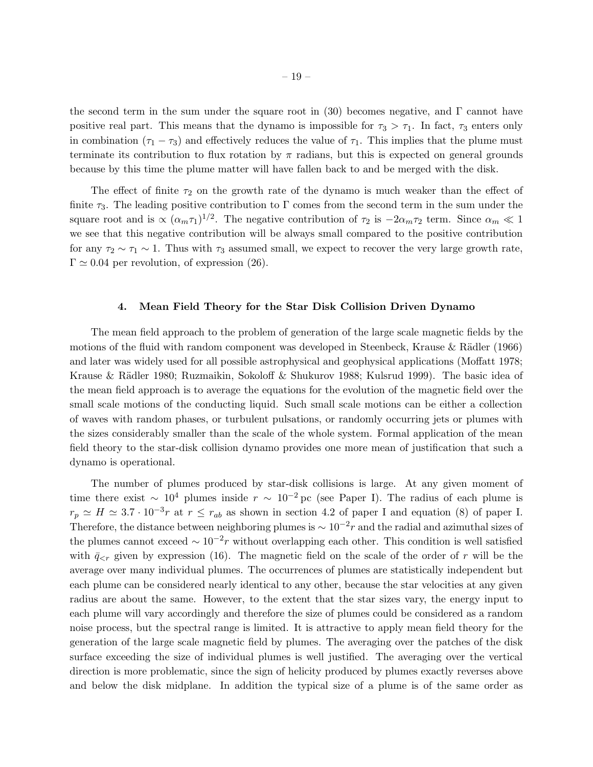the second term in the sum under the square root in (30) becomes negative, and  $\Gamma$  cannot have positive real part. This means that the dynamo is impossible for  $\tau_3 > \tau_1$ . In fact,  $\tau_3$  enters only in combination  $(\tau_1 - \tau_3)$  and effectively reduces the value of  $\tau_1$ . This implies that the plume must terminate its contribution to flux rotation by  $\pi$  radians, but this is expected on general grounds because by this time the plume matter will have fallen back to and be merged with the disk.

The effect of finite  $\tau_2$  on the growth rate of the dynamo is much weaker than the effect of finite  $\tau_3$ . The leading positive contribution to Γ comes from the second term in the sum under the square root and is  $\propto (\alpha_m \tau_1)^{1/2}$ . The negative contribution of  $\tau_2$  is  $-2\alpha_m \tau_2$  term. Since  $\alpha_m \ll 1$ we see that this negative contribution will be always small compared to the positive contribution for any  $\tau_2 \sim \tau_1 \sim 1$ . Thus with  $\tau_3$  assumed small, we expect to recover the very large growth rate,  $\Gamma \simeq 0.04$  per revolution, of expression (26).

#### 4. Mean Field Theory for the Star Disk Collision Driven Dynamo

The mean field approach to the problem of generation of the large scale magnetic fields by the motions of the fluid with random component was developed in Steenbeck, Krause & Rädler (1966) and later was widely used for all possible astrophysical and geophysical applications (Moffatt 1978; Krause & Rädler 1980; Ruzmaikin, Sokoloff & Shukurov 1988; Kulsrud 1999). The basic idea of the mean field approach is to average the equations for the evolution of the magnetic field over the small scale motions of the conducting liquid. Such small scale motions can be either a collection of waves with random phases, or turbulent pulsations, or randomly occurring jets or plumes with the sizes considerably smaller than the scale of the whole system. Formal application of the mean field theory to the star-disk collision dynamo provides one more mean of justification that such a dynamo is operational.

The number of plumes produced by star-disk collisions is large. At any given moment of time there exist ~ 10<sup>4</sup> plumes inside  $r \sim 10^{-2}$  pc (see Paper I). The radius of each plume is  $r_p \simeq H \simeq 3.7 \cdot 10^{-3} r$  at  $r \leq r_{ab}$  as shown in section 4.2 of paper I and equation (8) of paper I. Therefore, the distance between neighboring plumes is  $\sim 10^{-2}r$  and the radial and azimuthal sizes of the plumes cannot exceed  $\sim 10^{-2}r$  without overlapping each other. This condition is well satisfied with  $\bar{q}_{\leq r}$  given by expression (16). The magnetic field on the scale of the order of r will be the average over many individual plumes. The occurrences of plumes are statistically independent but each plume can be considered nearly identical to any other, because the star velocities at any given radius are about the same. However, to the extent that the star sizes vary, the energy input to each plume will vary accordingly and therefore the size of plumes could be considered as a random noise process, but the spectral range is limited. It is attractive to apply mean field theory for the generation of the large scale magnetic field by plumes. The averaging over the patches of the disk surface exceeding the size of individual plumes is well justified. The averaging over the vertical direction is more problematic, since the sign of helicity produced by plumes exactly reverses above and below the disk midplane. In addition the typical size of a plume is of the same order as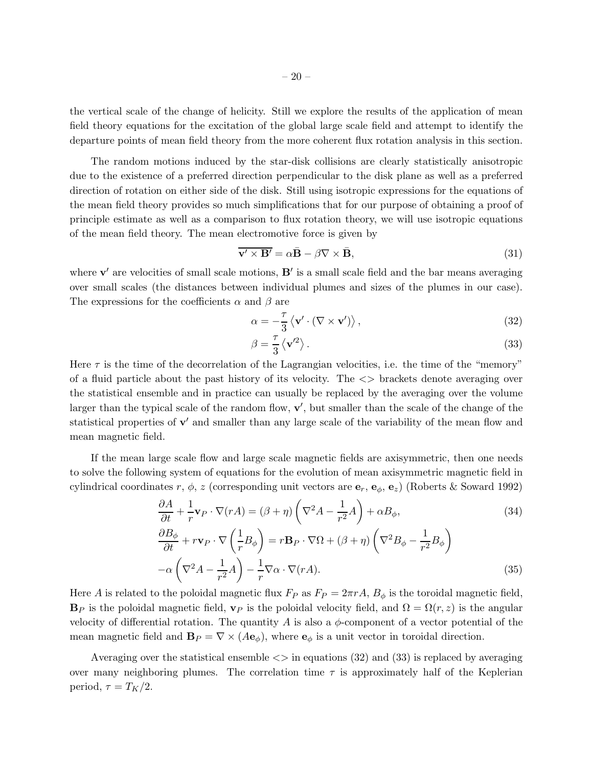the vertical scale of the change of helicity. Still we explore the results of the application of mean field theory equations for the excitation of the global large scale field and attempt to identify the departure points of mean field theory from the more coherent flux rotation analysis in this section.

The random motions induced by the star-disk collisions are clearly statistically anisotropic due to the existence of a preferred direction perpendicular to the disk plane as well as a preferred direction of rotation on either side of the disk. Still using isotropic expressions for the equations of the mean field theory provides so much simplifications that for our purpose of obtaining a proof of principle estimate as well as a comparison to flux rotation theory, we will use isotropic equations of the mean field theory. The mean electromotive force is given by

$$
\overline{\mathbf{v}' \times \mathbf{B}'} = \alpha \overline{\mathbf{B}} - \beta \nabla \times \overline{\mathbf{B}},\tag{31}
$$

where  $\mathbf{v}'$  are velocities of small scale motions,  $\mathbf{B}'$  is a small scale field and the bar means averaging over small scales (the distances between individual plumes and sizes of the plumes in our case). The expressions for the coefficients  $\alpha$  and  $\beta$  are

$$
\alpha = -\frac{\tau}{3} \left\langle \mathbf{v}' \cdot (\nabla \times \mathbf{v}') \right\rangle, \tag{32}
$$

$$
\beta = \frac{\tau}{3} \left\langle \mathbf{v}'^2 \right\rangle. \tag{33}
$$

Here  $\tau$  is the time of the decorrelation of the Lagrangian velocities, i.e. the time of the "memory" of a fluid particle about the past history of its velocity. The <> brackets denote averaging over the statistical ensemble and in practice can usually be replaced by the averaging over the volume larger than the typical scale of the random flow,  $\mathbf{v}'$ , but smaller than the scale of the change of the statistical properties of  $\mathbf{v}'$  and smaller than any large scale of the variability of the mean flow and mean magnetic field.

If the mean large scale flow and large scale magnetic fields are axisymmetric, then one needs to solve the following system of equations for the evolution of mean axisymmetric magnetic field in cylindrical coordinates r,  $\phi$ , z (corresponding unit vectors are  $\mathbf{e}_r$ ,  $\mathbf{e}_\phi$ ,  $\mathbf{e}_z$ ) (Roberts & Soward 1992)

$$
\frac{\partial A}{\partial t} + \frac{1}{r} \mathbf{v}_P \cdot \nabla(rA) = (\beta + \eta) \left( \nabla^2 A - \frac{1}{r^2} A \right) + \alpha B_\phi,
$$
\n(34)

$$
\frac{\partial B_{\phi}}{\partial t} + r\mathbf{v}_P \cdot \nabla \left(\frac{1}{r}B_{\phi}\right) = r\mathbf{B}_P \cdot \nabla \Omega + (\beta + \eta) \left(\nabla^2 B_{\phi} - \frac{1}{r^2}B_{\phi}\right) \n- \alpha \left(\nabla^2 A - \frac{1}{r^2}A\right) - \frac{1}{r}\nabla \alpha \cdot \nabla (rA).
$$
\n(35)

Here A is related to the poloidal magnetic flux  $F_P$  as  $F_P = 2\pi rA$ ,  $B_{\phi}$  is the toroidal magnetic field,  $\mathbf{B}_P$  is the poloidal magnetic field,  $\mathbf{v}_P$  is the poloidal velocity field, and  $\Omega = \Omega(r, z)$  is the angular velocity of differential rotation. The quantity A is also a  $\phi$ -component of a vector potential of the mean magnetic field and  $\mathbf{B}_P = \nabla \times (A\mathbf{e}_{\phi})$ , where  $\mathbf{e}_{\phi}$  is a unit vector in toroidal direction.

Averaging over the statistical ensemble  $\langle \rangle$  in equations (32) and (33) is replaced by averaging over many neighboring plumes. The correlation time  $\tau$  is approximately half of the Keplerian period,  $\tau = T_K/2$ .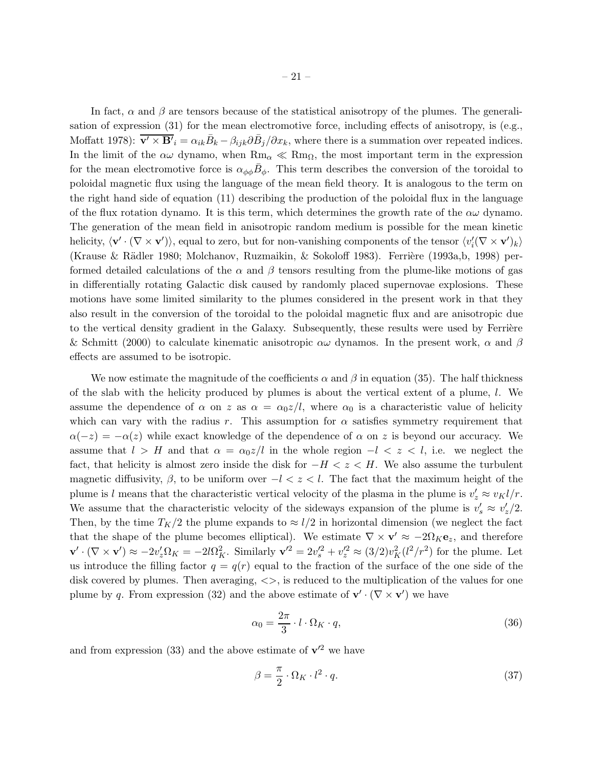In fact,  $\alpha$  and  $\beta$  are tensors because of the statistical anisotropy of the plumes. The generalisation of expression (31) for the mean electromotive force, including effects of anisotropy, is (e.g., Moffatt 1978):  $\overline{\mathbf{v}' \times \mathbf{B}'}_i = \alpha_{ik} \overline{B}_k - \beta_{ijk} \partial \overline{B}_j / \partial x_k$ , where there is a summation over repeated indices. In the limit of the  $\alpha\omega$  dynamo, when  $\text{Rm}_{\alpha} \ll \text{Rm}_{\Omega}$ , the most important term in the expression for the mean electromotive force is  $\alpha_{\phi\phi}\bar{B}_{\phi}$ . This term describes the conversion of the toroidal to poloidal magnetic flux using the language of the mean field theory. It is analogous to the term on the right hand side of equation (11) describing the production of the poloidal flux in the language of the flux rotation dynamo. It is this term, which determines the growth rate of the  $\alpha\omega$  dynamo. The generation of the mean field in anisotropic random medium is possible for the mean kinetic helicity,  $\langle \mathbf{v}' \cdot (\nabla \times \mathbf{v}') \rangle$ , equal to zero, but for non-vanishing components of the tensor  $\langle v'_i(\nabla \times \mathbf{v}')_k \rangle$ (Krause & Rädler 1980; Molchanov, Ruzmaikin, & Sokoloff 1983). Ferrière (1993a,b, 1998) performed detailed calculations of the  $\alpha$  and  $\beta$  tensors resulting from the plume-like motions of gas in differentially rotating Galactic disk caused by randomly placed supernovae explosions. These motions have some limited similarity to the plumes considered in the present work in that they

also result in the conversion of the toroidal to the poloidal magnetic flux and are anisotropic due to the vertical density gradient in the Galaxy. Subsequently, these results were used by Ferrière & Schmitt (2000) to calculate kinematic anisotropic  $\alpha\omega$  dynamos. In the present work,  $\alpha$  and  $\beta$ effects are assumed to be isotropic.

We now estimate the magnitude of the coefficients  $\alpha$  and  $\beta$  in equation (35). The half thickness of the slab with the helicity produced by plumes is about the vertical extent of a plume,  $l$ . We assume the dependence of  $\alpha$  on z as  $\alpha = \alpha_0 z/l$ , where  $\alpha_0$  is a characteristic value of helicity which can vary with the radius r. This assumption for  $\alpha$  satisfies symmetry requirement that  $\alpha(-z) = -\alpha(z)$  while exact knowledge of the dependence of  $\alpha$  on z is beyond our accuracy. We assume that  $l > H$  and that  $\alpha = \alpha_0 z/l$  in the whole region  $-l < z < l$ , i.e. we neglect the fact, that helicity is almost zero inside the disk for  $-H < z < H$ . We also assume the turbulent magnetic diffusivity,  $\beta$ , to be uniform over  $-l < z < l$ . The fact that the maximum height of the plume is l means that the characteristic vertical velocity of the plasma in the plume is  $v'_z \approx v_K l/r$ . We assume that the characteristic velocity of the sideways expansion of the plume is  $v_s' \approx v_z'/2$ . Then, by the time  $T_K/2$  the plume expands to  $\approx l/2$  in horizontal dimension (we neglect the fact that the shape of the plume becomes elliptical). We estimate  $\nabla \times \mathbf{v}' \approx -2\Omega_K \mathbf{e}_z$ , and therefore  $\mathbf{v}' \cdot (\nabla \times \mathbf{v}') \approx -2v_z' \Omega_K = -2l\Omega_K^2$ . Similarly  $\mathbf{v}'^2 = 2v_s'^2 + v_z'^2 \approx (3/2)v_K^2(l^2/r^2)$  for the plume. Let us introduce the filling factor  $q = q(r)$  equal to the fraction of the surface of the one side of the disk covered by plumes. Then averaging,  $\langle \rangle$ , is reduced to the multiplication of the values for one plume by q. From expression (32) and the above estimate of  $\mathbf{v}' \cdot (\nabla \times \mathbf{v}')$  we have

$$
\alpha_0 = \frac{2\pi}{3} \cdot l \cdot \Omega_K \cdot q,\tag{36}
$$

and from expression (33) and the above estimate of  $v'^2$  we have

$$
\beta = \frac{\pi}{2} \cdot \Omega_K \cdot l^2 \cdot q. \tag{37}
$$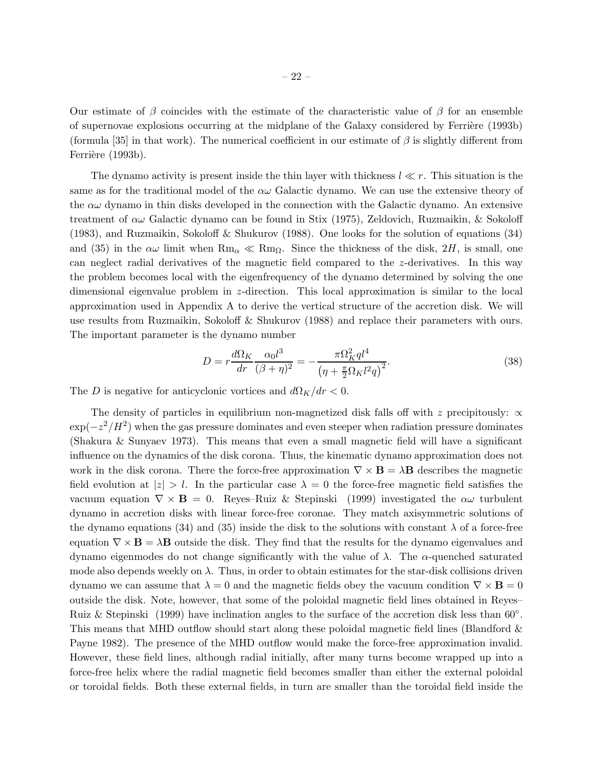Our estimate of  $\beta$  coincides with the estimate of the characteristic value of  $\beta$  for an ensemble of supernovae explosions occurring at the midplane of the Galaxy considered by Ferrière (1993b) (formula [35] in that work). The numerical coefficient in our estimate of  $\beta$  is slightly different from Ferrière (1993b).

The dynamo activity is present inside the thin layer with thickness  $l \ll r$ . This situation is the same as for the traditional model of the  $\alpha\omega$  Galactic dynamo. We can use the extensive theory of the  $\alpha\omega$  dynamo in thin disks developed in the connection with the Galactic dynamo. An extensive treatment of  $\alpha\omega$  Galactic dynamo can be found in Stix (1975), Zeldovich, Ruzmaikin, & Sokoloff (1983), and Ruzmaikin, Sokoloff & Shukurov (1988). One looks for the solution of equations (34) and (35) in the  $\alpha\omega$  limit when  $\text{Rm}_{\alpha} \ll \text{Rm}_{\Omega}$ . Since the thickness of the disk, 2H, is small, one can neglect radial derivatives of the magnetic field compared to the z-derivatives. In this way the problem becomes local with the eigenfrequency of the dynamo determined by solving the one dimensional eigenvalue problem in z-direction. This local approximation is similar to the local approximation used in Appendix A to derive the vertical structure of the accretion disk. We will use results from Ruzmaikin, Sokoloff & Shukurov (1988) and replace their parameters with ours. The important parameter is the dynamo number

$$
D = r \frac{d\Omega_K}{dr} \frac{\alpha_0 l^3}{(\beta + \eta)^2} = -\frac{\pi \Omega_K^2 q l^4}{\left(\eta + \frac{\pi}{2} \Omega_K l^2 q\right)^2}.
$$
 (38)

The D is negative for anticyclonic vortices and  $d\Omega_K/dr < 0$ .

The density of particles in equilibrium non-magnetized disk falls off with z precipitously:  $\propto$  $\exp(-z^2/H^2)$  when the gas pressure dominates and even steeper when radiation pressure dominates (Shakura & Sunyaev 1973). This means that even a small magnetic field will have a significant influence on the dynamics of the disk corona. Thus, the kinematic dynamo approximation does not work in the disk corona. There the force-free approximation  $\nabla \times \mathbf{B} = \lambda \mathbf{B}$  describes the magnetic field evolution at  $|z| > l$ . In the particular case  $\lambda = 0$  the force-free magnetic field satisfies the vacuum equation  $\nabla \times \mathbf{B} = 0$ . Reyes–Ruiz & Stepinski (1999) investigated the  $\alpha\omega$  turbulent dynamo in accretion disks with linear force-free coronae. They match axisymmetric solutions of the dynamo equations (34) and (35) inside the disk to the solutions with constant  $\lambda$  of a force-free equation  $\nabla \times \mathbf{B} = \lambda \mathbf{B}$  outside the disk. They find that the results for the dynamo eigenvalues and dynamo eigenmodes do not change significantly with the value of λ. The α-quenched saturated mode also depends weekly on  $\lambda$ . Thus, in order to obtain estimates for the star-disk collisions driven dynamo we can assume that  $\lambda = 0$  and the magnetic fields obey the vacuum condition  $\nabla \times \mathbf{B} = 0$ outside the disk. Note, however, that some of the poloidal magnetic field lines obtained in Reyes– Ruiz & Stepinski (1999) have inclination angles to the surface of the accretion disk less than  $60°$ . This means that MHD outflow should start along these poloidal magnetic field lines (Blandford & Payne 1982). The presence of the MHD outflow would make the force-free approximation invalid. However, these field lines, although radial initially, after many turns become wrapped up into a force-free helix where the radial magnetic field becomes smaller than either the external poloidal or toroidal fields. Both these external fields, in turn are smaller than the toroidal field inside the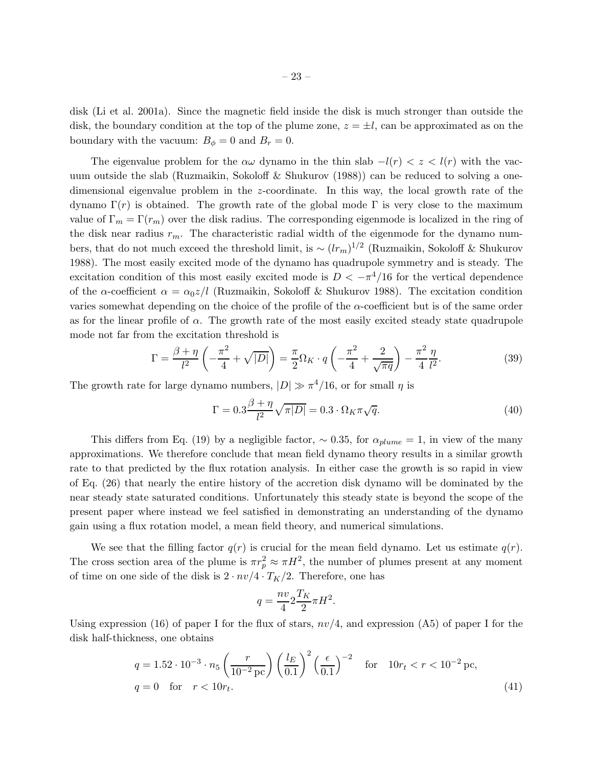disk (Li et al. 2001a). Since the magnetic field inside the disk is much stronger than outside the disk, the boundary condition at the top of the plume zone,  $z = \pm l$ , can be approximated as on the boundary with the vacuum:  $B_{\phi} = 0$  and  $B_{r} = 0$ .

The eigenvalue problem for the  $\alpha\omega$  dynamo in the thin slab  $-l(r) < z < l(r)$  with the vacuum outside the slab (Ruzmaikin, Sokoloff & Shukurov (1988)) can be reduced to solving a onedimensional eigenvalue problem in the z-coordinate. In this way, the local growth rate of the dynamo Γ(r) is obtained. The growth rate of the global mode Γ is very close to the maximum value of  $\Gamma_m = \Gamma(r_m)$  over the disk radius. The corresponding eigenmode is localized in the ring of the disk near radius  $r_m$ . The characteristic radial width of the eigenmode for the dynamo numbers, that do not much exceed the threshold limit, is  $\sim (lr_m)^{1/2}$  (Ruzmaikin, Sokoloff & Shukurov 1988). The most easily excited mode of the dynamo has quadrupole symmetry and is steady. The excitation condition of this most easily excited mode is  $D < -\pi^4/16$  for the vertical dependence of the  $\alpha$ -coefficient  $\alpha = \alpha_0 z/l$  (Ruzmaikin, Sokoloff & Shukurov 1988). The excitation condition varies somewhat depending on the choice of the profile of the  $\alpha$ -coefficient but is of the same order as for the linear profile of  $\alpha$ . The growth rate of the most easily excited steady state quadrupole mode not far from the excitation threshold is

$$
\Gamma = \frac{\beta + \eta}{l^2} \left( -\frac{\pi^2}{4} + \sqrt{|D|} \right) = \frac{\pi}{2} \Omega_K \cdot q \left( -\frac{\pi^2}{4} + \frac{2}{\sqrt{\pi q}} \right) - \frac{\pi^2}{4} \frac{\eta}{l^2}.
$$
 (39)

The growth rate for large dynamo numbers,  $|D| \gg \pi^4/16$ , or for small  $\eta$  is

$$
\Gamma = 0.3 \frac{\beta + \eta}{l^2} \sqrt{\pi |D|} = 0.3 \cdot \Omega_K \pi \sqrt{q}.
$$
\n(40)

This differs from Eq. (19) by a negligible factor,  $\sim 0.35$ , for  $\alpha_{plume} = 1$ , in view of the many approximations. We therefore conclude that mean field dynamo theory results in a similar growth rate to that predicted by the flux rotation analysis. In either case the growth is so rapid in view of Eq. (26) that nearly the entire history of the accretion disk dynamo will be dominated by the near steady state saturated conditions. Unfortunately this steady state is beyond the scope of the present paper where instead we feel satisfied in demonstrating an understanding of the dynamo gain using a flux rotation model, a mean field theory, and numerical simulations.

We see that the filling factor  $q(r)$  is crucial for the mean field dynamo. Let us estimate  $q(r)$ . The cross section area of the plume is  $\pi r_p^2 \approx \pi H^2$ , the number of plumes present at any moment of time on one side of the disk is  $2 \cdot nv/4 \cdot T_K/2$ . Therefore, one has

$$
q = \frac{nv}{4} 2 \frac{T_K}{2} \pi H^2.
$$

Using expression (16) of paper I for the flux of stars,  $nv/4$ , and expression (A5) of paper I for the disk half-thickness, one obtains

$$
q = 1.52 \cdot 10^{-3} \cdot n_5 \left(\frac{r}{10^{-2} \,\text{pc}}\right) \left(\frac{l_E}{0.1}\right)^2 \left(\frac{\epsilon}{0.1}\right)^{-2} \quad \text{for} \quad 10r_t < r < 10^{-2} \,\text{pc},
$$
\n
$$
q = 0 \quad \text{for} \quad r < 10r_t. \tag{41}
$$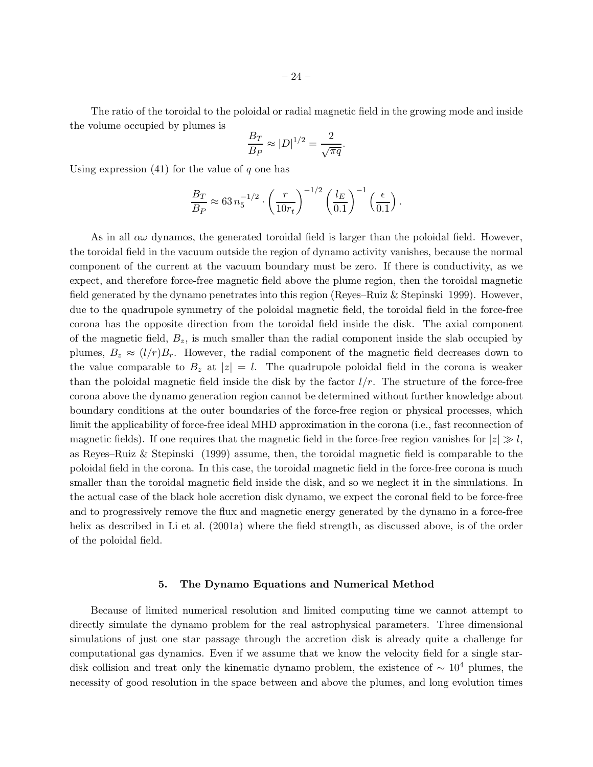The ratio of the toroidal to the poloidal or radial magnetic field in the growing mode and inside the volume occupied by plumes is

$$
\frac{B_T}{B_P} \approx |D|^{1/2} = \frac{2}{\sqrt{\pi q}}.
$$

Using expression  $(41)$  for the value of q one has

$$
\frac{B_T}{B_P} \approx 63 n_5^{-1/2} \cdot \left(\frac{r}{10r_t}\right)^{-1/2} \left(\frac{l_E}{0.1}\right)^{-1} \left(\frac{\epsilon}{0.1}\right).
$$

As in all  $\alpha\omega$  dynamos, the generated toroidal field is larger than the poloidal field. However, the toroidal field in the vacuum outside the region of dynamo activity vanishes, because the normal component of the current at the vacuum boundary must be zero. If there is conductivity, as we expect, and therefore force-free magnetic field above the plume region, then the toroidal magnetic field generated by the dynamo penetrates into this region (Reyes–Ruiz & Stepinski 1999). However, due to the quadrupole symmetry of the poloidal magnetic field, the toroidal field in the force-free corona has the opposite direction from the toroidal field inside the disk. The axial component of the magnetic field,  $B_z$ , is much smaller than the radial component inside the slab occupied by plumes,  $B_z \approx (l/r)B_r$ . However, the radial component of the magnetic field decreases down to the value comparable to  $B_z$  at  $|z|=l$ . The quadrupole poloidal field in the corona is weaker than the poloidal magnetic field inside the disk by the factor  $l/r$ . The structure of the force-free corona above the dynamo generation region cannot be determined without further knowledge about boundary conditions at the outer boundaries of the force-free region or physical processes, which limit the applicability of force-free ideal MHD approximation in the corona (i.e., fast reconnection of magnetic fields). If one requires that the magnetic field in the force-free region vanishes for  $|z| \gg l$ , as Reyes–Ruiz & Stepinski (1999) assume, then, the toroidal magnetic field is comparable to the poloidal field in the corona. In this case, the toroidal magnetic field in the force-free corona is much smaller than the toroidal magnetic field inside the disk, and so we neglect it in the simulations. In the actual case of the black hole accretion disk dynamo, we expect the coronal field to be force-free and to progressively remove the flux and magnetic energy generated by the dynamo in a force-free helix as described in Li et al. (2001a) where the field strength, as discussed above, is of the order of the poloidal field.

#### 5. The Dynamo Equations and Numerical Method

Because of limited numerical resolution and limited computing time we cannot attempt to directly simulate the dynamo problem for the real astrophysical parameters. Three dimensional simulations of just one star passage through the accretion disk is already quite a challenge for computational gas dynamics. Even if we assume that we know the velocity field for a single stardisk collision and treat only the kinematic dynamo problem, the existence of  $\sim 10^4$  plumes, the necessity of good resolution in the space between and above the plumes, and long evolution times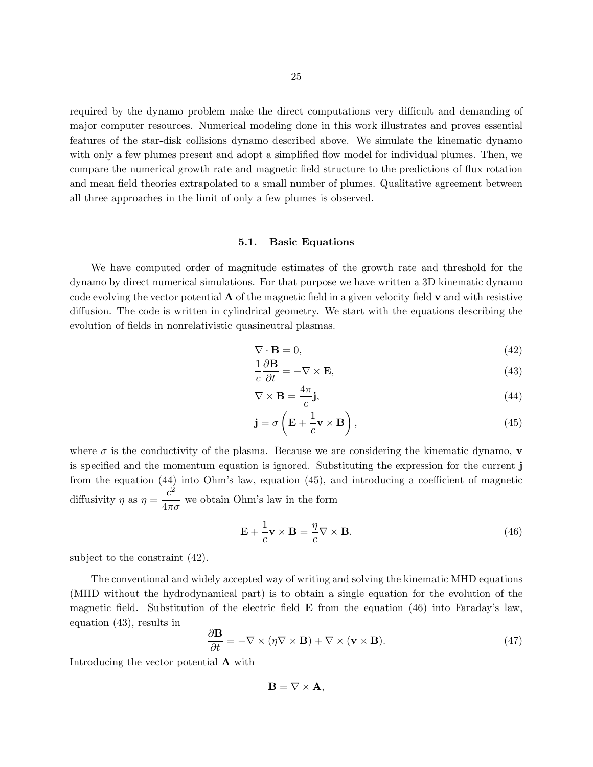required by the dynamo problem make the direct computations very difficult and demanding of major computer resources. Numerical modeling done in this work illustrates and proves essential features of the star-disk collisions dynamo described above. We simulate the kinematic dynamo with only a few plumes present and adopt a simplified flow model for individual plumes. Then, we compare the numerical growth rate and magnetic field structure to the predictions of flux rotation and mean field theories extrapolated to a small number of plumes. Qualitative agreement between all three approaches in the limit of only a few plumes is observed.

## 5.1. Basic Equations

We have computed order of magnitude estimates of the growth rate and threshold for the dynamo by direct numerical simulations. For that purpose we have written a 3D kinematic dynamo code evolving the vector potential  $\bf{A}$  of the magnetic field in a given velocity field  $\bf{v}$  and with resistive diffusion. The code is written in cylindrical geometry. We start with the equations describing the evolution of fields in nonrelativistic quasineutral plasmas.

$$
\nabla \cdot \mathbf{B} = 0,\tag{42}
$$

$$
\frac{1}{c}\frac{\partial \mathbf{B}}{\partial t} = -\nabla \times \mathbf{E},\tag{43}
$$

$$
\nabla \times \mathbf{B} = \frac{4\pi}{c} \mathbf{j},\tag{44}
$$

$$
\mathbf{j} = \sigma \left( \mathbf{E} + \frac{1}{c} \mathbf{v} \times \mathbf{B} \right),\tag{45}
$$

where  $\sigma$  is the conductivity of the plasma. Because we are considering the kinematic dynamo, **v** is specified and the momentum equation is ignored. Substituting the expression for the current j from the equation (44) into Ohm's law, equation (45), and introducing a coefficient of magnetic diffusivity  $\eta$  as  $\eta = \frac{c^2}{4}$  $\frac{6}{4\pi\sigma}$  we obtain Ohm's law in the form

$$
\mathbf{E} + \frac{1}{c}\mathbf{v} \times \mathbf{B} = \frac{\eta}{c}\nabla \times \mathbf{B}.
$$
 (46)

subject to the constraint (42).

The conventional and widely accepted way of writing and solving the kinematic MHD equations (MHD without the hydrodynamical part) is to obtain a single equation for the evolution of the magnetic field. Substitution of the electric field  $\bf{E}$  from the equation (46) into Faraday's law, equation (43), results in

$$
\frac{\partial \mathbf{B}}{\partial t} = -\nabla \times (\eta \nabla \times \mathbf{B}) + \nabla \times (\mathbf{v} \times \mathbf{B}).
$$
\n(47)

Introducing the vector potential A with

 $\mathbf{B} = \nabla \times \mathbf{A}$ ,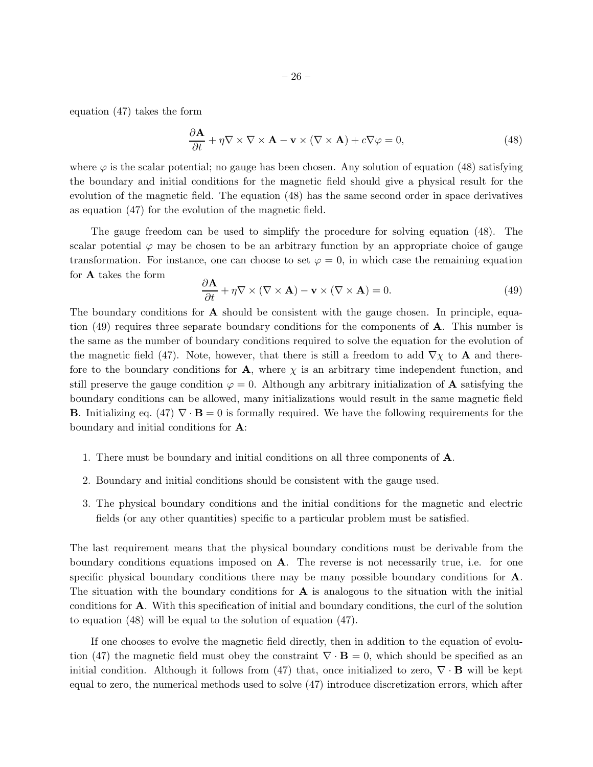equation (47) takes the form

$$
\frac{\partial \mathbf{A}}{\partial t} + \eta \nabla \times \nabla \times \mathbf{A} - \mathbf{v} \times (\nabla \times \mathbf{A}) + c \nabla \varphi = 0,
$$
\n(48)

where  $\varphi$  is the scalar potential; no gauge has been chosen. Any solution of equation (48) satisfying the boundary and initial conditions for the magnetic field should give a physical result for the evolution of the magnetic field. The equation (48) has the same second order in space derivatives as equation (47) for the evolution of the magnetic field.

The gauge freedom can be used to simplify the procedure for solving equation (48). The scalar potential  $\varphi$  may be chosen to be an arbitrary function by an appropriate choice of gauge transformation. For instance, one can choose to set  $\varphi = 0$ , in which case the remaining equation for A takes the form

$$
\frac{\partial \mathbf{A}}{\partial t} + \eta \nabla \times (\nabla \times \mathbf{A}) - \mathbf{v} \times (\nabla \times \mathbf{A}) = 0.
$$
 (49)

The boundary conditions for  $\bf{A}$  should be consistent with the gauge chosen. In principle, equation (49) requires three separate boundary conditions for the components of  $\bf{A}$ . This number is the same as the number of boundary conditions required to solve the equation for the evolution of the magnetic field (47). Note, however, that there is still a freedom to add  $\nabla \chi$  to **A** and therefore to the boundary conditions for **A**, where  $\chi$  is an arbitrary time independent function, and still preserve the gauge condition  $\varphi = 0$ . Although any arbitrary initialization of **A** satisfying the boundary conditions can be allowed, many initializations would result in the same magnetic field **B**. Initializing eq. (47)  $\nabla \cdot \mathbf{B} = 0$  is formally required. We have the following requirements for the boundary and initial conditions for A:

- 1. There must be boundary and initial conditions on all three components of A.
- 2. Boundary and initial conditions should be consistent with the gauge used.
- 3. The physical boundary conditions and the initial conditions for the magnetic and electric fields (or any other quantities) specific to a particular problem must be satisfied.

The last requirement means that the physical boundary conditions must be derivable from the boundary conditions equations imposed on A. The reverse is not necessarily true, i.e. for one specific physical boundary conditions there may be many possible boundary conditions for A. The situation with the boundary conditions for  $A$  is analogous to the situation with the initial conditions for A. With this specification of initial and boundary conditions, the curl of the solution to equation (48) will be equal to the solution of equation (47).

If one chooses to evolve the magnetic field directly, then in addition to the equation of evolution (47) the magnetic field must obey the constraint  $\nabla \cdot \mathbf{B} = 0$ , which should be specified as an initial condition. Although it follows from (47) that, once initialized to zero,  $\nabla \cdot \mathbf{B}$  will be kept equal to zero, the numerical methods used to solve (47) introduce discretization errors, which after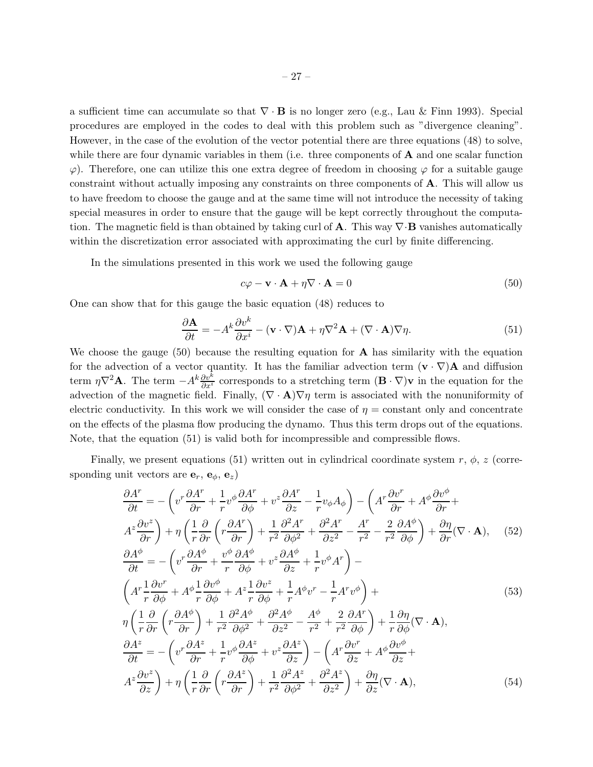a sufficient time can accumulate so that  $\nabla \cdot \mathbf{B}$  is no longer zero (e.g., Lau & Finn 1993). Special procedures are employed in the codes to deal with this problem such as "divergence cleaning". However, in the case of the evolution of the vector potential there are three equations (48) to solve, while there are four dynamic variables in them (i.e. three components of  $\bf{A}$  and one scalar function  $\varphi$ ). Therefore, one can utilize this one extra degree of freedom in choosing  $\varphi$  for a suitable gauge constraint without actually imposing any constraints on three components of A. This will allow us to have freedom to choose the gauge and at the same time will not introduce the necessity of taking special measures in order to ensure that the gauge will be kept correctly throughout the computation. The magnetic field is than obtained by taking curl of **A**. This way  $\nabla \cdot \mathbf{B}$  vanishes automatically within the discretization error associated with approximating the curl by finite differencing.

In the simulations presented in this work we used the following gauge

$$
c\varphi - \mathbf{v} \cdot \mathbf{A} + \eta \nabla \cdot \mathbf{A} = 0 \tag{50}
$$

One can show that for this gauge the basic equation (48) reduces to

$$
\frac{\partial \mathbf{A}}{\partial t} = -A^k \frac{\partial v^k}{\partial x^i} - (\mathbf{v} \cdot \nabla) \mathbf{A} + \eta \nabla^2 \mathbf{A} + (\nabla \cdot \mathbf{A}) \nabla \eta.
$$
 (51)

We choose the gauge  $(50)$  because the resulting equation for **A** has similarity with the equation for the advection of a vector quantity. It has the familiar advection term  $(\mathbf{v} \cdot \nabla) \mathbf{A}$  and diffusion term  $\eta \nabla^2 \mathbf{A}$ . The term  $-A^k \frac{\partial v^k}{\partial x^i}$  corresponds to a stretching term  $(\mathbf{B} \cdot \nabla) \mathbf{v}$  in the equation for the advection of the magnetic field. Finally,  $(\nabla \cdot \mathbf{A}) \nabla \eta$  term is associated with the nonuniformity of electric conductivity. In this work we will consider the case of  $\eta$  = constant only and concentrate on the effects of the plasma flow producing the dynamo. Thus this term drops out of the equations. Note, that the equation (51) is valid both for incompressible and compressible flows.

Finally, we present equations (51) written out in cylindrical coordinate system r,  $\phi$ , z (corresponding unit vectors are  $\mathbf{e}_r$ ,  $\mathbf{e}_{\phi}$ ,  $\mathbf{e}_z$ )

$$
\frac{\partial A^r}{\partial t} = -\left(v^r \frac{\partial A^r}{\partial r} + \frac{1}{r} v^{\phi} \frac{\partial A^r}{\partial \phi} + v^z \frac{\partial A^r}{\partial z} - \frac{1}{r} v_{\phi} A_{\phi}\right) - \left(A^r \frac{\partial v^r}{\partial r} + A^{\phi} \frac{\partial v^{\phi}}{\partial r} + A^{\phi} \frac{\partial v^{\phi}}{\partial r} + A^z \frac{\partial v^z}{\partial r}\right) + \eta \left(\frac{1}{r} \frac{\partial}{\partial r} \left(r \frac{\partial A^r}{\partial r}\right) + \frac{1}{r^2} \frac{\partial^2 A^r}{\partial \phi^2} + \frac{\partial^2 A^r}{\partial z^2} - \frac{A^r}{r^2} - \frac{2}{r^2} \frac{\partial A^{\phi}}{\partial \phi}\right) + \frac{\partial \eta}{\partial r} (\nabla \cdot \mathbf{A}), \quad (52)
$$
\n
$$
\frac{\partial A^{\phi}}{\partial t} = -\left(v^r \frac{\partial A^{\phi}}{\partial t} + \frac{v^{\phi}}{\partial t} \frac{\partial A^{\phi}}{\partial t} + v^z \frac{\partial A^{\phi}}{\partial t} + \frac{1}{r^2} v^{\phi} A^r\right) -
$$

$$
\frac{\partial A^{\prime}}{\partial t} = -\left(v^{r}\frac{\partial A^{\prime}}{\partial r} + \frac{v^{r}}{r}\frac{\partial A^{\prime}}{\partial \phi} + v^{z}\frac{\partial A^{\prime}}{\partial z} + \frac{1}{r}v^{\phi}A^{r}\right) -
$$
\n
$$
\left(A^{r}\frac{1}{r}\frac{\partial v^{r}}{\partial \phi} + A^{\phi}\frac{1}{r}\frac{\partial v^{\phi}}{\partial \phi} + A^{z}\frac{1}{r}\frac{\partial v^{z}}{\partial \phi} + \frac{1}{r}A^{\phi}v^{r} - \frac{1}{r}A^{r}v^{\phi}\right) +
$$
\n
$$
\eta\left(\frac{1}{r}\frac{\partial}{\partial r}\left(r\frac{\partial A^{\phi}}{\partial r}\right) + \frac{1}{r^{2}}\frac{\partial^{2} A^{\phi}}{\partial \phi^{2}} + \frac{\partial^{2} A^{\phi}}{\partial z^{2}} - \frac{A^{\phi}}{r^{2}} + \frac{2}{r^{2}}\frac{\partial A^{r}}{\partial \phi}\right) + \frac{1}{r}\frac{\partial \eta}{\partial \phi}(\nabla \cdot \mathbf{A}),
$$
\n
$$
\frac{\partial A^{z}}{\partial t} = -\left(v^{r}\frac{\partial A^{z}}{\partial r} + \frac{1}{r}v^{\phi}\frac{\partial A^{z}}{\partial \phi} + v^{z}\frac{\partial A^{z}}{\partial z}\right) - \left(A^{r}\frac{\partial v^{r}}{\partial z} + A^{\phi}\frac{\partial v^{\phi}}{\partial z} + A^{\phi}\frac{\partial v^{\phi}}{\partial z}\right)
$$
\n
$$
A^{z}\frac{\partial v^{z}}{\partial z}\right) + \eta\left(\frac{1}{r}\frac{\partial}{\partial r}\left(r\frac{\partial A^{z}}{\partial r}\right) + \frac{1}{r^{2}}\frac{\partial^{2} A^{z}}{\partial \phi^{2}} + \frac{\partial^{2} A^{z}}{\partial z^{2}}\right) + \frac{\partial \eta}{\partial z}(\nabla \cdot \mathbf{A}),
$$
\n(54)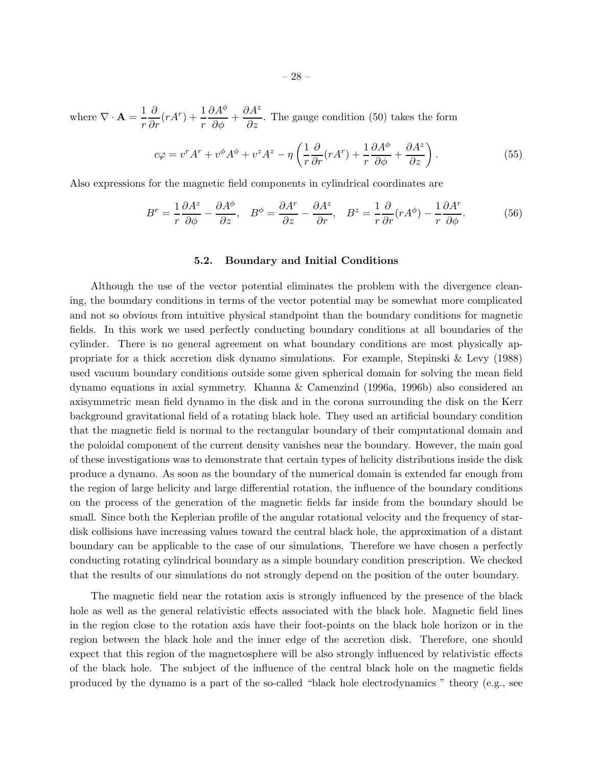where  $\nabla \cdot \mathbf{A} = \frac{1}{r}$ r  $\frac{\partial}{\partial r}(rA^r) + \frac{1}{r}$  $\partial A^\phi$  $rac{\partial}{\partial \phi}$  +  $\partial A^z$  $\frac{\partial T}{\partial z}$ . The gauge condition (50) takes the form

$$
c\varphi = v^r A^r + v^\phi A^\phi + v^z A^z - \eta \left( \frac{1}{r} \frac{\partial}{\partial r} (r A^r) + \frac{1}{r} \frac{\partial A^\phi}{\partial \phi} + \frac{\partial A^z}{\partial z} \right). \tag{55}
$$

Also expressions for the magnetic field components in cylindrical coordinates are

$$
B^r = \frac{1}{r} \frac{\partial A^z}{\partial \phi} - \frac{\partial A^{\phi}}{\partial z}, \quad B^{\phi} = \frac{\partial A^r}{\partial z} - \frac{\partial A^z}{\partial r}, \quad B^z = \frac{1}{r} \frac{\partial}{\partial r} (r A^{\phi}) - \frac{1}{r} \frac{\partial A^r}{\partial \phi}.
$$
 (56)

### 5.2. Boundary and Initial Conditions

Although the use of the vector potential eliminates the problem with the divergence cleaning, the boundary conditions in terms of the vector potential may be somewhat more complicated and not so obvious from intuitive physical standpoint than the boundary conditions for magnetic fields. In this work we used perfectly conducting boundary conditions at all boundaries of the cylinder. There is no general agreement on what boundary conditions are most physically appropriate for a thick accretion disk dynamo simulations. For example, Stepinski & Levy (1988) used vacuum boundary conditions outside some given spherical domain for solving the mean field dynamo equations in axial symmetry. Khanna & Camenzind (1996a, 1996b) also considered an axisymmetric mean field dynamo in the disk and in the corona surrounding the disk on the Kerr background gravitational field of a rotating black hole. They used an artificial boundary condition that the magnetic field is normal to the rectangular boundary of their computational domain and the poloidal component of the current density vanishes near the boundary. However, the main goal of these investigations was to demonstrate that certain types of helicity distributions inside the disk produce a dynamo. As soon as the boundary of the numerical domain is extended far enough from the region of large helicity and large differential rotation, the influence of the boundary conditions on the process of the generation of the magnetic fields far inside from the boundary should be small. Since both the Keplerian profile of the angular rotational velocity and the frequency of stardisk collisions have increasing values toward the central black hole, the approximation of a distant boundary can be applicable to the case of our simulations. Therefore we have chosen a perfectly conducting rotating cylindrical boundary as a simple boundary condition prescription. We checked that the results of our simulations do not strongly depend on the position of the outer boundary.

The magnetic field near the rotation axis is strongly influenced by the presence of the black hole as well as the general relativistic effects associated with the black hole. Magnetic field lines in the region close to the rotation axis have their foot-points on the black hole horizon or in the region between the black hole and the inner edge of the accretion disk. Therefore, one should expect that this region of the magnetosphere will be also strongly influenced by relativistic effects of the black hole. The subject of the influence of the central black hole on the magnetic fields produced by the dynamo is a part of the so-called "black hole electrodynamics " theory (e.g., see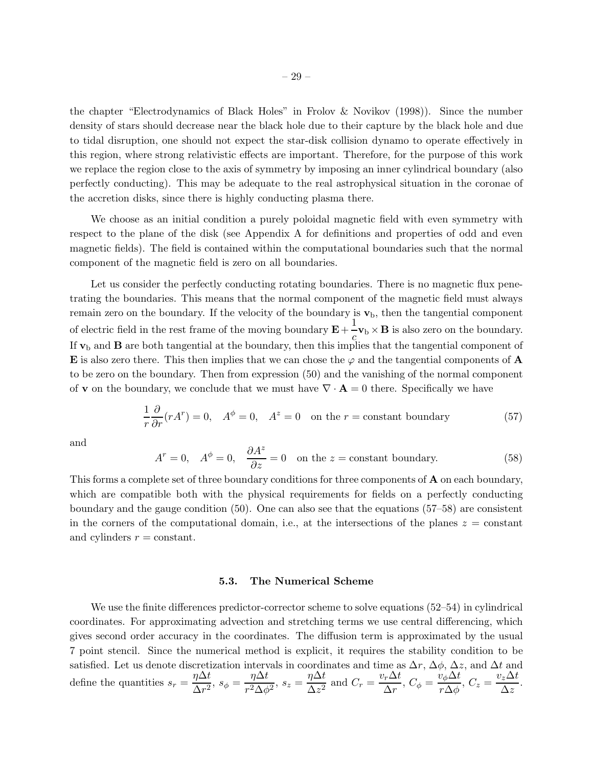the chapter "Electrodynamics of Black Holes" in Frolov & Novikov (1998)). Since the number density of stars should decrease near the black hole due to their capture by the black hole and due to tidal disruption, one should not expect the star-disk collision dynamo to operate effectively in this region, where strong relativistic effects are important. Therefore, for the purpose of this work we replace the region close to the axis of symmetry by imposing an inner cylindrical boundary (also perfectly conducting). This may be adequate to the real astrophysical situation in the coronae of the accretion disks, since there is highly conducting plasma there.

We choose as an initial condition a purely poloidal magnetic field with even symmetry with respect to the plane of the disk (see Appendix A for definitions and properties of odd and even magnetic fields). The field is contained within the computational boundaries such that the normal component of the magnetic field is zero on all boundaries.

Let us consider the perfectly conducting rotating boundaries. There is no magnetic flux penetrating the boundaries. This means that the normal component of the magnetic field must always remain zero on the boundary. If the velocity of the boundary is  $\mathbf{v}_b$ , then the tangential component of electric field in the rest frame of the moving boundary  $\mathbf{E} + \frac{1}{n}$  $\mathbf{C}_c$   $\mathbf{v}_b \times \mathbf{B}$  is also zero on the boundary. If  $v<sub>b</sub>$  and **B** are both tangential at the boundary, then this implies that the tangential component of E is also zero there. This then implies that we can chose the  $\varphi$  and the tangential components of A to be zero on the boundary. Then from expression (50) and the vanishing of the normal component of **v** on the boundary, we conclude that we must have  $\nabla \cdot \mathbf{A} = 0$  there. Specifically we have

$$
\frac{1}{r}\frac{\partial}{\partial r}(rA^r) = 0, \quad A^{\phi} = 0, \quad A^z = 0 \quad \text{on the } r = \text{constant boundary}
$$
 (57)

and

$$
A^r = 0, \quad A^\phi = 0, \quad \frac{\partial A^z}{\partial z} = 0 \quad \text{on the } z = \text{constant boundary.} \tag{58}
$$

This forms a complete set of three boundary conditions for three components of **A** on each boundary, which are compatible both with the physical requirements for fields on a perfectly conducting boundary and the gauge condition (50). One can also see that the equations (57–58) are consistent in the corners of the computational domain, i.e., at the intersections of the planes  $z = constant$ and cylinders  $r = constant$ .

## 5.3. The Numerical Scheme

We use the finite differences predictor-corrector scheme to solve equations (52–54) in cylindrical coordinates. For approximating advection and stretching terms we use central differencing, which gives second order accuracy in the coordinates. The diffusion term is approximated by the usual 7 point stencil. Since the numerical method is explicit, it requires the stability condition to be satisfied. Let us denote discretization intervals in coordinates and time as  $\Delta r$ ,  $\Delta \phi$ ,  $\Delta z$ , and  $\Delta t$  and define the quantities  $s_r = \frac{\eta \Delta t}{\Delta \sigma^2}$  $\frac{\eta \Delta t}{\Delta r^2}, s_{\phi} = \frac{\eta \Delta t}{r^2 \Delta \phi}$  $\frac{\eta \Delta t}{r^2 \Delta \phi^2}$ ,  $s_z = \frac{\eta \Delta t}{\Delta z^2}$  $rac{\eta \Delta t}{\Delta z^2}$  and  $C_r = \frac{v_r \Delta t}{\Delta r}$  $\frac{v_r \Delta t}{\Delta r},\ C_\phi = \frac{v_\phi \Delta t}{r \Delta \phi}$  $\frac{v_{\phi} \Delta t}{r \Delta \phi}, C_z = \frac{v_z \Delta t}{\Delta z}$  $rac{z-z}{\Delta z}$ .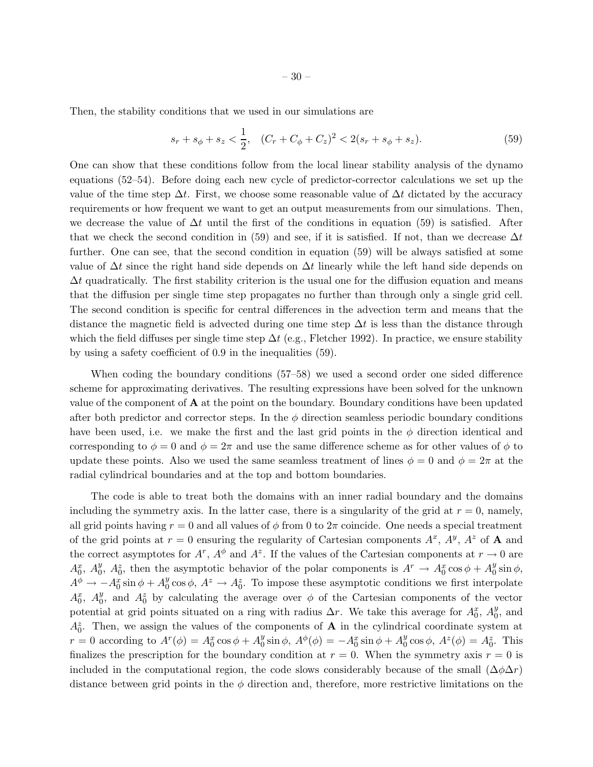Then, the stability conditions that we used in our simulations are

$$
s_r + s_{\phi} + s_z < \frac{1}{2}, \quad (C_r + C_{\phi} + C_z)^2 < 2(s_r + s_{\phi} + s_z). \tag{59}
$$

One can show that these conditions follow from the local linear stability analysis of the dynamo equations (52–54). Before doing each new cycle of predictor-corrector calculations we set up the value of the time step  $\Delta t$ . First, we choose some reasonable value of  $\Delta t$  dictated by the accuracy requirements or how frequent we want to get an output measurements from our simulations. Then, we decrease the value of  $\Delta t$  until the first of the conditions in equation (59) is satisfied. After that we check the second condition in (59) and see, if it is satisfied. If not, than we decrease  $\Delta t$ further. One can see, that the second condition in equation (59) will be always satisfied at some value of  $\Delta t$  since the right hand side depends on  $\Delta t$  linearly while the left hand side depends on  $\Delta t$  quadratically. The first stability criterion is the usual one for the diffusion equation and means that the diffusion per single time step propagates no further than through only a single grid cell. The second condition is specific for central differences in the advection term and means that the distance the magnetic field is advected during one time step  $\Delta t$  is less than the distance through which the field diffuses per single time step  $\Delta t$  (e.g., Fletcher 1992). In practice, we ensure stability by using a safety coefficient of 0.9 in the inequalities (59).

When coding the boundary conditions (57–58) we used a second order one sided difference scheme for approximating derivatives. The resulting expressions have been solved for the unknown value of the component of  $A$  at the point on the boundary. Boundary conditions have been updated after both predictor and corrector steps. In the  $\phi$  direction seamless periodic boundary conditions have been used, i.e. we make the first and the last grid points in the  $\phi$  direction identical and corresponding to  $\phi = 0$  and  $\phi = 2\pi$  and use the same difference scheme as for other values of  $\phi$  to update these points. Also we used the same seamless treatment of lines  $\phi = 0$  and  $\phi = 2\pi$  at the radial cylindrical boundaries and at the top and bottom boundaries.

The code is able to treat both the domains with an inner radial boundary and the domains including the symmetry axis. In the latter case, there is a singularity of the grid at  $r = 0$ , namely, all grid points having  $r = 0$  and all values of  $\phi$  from 0 to  $2\pi$  coincide. One needs a special treatment of the grid points at  $r = 0$  ensuring the regularity of Cartesian components  $A^x$ ,  $A^y$ ,  $A^z$  of **A** and the correct asymptotes for  $A^r$ ,  $A^\phi$  and  $A^z$ . If the values of the Cartesian components at  $r \to 0$  are  $A_0^x$ ,  $A_0^y$ ,  $A_0^z$ , then the asymptotic behavior of the polar components is  $A^r \to A_0^x \cos \phi + A_0^y \sin \phi$ ,  $A^{\phi} \to -A_0^x \sin \phi + A_0^y \cos \phi$ ,  $A^z \to A_0^z$ . To impose these asymptotic conditions we first interpolate  $A_0^x$ ,  $A_0^y$ , and  $A_0^z$  by calculating the average over  $\phi$  of the Cartesian components of the vector potential at grid points situated on a ring with radius  $\Delta r$ . We take this average for  $A_0^x$ ,  $A_0^y$ , and  $A_0^z$ . Then, we assign the values of the components of **A** in the cylindrical coordinate system at  $r = 0$  according to  $A^r(\phi) = A_0^x \cos \phi + A_0^y \sin \phi$ ,  $A^\phi(\phi) = -A_0^x \sin \phi + A_0^y \cos \phi$ ,  $A^z(\phi) = A_0^z$ . This finalizes the prescription for the boundary condition at  $r = 0$ . When the symmetry axis  $r = 0$  is included in the computational region, the code slows considerably because of the small  $(\Delta \phi \Delta r)$ distance between grid points in the  $\phi$  direction and, therefore, more restrictive limitations on the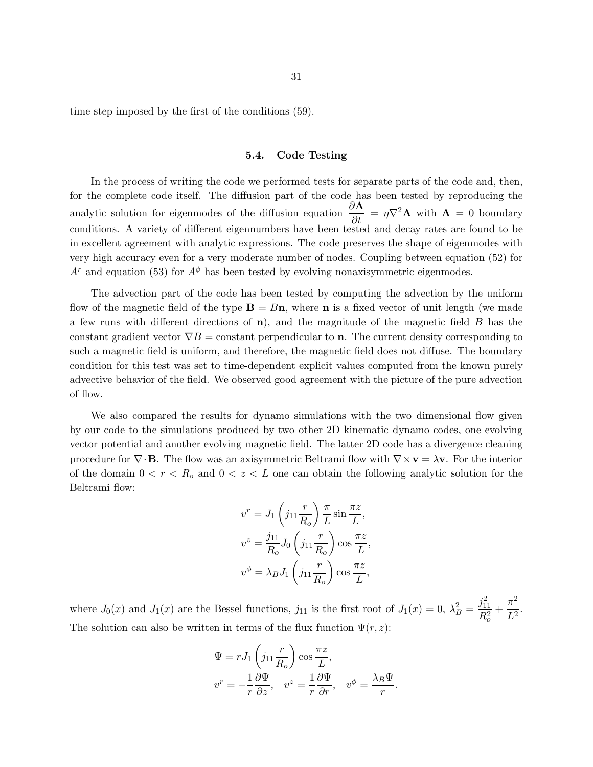time step imposed by the first of the conditions (59).

#### 5.4. Code Testing

In the process of writing the code we performed tests for separate parts of the code and, then, for the complete code itself. The diffusion part of the code has been tested by reproducing the analytic solution for eigenmodes of the diffusion equation  $\frac{\partial \mathbf{A}}{\partial t} = \eta \nabla^2 \mathbf{A}$  with  $\mathbf{A} = 0$  boundary conditions. A variety of different eigennumbers have been tested and decay rates are found to be in excellent agreement with analytic expressions. The code preserves the shape of eigenmodes with very high accuracy even for a very moderate number of nodes. Coupling between equation (52) for  $A<sup>r</sup>$  and equation (53) for  $A<sup>\phi</sup>$  has been tested by evolving nonaxisymmetric eigenmodes.

The advection part of the code has been tested by computing the advection by the uniform flow of the magnetic field of the type  $\mathbf{B} = B\mathbf{n}$ , where **n** is a fixed vector of unit length (we made a few runs with different directions of  $\bf{n}$ ), and the magnitude of the magnetic field  $\bf{B}$  has the constant gradient vector  $\nabla B =$  constant perpendicular to **n**. The current density corresponding to such a magnetic field is uniform, and therefore, the magnetic field does not diffuse. The boundary condition for this test was set to time-dependent explicit values computed from the known purely advective behavior of the field. We observed good agreement with the picture of the pure advection of flow.

We also compared the results for dynamo simulations with the two dimensional flow given by our code to the simulations produced by two other 2D kinematic dynamo codes, one evolving vector potential and another evolving magnetic field. The latter 2D code has a divergence cleaning procedure for  $\nabla \cdot \mathbf{B}$ . The flow was an axisymmetric Beltrami flow with  $\nabla \times \mathbf{v} = \lambda \mathbf{v}$ . For the interior of the domain  $0 < r < R_0$  and  $0 < z < L$  one can obtain the following analytic solution for the Beltrami flow:

$$
v^r = J_1 \left( j_{11} \frac{r}{R_o} \right) \frac{\pi}{L} \sin \frac{\pi z}{L},
$$
  

$$
v^z = \frac{j_{11}}{R_o} J_0 \left( j_{11} \frac{r}{R_o} \right) \cos \frac{\pi z}{L},
$$
  

$$
v^{\phi} = \lambda_B J_1 \left( j_{11} \frac{r}{R_o} \right) \cos \frac{\pi z}{L},
$$

where  $J_0(x)$  and  $J_1(x)$  are the Bessel functions,  $j_{11}$  is the first root of  $J_1(x) = 0$ ,  $\lambda_B^2 = \frac{j_{11}^2}{B^2}$  $\overline{R_o^2}$  $+\frac{\pi^2}{12}$  $\frac{1}{L^2}$ . The solution can also be written in terms of the flux function  $\Psi(r, z)$ :

$$
\Psi = rJ_1 \left( j_{11} \frac{r}{R_o} \right) \cos \frac{\pi z}{L},
$$
  

$$
v^r = -\frac{1}{r} \frac{\partial \Psi}{\partial z}, \quad v^z = \frac{1}{r} \frac{\partial \Psi}{\partial r}, \quad v^{\phi} = \frac{\lambda_B \Psi}{r}.
$$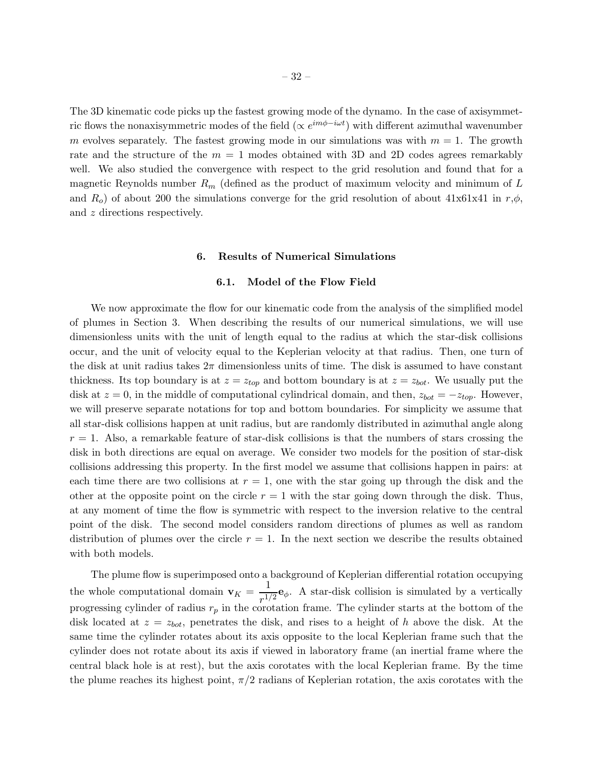The 3D kinematic code picks up the fastest growing mode of the dynamo. In the case of axisymmetric flows the nonaxisymmetric modes of the field  $(\propto e^{im\phi - i\omega t})$  with different azimuthal wavenumber m evolves separately. The fastest growing mode in our simulations was with  $m = 1$ . The growth rate and the structure of the  $m = 1$  modes obtained with 3D and 2D codes agrees remarkably well. We also studied the convergence with respect to the grid resolution and found that for a magnetic Reynolds number  $R_m$  (defined as the product of maximum velocity and minimum of L and  $R_o$ ) of about 200 the simulations converge for the grid resolution of about 41x61x41 in  $r,\phi$ , and z directions respectively.

## 6. Results of Numerical Simulations

## 6.1. Model of the Flow Field

We now approximate the flow for our kinematic code from the analysis of the simplified model of plumes in Section 3. When describing the results of our numerical simulations, we will use dimensionless units with the unit of length equal to the radius at which the star-disk collisions occur, and the unit of velocity equal to the Keplerian velocity at that radius. Then, one turn of the disk at unit radius takes  $2\pi$  dimensionless units of time. The disk is assumed to have constant thickness. Its top boundary is at  $z = z_{top}$  and bottom boundary is at  $z = z_{bot}$ . We usually put the disk at  $z = 0$ , in the middle of computational cylindrical domain, and then,  $z_{bot} = -z_{top}$ . However, we will preserve separate notations for top and bottom boundaries. For simplicity we assume that all star-disk collisions happen at unit radius, but are randomly distributed in azimuthal angle along  $r = 1$ . Also, a remarkable feature of star-disk collisions is that the numbers of stars crossing the disk in both directions are equal on average. We consider two models for the position of star-disk collisions addressing this property. In the first model we assume that collisions happen in pairs: at each time there are two collisions at  $r = 1$ , one with the star going up through the disk and the other at the opposite point on the circle  $r = 1$  with the star going down through the disk. Thus, at any moment of time the flow is symmetric with respect to the inversion relative to the central point of the disk. The second model considers random directions of plumes as well as random distribution of plumes over the circle  $r = 1$ . In the next section we describe the results obtained with both models.

The plume flow is superimposed onto a background of Keplerian differential rotation occupying the whole computational domain  $\mathbf{v}_K = \frac{1}{n!}$  $\frac{1}{T^{1/2}}$ **e**<sub>φ</sub>. A star-disk collision is simulated by a vertically progressing cylinder of radius  $r_p$  in the corotation frame. The cylinder starts at the bottom of the disk located at  $z = z_{bot}$ , penetrates the disk, and rises to a height of h above the disk. At the same time the cylinder rotates about its axis opposite to the local Keplerian frame such that the cylinder does not rotate about its axis if viewed in laboratory frame (an inertial frame where the central black hole is at rest), but the axis corotates with the local Keplerian frame. By the time the plume reaches its highest point,  $\pi/2$  radians of Keplerian rotation, the axis corotates with the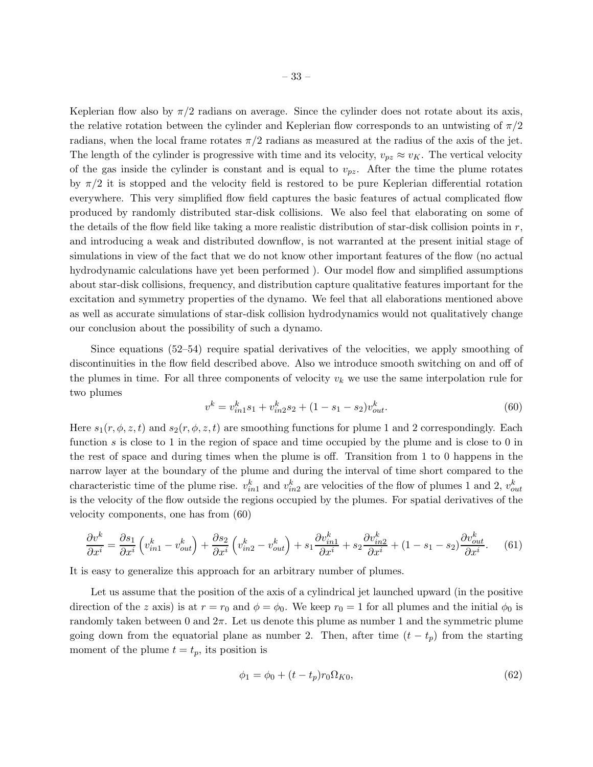Keplerian flow also by  $\pi/2$  radians on average. Since the cylinder does not rotate about its axis, the relative rotation between the cylinder and Keplerian flow corresponds to an untwisting of  $\pi/2$ radians, when the local frame rotates  $\pi/2$  radians as measured at the radius of the axis of the jet. The length of the cylinder is progressive with time and its velocity,  $v_{pz} \approx v_K$ . The vertical velocity of the gas inside the cylinder is constant and is equal to  $v_{pz}$ . After the time the plume rotates by  $\pi/2$  it is stopped and the velocity field is restored to be pure Keplerian differential rotation everywhere. This very simplified flow field captures the basic features of actual complicated flow produced by randomly distributed star-disk collisions. We also feel that elaborating on some of the details of the flow field like taking a more realistic distribution of star-disk collision points in  $r$ , and introducing a weak and distributed downflow, is not warranted at the present initial stage of simulations in view of the fact that we do not know other important features of the flow (no actual hydrodynamic calculations have yet been performed ). Our model flow and simplified assumptions about star-disk collisions, frequency, and distribution capture qualitative features important for the excitation and symmetry properties of the dynamo. We feel that all elaborations mentioned above as well as accurate simulations of star-disk collision hydrodynamics would not qualitatively change our conclusion about the possibility of such a dynamo.

Since equations (52–54) require spatial derivatives of the velocities, we apply smoothing of discontinuities in the flow field described above. Also we introduce smooth switching on and off of the plumes in time. For all three components of velocity  $v_k$  we use the same interpolation rule for two plumes

$$
v^k = v_{in1}^k s_1 + v_{in2}^k s_2 + (1 - s_1 - s_2)v_{out}^k.
$$
\n(60)

Here  $s_1(r, \phi, z, t)$  and  $s_2(r, \phi, z, t)$  are smoothing functions for plume 1 and 2 correspondingly. Each function s is close to 1 in the region of space and time occupied by the plume and is close to 0 in the rest of space and during times when the plume is off. Transition from 1 to 0 happens in the narrow layer at the boundary of the plume and during the interval of time short compared to the characteristic time of the plume rise.  $v_{in1}^k$  and  $v_{in2}^k$  are velocities of the flow of plumes 1 and 2,  $v_{out}^k$ is the velocity of the flow outside the regions occupied by the plumes. For spatial derivatives of the velocity components, one has from (60)

$$
\frac{\partial v^k}{\partial x^i} = \frac{\partial s_1}{\partial x^i} \left( v_{in1}^k - v_{out}^k \right) + \frac{\partial s_2}{\partial x^i} \left( v_{in2}^k - v_{out}^k \right) + s_1 \frac{\partial v_{in1}^k}{\partial x^i} + s_2 \frac{\partial v_{in2}^k}{\partial x^i} + (1 - s_1 - s_2) \frac{\partial v_{out}^k}{\partial x^i}.\tag{61}
$$

It is easy to generalize this approach for an arbitrary number of plumes.

Let us assume that the position of the axis of a cylindrical jet launched upward (in the positive direction of the z axis) is at  $r = r_0$  and  $\phi = \phi_0$ . We keep  $r_0 = 1$  for all plumes and the initial  $\phi_0$  is randomly taken between 0 and  $2\pi$ . Let us denote this plume as number 1 and the symmetric plume going down from the equatorial plane as number 2. Then, after time  $(t - t_p)$  from the starting moment of the plume  $t = t_p$ , its position is

$$
\phi_1 = \phi_0 + (t - t_p)r_0\Omega_{K0},\tag{62}
$$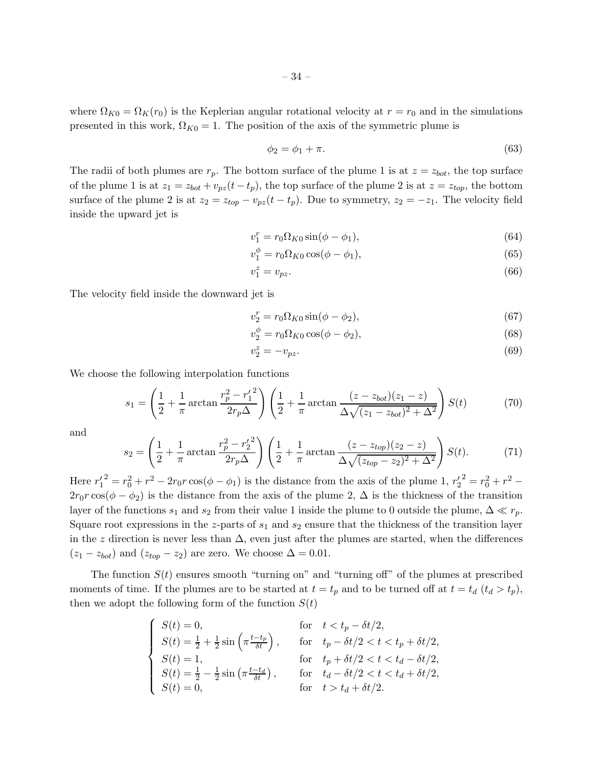where  $\Omega_{K0} = \Omega_K(r_0)$  is the Keplerian angular rotational velocity at  $r = r_0$  and in the simulations presented in this work,  $\Omega_{K0} = 1$ . The position of the axis of the symmetric plume is

$$
\phi_2 = \phi_1 + \pi. \tag{63}
$$

The radii of both plumes are  $r_p$ . The bottom surface of the plume 1 is at  $z = z_{bot}$ , the top surface of the plume 1 is at  $z_1 = z_{bot} + v_{pz}(t - t_p)$ , the top surface of the plume 2 is at  $z = z_{top}$ , the bottom surface of the plume 2 is at  $z_2 = z_{top} - v_{pz}(t - t_p)$ . Due to symmetry,  $z_2 = -z_1$ . The velocity field inside the upward jet is

$$
v_1^r = r_0 \Omega_{K0} \sin(\phi - \phi_1),\tag{64}
$$

$$
v_1^{\phi} = r_0 \Omega_{K0} \cos(\phi - \phi_1), \tag{65}
$$

$$
v_1^z = v_{pz}.\tag{66}
$$

The velocity field inside the downward jet is

$$
v_2^r = r_0 \Omega_{K0} \sin(\phi - \phi_2),\tag{67}
$$

$$
v_2^{\phi} = r_0 \Omega_{K0} \cos(\phi - \phi_2), \qquad (68)
$$

$$
v_2^z = -v_{pz}.\tag{69}
$$

We choose the following interpolation functions

$$
s_1 = \left(\frac{1}{2} + \frac{1}{\pi} \arctan\frac{r_p^2 - r_1'^2}{2r_p\Delta}\right) \left(\frac{1}{2} + \frac{1}{\pi} \arctan\frac{(z - z_{bot})(z_1 - z)}{\Delta\sqrt{(z_1 - z_{bot})^2 + \Delta^2}}\right) S(t)
$$
(70)

and

$$
s_2 = \left(\frac{1}{2} + \frac{1}{\pi} \arctan\frac{r_p^2 - r_2'^2}{2r_p \Delta}\right) \left(\frac{1}{2} + \frac{1}{\pi} \arctan\frac{(z - z_{top})(z_2 - z)}{\Delta\sqrt{(z_{top} - z_2)^2 + \Delta^2}}\right) S(t).
$$
 (71)

Here  $r_1'^2 = r_0^2 + r^2 - 2r_0r\cos(\phi - \phi_1)$  is the distance from the axis of the plume 1,  $r_2'^2 = r_0^2 + r^2 2r_0r\cos(\phi-\phi_2)$  is the distance from the axis of the plume 2,  $\Delta$  is the thickness of the transition layer of the functions  $s_1$  and  $s_2$  from their value 1 inside the plume to 0 outside the plume,  $\Delta \ll r_p$ . Square root expressions in the z-parts of  $s_1$  and  $s_2$  ensure that the thickness of the transition layer in the z direction is never less than  $\Delta$ , even just after the plumes are started, when the differences  $(z_1 - z_{bot})$  and  $(z_{top} - z_2)$  are zero. We choose  $\Delta = 0.01$ .

The function  $S(t)$  ensures smooth "turning on" and "turning off" of the plumes at prescribed moments of time. If the plumes are to be started at  $t = t_p$  and to be turned off at  $t = t_d$   $(t_d > t_p)$ , then we adopt the following form of the function  $S(t)$ 

$$
\begin{cases}\nS(t) = 0, & \text{for } t < t_p - \delta t/2, \\
S(t) = \frac{1}{2} + \frac{1}{2}\sin\left(\pi \frac{t - t_p}{\delta t}\right), & \text{for } t_p - \delta t/2 < t < t_p + \delta t/2, \\
S(t) = 1, & \text{for } t_p + \delta t/2 < t < t_d - \delta t/2, \\
S(t) = \frac{1}{2} - \frac{1}{2}\sin\left(\pi \frac{t - t_d}{\delta t}\right), & \text{for } t_d - \delta t/2 < t < t_d + \delta t/2, \\
S(t) = 0, & \text{for } t > t_d + \delta t/2.\n\end{cases}
$$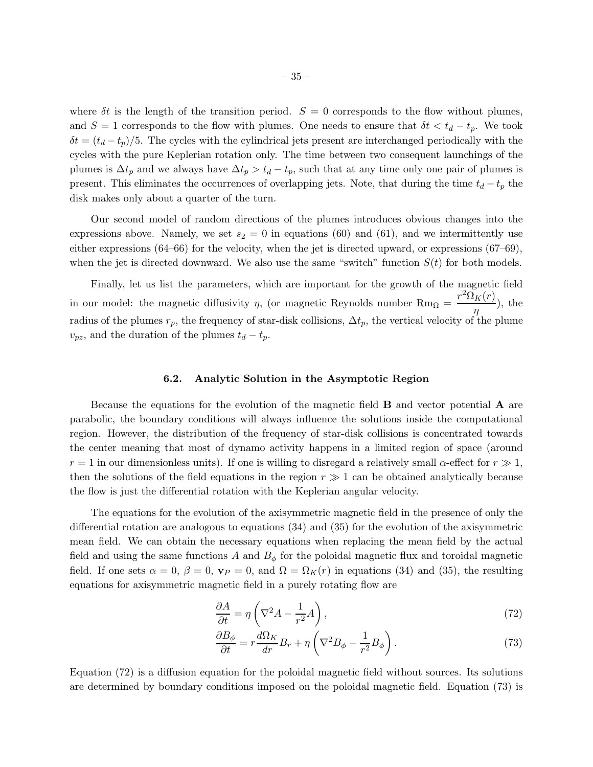where  $\delta t$  is the length of the transition period.  $S = 0$  corresponds to the flow without plumes, and  $S = 1$  corresponds to the flow with plumes. One needs to ensure that  $\delta t < t_d - t_p$ . We took  $\delta t = (t_d - t_p)/5$ . The cycles with the cylindrical jets present are interchanged periodically with the cycles with the pure Keplerian rotation only. The time between two consequent launchings of the plumes is  $\Delta t_p$  and we always have  $\Delta t_p > t_d - t_p$ , such that at any time only one pair of plumes is present. This eliminates the occurrences of overlapping jets. Note, that during the time  $t_d - t_p$  the disk makes only about a quarter of the turn.

Our second model of random directions of the plumes introduces obvious changes into the expressions above. Namely, we set  $s_2 = 0$  in equations (60) and (61), and we intermittently use either expressions (64–66) for the velocity, when the jet is directed upward, or expressions (67–69), when the jet is directed downward. We also use the same "switch" function  $S(t)$  for both models.

Finally, let us list the parameters, which are important for the growth of the magnetic field in our model: the magnetic diffusivity  $\eta$ , (or magnetic Reynolds number  $Rm_{\Omega} = \frac{r^2 \Omega_K(r)}{r^2}$  $\frac{\pi(\cdot)}{\eta}$ , the radius of the plumes  $r_p$ , the frequency of star-disk collisions,  $\Delta t_p$ , the vertical velocity of the plume  $v_{pz}$ , and the duration of the plumes  $t_d - t_p$ .

# 6.2. Analytic Solution in the Asymptotic Region

Because the equations for the evolution of the magnetic field B and vector potential A are parabolic, the boundary conditions will always influence the solutions inside the computational region. However, the distribution of the frequency of star-disk collisions is concentrated towards the center meaning that most of dynamo activity happens in a limited region of space (around  $r = 1$  in our dimensionless units). If one is willing to disregard a relatively small  $\alpha$ -effect for  $r \gg 1$ , then the solutions of the field equations in the region  $r \gg 1$  can be obtained analytically because the flow is just the differential rotation with the Keplerian angular velocity.

The equations for the evolution of the axisymmetric magnetic field in the presence of only the differential rotation are analogous to equations (34) and (35) for the evolution of the axisymmetric mean field. We can obtain the necessary equations when replacing the mean field by the actual field and using the same functions A and  $B_{\phi}$  for the poloidal magnetic flux and toroidal magnetic field. If one sets  $\alpha = 0$ ,  $\beta = 0$ ,  $\mathbf{v}_P = 0$ , and  $\Omega = \Omega_K(r)$  in equations (34) and (35), the resulting equations for axisymmetric magnetic field in a purely rotating flow are

$$
\frac{\partial A}{\partial t} = \eta \left( \nabla^2 A - \frac{1}{r^2} A \right),\tag{72}
$$

$$
\frac{\partial B_{\phi}}{\partial t} = r \frac{d\Omega_K}{dr} B_r + \eta \left( \nabla^2 B_{\phi} - \frac{1}{r^2} B_{\phi} \right). \tag{73}
$$

Equation (72) is a diffusion equation for the poloidal magnetic field without sources. Its solutions are determined by boundary conditions imposed on the poloidal magnetic field. Equation (73) is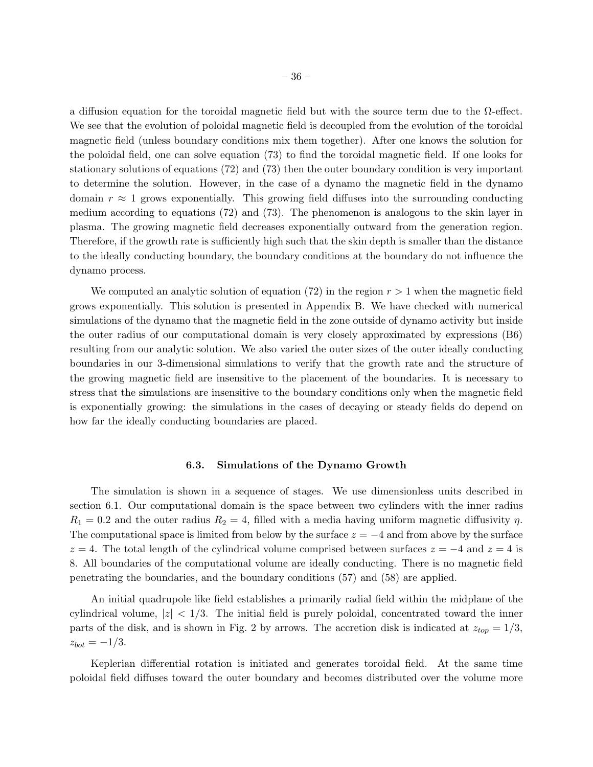a diffusion equation for the toroidal magnetic field but with the source term due to the  $\Omega$ -effect. We see that the evolution of poloidal magnetic field is decoupled from the evolution of the toroidal magnetic field (unless boundary conditions mix them together). After one knows the solution for the poloidal field, one can solve equation (73) to find the toroidal magnetic field. If one looks for stationary solutions of equations (72) and (73) then the outer boundary condition is very important to determine the solution. However, in the case of a dynamo the magnetic field in the dynamo domain  $r \approx 1$  grows exponentially. This growing field diffuses into the surrounding conducting medium according to equations (72) and (73). The phenomenon is analogous to the skin layer in plasma. The growing magnetic field decreases exponentially outward from the generation region. Therefore, if the growth rate is sufficiently high such that the skin depth is smaller than the distance to the ideally conducting boundary, the boundary conditions at the boundary do not influence the

We computed an analytic solution of equation (72) in the region  $r > 1$  when the magnetic field grows exponentially. This solution is presented in Appendix B. We have checked with numerical simulations of the dynamo that the magnetic field in the zone outside of dynamo activity but inside the outer radius of our computational domain is very closely approximated by expressions (B6) resulting from our analytic solution. We also varied the outer sizes of the outer ideally conducting boundaries in our 3-dimensional simulations to verify that the growth rate and the structure of the growing magnetic field are insensitive to the placement of the boundaries. It is necessary to stress that the simulations are insensitive to the boundary conditions only when the magnetic field is exponentially growing: the simulations in the cases of decaying or steady fields do depend on how far the ideally conducting boundaries are placed.

dynamo process.

#### 6.3. Simulations of the Dynamo Growth

The simulation is shown in a sequence of stages. We use dimensionless units described in section 6.1. Our computational domain is the space between two cylinders with the inner radius  $R_1 = 0.2$  and the outer radius  $R_2 = 4$ , filled with a media having uniform magnetic diffusivity  $\eta$ . The computational space is limited from below by the surface  $z = -4$  and from above by the surface  $z = 4$ . The total length of the cylindrical volume comprised between surfaces  $z = -4$  and  $z = 4$  is 8. All boundaries of the computational volume are ideally conducting. There is no magnetic field penetrating the boundaries, and the boundary conditions (57) and (58) are applied.

An initial quadrupole like field establishes a primarily radial field within the midplane of the cylindrical volume,  $|z| < 1/3$ . The initial field is purely poloidal, concentrated toward the inner parts of the disk, and is shown in Fig. 2 by arrows. The accretion disk is indicated at  $z_{top} = 1/3$ ,  $z_{bot} = -1/3$ .

Keplerian differential rotation is initiated and generates toroidal field. At the same time poloidal field diffuses toward the outer boundary and becomes distributed over the volume more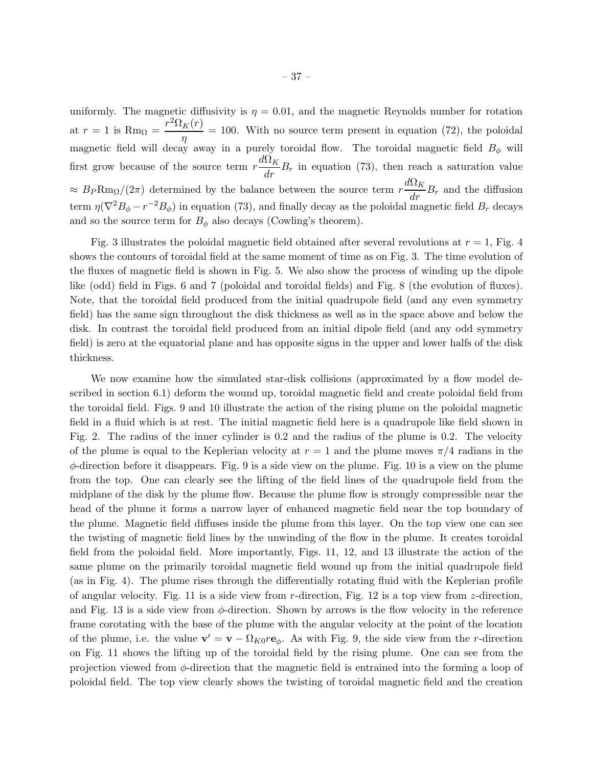uniformly. The magnetic diffusivity is  $\eta = 0.01$ , and the magnetic Reynolds number for rotation at  $r = 1$  is  $\text{Rm}_{\Omega} = \frac{r^2 \Omega_K(r)}{r^2}$  $\frac{R(V)}{\eta} = 100$ . With no source term present in equation (72), the poloidal magnetic field will decay away in a purely toroidal flow. The toroidal magnetic field  $B_{\phi}$  will first grow because of the source term  $r \frac{d\Omega_K}{dr} B_r$  in equation (73), then reach a saturation value  $\approx B_P \text{Rm}_{\Omega}/(2\pi)$  determined by the balance between the source term  $r \frac{d\Omega_K}{dr} B_r$  and the diffusion term  $\eta(\nabla^2 B_{\phi} - r^{-2}B_{\phi})$  in equation (73), and finally decay as the poloidal magnetic field  $B_r$  decays and so the source term for  $B_{\phi}$  also decays (Cowling's theorem).

Fig. 3 illustrates the poloidal magnetic field obtained after several revolutions at  $r = 1$ , Fig. 4 shows the contours of toroidal field at the same moment of time as on Fig. 3. The time evolution of the fluxes of magnetic field is shown in Fig. 5. We also show the process of winding up the dipole like (odd) field in Figs. 6 and 7 (poloidal and toroidal fields) and Fig. 8 (the evolution of fluxes). Note, that the toroidal field produced from the initial quadrupole field (and any even symmetry field) has the same sign throughout the disk thickness as well as in the space above and below the disk. In contrast the toroidal field produced from an initial dipole field (and any odd symmetry field) is zero at the equatorial plane and has opposite signs in the upper and lower halfs of the disk thickness.

We now examine how the simulated star-disk collisions (approximated by a flow model described in section 6.1) deform the wound up, toroidal magnetic field and create poloidal field from the toroidal field. Figs. 9 and 10 illustrate the action of the rising plume on the poloidal magnetic field in a fluid which is at rest. The initial magnetic field here is a quadrupole like field shown in Fig. 2. The radius of the inner cylinder is 0.2 and the radius of the plume is 0.2. The velocity of the plume is equal to the Keplerian velocity at  $r = 1$  and the plume moves  $\pi/4$  radians in the  $\phi$ -direction before it disappears. Fig. 9 is a side view on the plume. Fig. 10 is a view on the plume from the top. One can clearly see the lifting of the field lines of the quadrupole field from the midplane of the disk by the plume flow. Because the plume flow is strongly compressible near the head of the plume it forms a narrow layer of enhanced magnetic field near the top boundary of the plume. Magnetic field diffuses inside the plume from this layer. On the top view one can see the twisting of magnetic field lines by the unwinding of the flow in the plume. It creates toroidal field from the poloidal field. More importantly, Figs. 11, 12, and 13 illustrate the action of the same plume on the primarily toroidal magnetic field wound up from the initial quadrupole field (as in Fig. 4). The plume rises through the differentially rotating fluid with the Keplerian profile of angular velocity. Fig. 11 is a side view from r-direction, Fig. 12 is a top view from z-direction, and Fig. 13 is a side view from  $\phi$ -direction. Shown by arrows is the flow velocity in the reference frame corotating with the base of the plume with the angular velocity at the point of the location of the plume, i.e. the value  $\mathbf{v}' = \mathbf{v} - \Omega_{K0} r \mathbf{e}_{\phi}$ . As with Fig. 9, the side view from the r-direction on Fig. 11 shows the lifting up of the toroidal field by the rising plume. One can see from the projection viewed from  $\phi$ -direction that the magnetic field is entrained into the forming a loop of poloidal field. The top view clearly shows the twisting of toroidal magnetic field and the creation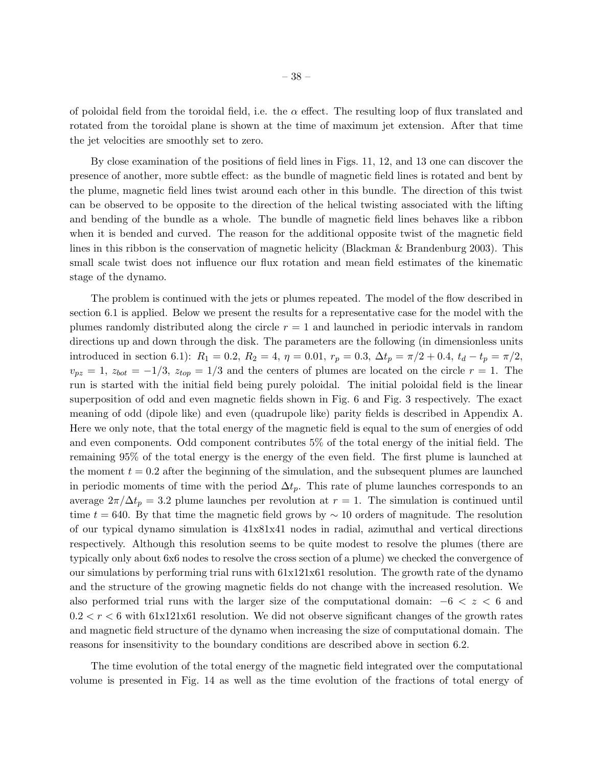of poloidal field from the toroidal field, i.e. the  $\alpha$  effect. The resulting loop of flux translated and rotated from the toroidal plane is shown at the time of maximum jet extension. After that time the jet velocities are smoothly set to zero.

By close examination of the positions of field lines in Figs. 11, 12, and 13 one can discover the presence of another, more subtle effect: as the bundle of magnetic field lines is rotated and bent by the plume, magnetic field lines twist around each other in this bundle. The direction of this twist can be observed to be opposite to the direction of the helical twisting associated with the lifting and bending of the bundle as a whole. The bundle of magnetic field lines behaves like a ribbon when it is bended and curved. The reason for the additional opposite twist of the magnetic field lines in this ribbon is the conservation of magnetic helicity (Blackman & Brandenburg 2003). This small scale twist does not influence our flux rotation and mean field estimates of the kinematic stage of the dynamo.

The problem is continued with the jets or plumes repeated. The model of the flow described in section 6.1 is applied. Below we present the results for a representative case for the model with the plumes randomly distributed along the circle  $r = 1$  and launched in periodic intervals in random directions up and down through the disk. The parameters are the following (in dimensionless units introduced in section 6.1):  $R_1 = 0.2$ ,  $R_2 = 4$ ,  $\eta = 0.01$ ,  $r_p = 0.3$ ,  $\Delta t_p = \pi/2 + 0.4$ ,  $t_d - t_p = \pi/2$ ,  $v_{pz} = 1, z_{bot} = -1/3, z_{top} = 1/3$  and the centers of plumes are located on the circle  $r = 1$ . The run is started with the initial field being purely poloidal. The initial poloidal field is the linear superposition of odd and even magnetic fields shown in Fig. 6 and Fig. 3 respectively. The exact meaning of odd (dipole like) and even (quadrupole like) parity fields is described in Appendix A. Here we only note, that the total energy of the magnetic field is equal to the sum of energies of odd and even components. Odd component contributes 5% of the total energy of the initial field. The remaining 95% of the total energy is the energy of the even field. The first plume is launched at the moment  $t = 0.2$  after the beginning of the simulation, and the subsequent plumes are launched in periodic moments of time with the period  $\Delta t_p$ . This rate of plume launches corresponds to an average  $2\pi/\Delta t_p = 3.2$  plume launches per revolution at  $r = 1$ . The simulation is continued until time  $t = 640$ . By that time the magnetic field grows by  $\sim 10$  orders of magnitude. The resolution of our typical dynamo simulation is 41x81x41 nodes in radial, azimuthal and vertical directions respectively. Although this resolution seems to be quite modest to resolve the plumes (there are typically only about 6x6 nodes to resolve the cross section of a plume) we checked the convergence of our simulations by performing trial runs with 61x121x61 resolution. The growth rate of the dynamo and the structure of the growing magnetic fields do not change with the increased resolution. We also performed trial runs with the larger size of the computational domain:  $-6 < z < 6$  and  $0.2 < r < 6$  with 61x121x61 resolution. We did not observe significant changes of the growth rates and magnetic field structure of the dynamo when increasing the size of computational domain. The reasons for insensitivity to the boundary conditions are described above in section 6.2.

The time evolution of the total energy of the magnetic field integrated over the computational volume is presented in Fig. 14 as well as the time evolution of the fractions of total energy of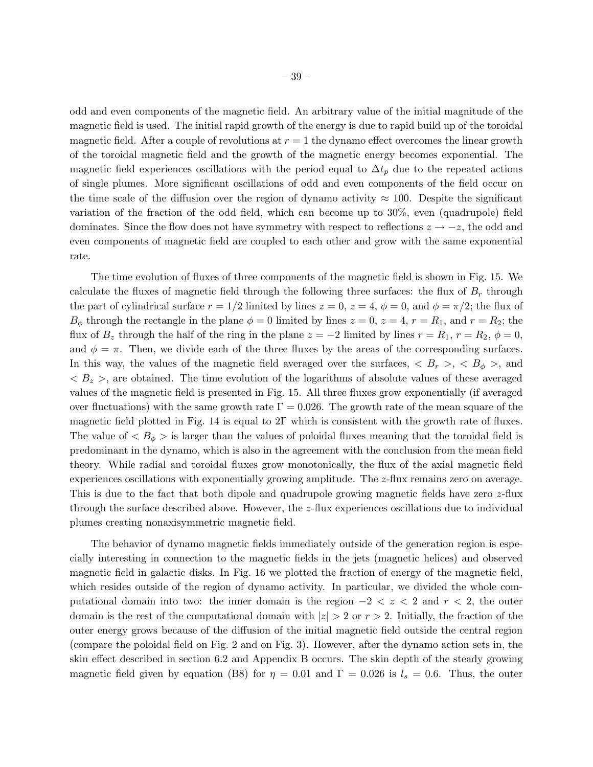odd and even components of the magnetic field. An arbitrary value of the initial magnitude of the magnetic field is used. The initial rapid growth of the energy is due to rapid build up of the toroidal magnetic field. After a couple of revolutions at  $r = 1$  the dynamo effect overcomes the linear growth of the toroidal magnetic field and the growth of the magnetic energy becomes exponential. The magnetic field experiences oscillations with the period equal to  $\Delta t_p$  due to the repeated actions of single plumes. More significant oscillations of odd and even components of the field occur on the time scale of the diffusion over the region of dynamo activity  $\approx 100$ . Despite the significant variation of the fraction of the odd field, which can become up to 30%, even (quadrupole) field dominates. Since the flow does not have symmetry with respect to reflections  $z \rightarrow -z$ , the odd and even components of magnetic field are coupled to each other and grow with the same exponential rate.

The time evolution of fluxes of three components of the magnetic field is shown in Fig. 15. We calculate the fluxes of magnetic field through the following three surfaces: the flux of  $B_r$  through the part of cylindrical surface  $r = 1/2$  limited by lines  $z = 0$ ,  $z = 4$ ,  $\phi = 0$ , and  $\phi = \pi/2$ ; the flux of  $B_{\phi}$  through the rectangle in the plane  $\phi = 0$  limited by lines  $z = 0$ ,  $z = 4$ ,  $r = R_1$ , and  $r = R_2$ ; the flux of  $B_z$  through the half of the ring in the plane  $z = -2$  limited by lines  $r = R_1$ ,  $r = R_2$ ,  $\phi = 0$ , and  $\phi = \pi$ . Then, we divide each of the three fluxes by the areas of the corresponding surfaces. In this way, the values of the magnetic field averaged over the surfaces,  $\langle B_r \rangle$ ,  $\langle B_\phi \rangle$ , and  $\langle B_z \rangle$ , are obtained. The time evolution of the logarithms of absolute values of these averaged values of the magnetic field is presented in Fig. 15. All three fluxes grow exponentially (if averaged over fluctuations) with the same growth rate  $\Gamma = 0.026$ . The growth rate of the mean square of the magnetic field plotted in Fig. 14 is equal to 2Γ which is consistent with the growth rate of fluxes. The value of  $\langle B_{\phi} \rangle$  is larger than the values of poloidal fluxes meaning that the toroidal field is predominant in the dynamo, which is also in the agreement with the conclusion from the mean field theory. While radial and toroidal fluxes grow monotonically, the flux of the axial magnetic field experiences oscillations with exponentially growing amplitude. The z-flux remains zero on average. This is due to the fact that both dipole and quadrupole growing magnetic fields have zero z-flux through the surface described above. However, the z-flux experiences oscillations due to individual plumes creating nonaxisymmetric magnetic field.

The behavior of dynamo magnetic fields immediately outside of the generation region is especially interesting in connection to the magnetic fields in the jets (magnetic helices) and observed magnetic field in galactic disks. In Fig. 16 we plotted the fraction of energy of the magnetic field, which resides outside of the region of dynamo activity. In particular, we divided the whole computational domain into two: the inner domain is the region  $-2 < z < 2$  and  $r < 2$ , the outer domain is the rest of the computational domain with  $|z| > 2$  or  $r > 2$ . Initially, the fraction of the outer energy grows because of the diffusion of the initial magnetic field outside the central region (compare the poloidal field on Fig. 2 and on Fig. 3). However, after the dynamo action sets in, the skin effect described in section 6.2 and Appendix B occurs. The skin depth of the steady growing magnetic field given by equation (B8) for  $\eta = 0.01$  and  $\Gamma = 0.026$  is  $l_s = 0.6$ . Thus, the outer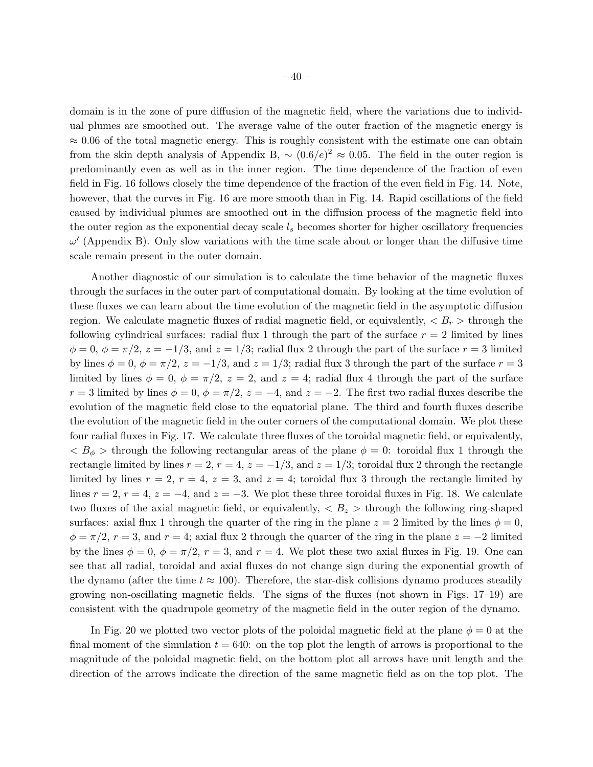domain is in the zone of pure diffusion of the magnetic field, where the variations due to individual plumes are smoothed out. The average value of the outer fraction of the magnetic energy is  $\approx 0.06$  of the total magnetic energy. This is roughly consistent with the estimate one can obtain from the skin depth analysis of Appendix B,  $\sim (0.6/e)^2 \approx 0.05$ . The field in the outer region is predominantly even as well as in the inner region. The time dependence of the fraction of even field in Fig. 16 follows closely the time dependence of the fraction of the even field in Fig. 14. Note, however, that the curves in Fig. 16 are more smooth than in Fig. 14. Rapid oscillations of the field caused by individual plumes are smoothed out in the diffusion process of the magnetic field into the outer region as the exponential decay scale  $l_s$  becomes shorter for higher oscillatory frequencies  $\omega'$  (Appendix B). Only slow variations with the time scale about or longer than the diffusive time scale remain present in the outer domain.

Another diagnostic of our simulation is to calculate the time behavior of the magnetic fluxes through the surfaces in the outer part of computational domain. By looking at the time evolution of these fluxes we can learn about the time evolution of the magnetic field in the asymptotic diffusion region. We calculate magnetic fluxes of radial magnetic field, or equivalently,  $\langle B_r \rangle$  through the following cylindrical surfaces: radial flux 1 through the part of the surface  $r = 2$  limited by lines  $\phi = 0, \, \phi = \pi/2, \, z = -1/3, \, \text{and } z = 1/3; \, \text{radial flux 2 through the part of the surface } r = 3 \, \text{limited}$ by lines  $\phi = 0$ ,  $\phi = \pi/2$ ,  $z = -1/3$ , and  $z = 1/3$ ; radial flux 3 through the part of the surface  $r = 3$ limited by lines  $\phi = 0$ ,  $\phi = \pi/2$ ,  $z = 2$ , and  $z = 4$ ; radial flux 4 through the part of the surface  $r = 3$  limited by lines  $\phi = 0$ ,  $\phi = \pi/2$ ,  $z = -4$ , and  $z = -2$ . The first two radial fluxes describe the evolution of the magnetic field close to the equatorial plane. The third and fourth fluxes describe the evolution of the magnetic field in the outer corners of the computational domain. We plot these four radial fluxes in Fig. 17. We calculate three fluxes of the toroidal magnetic field, or equivalently,  $\langle B_{\phi} \rangle$  through the following rectangular areas of the plane  $\phi = 0$ : toroidal flux 1 through the rectangle limited by lines  $r = 2$ ,  $r = 4$ ,  $z = -1/3$ , and  $z = 1/3$ ; toroidal flux 2 through the rectangle limited by lines  $r = 2$ ,  $r = 4$ ,  $z = 3$ , and  $z = 4$ ; toroidal flux 3 through the rectangle limited by lines  $r = 2$ ,  $r = 4$ ,  $z = -4$ , and  $z = -3$ . We plot these three toroidal fluxes in Fig. 18. We calculate two fluxes of the axial magnetic field, or equivalently,  $\langle B_z \rangle$  through the following ring-shaped surfaces: axial flux 1 through the quarter of the ring in the plane  $z = 2$  limited by the lines  $\phi = 0$ ,  $\phi = \pi/2$ ,  $r = 3$ , and  $r = 4$ ; axial flux 2 through the quarter of the ring in the plane  $z = -2$  limited by the lines  $\phi = 0$ ,  $\phi = \pi/2$ ,  $r = 3$ , and  $r = 4$ . We plot these two axial fluxes in Fig. 19. One can see that all radial, toroidal and axial fluxes do not change sign during the exponential growth of the dynamo (after the time  $t \approx 100$ ). Therefore, the star-disk collisions dynamo produces steadily growing non-oscillating magnetic fields. The signs of the fluxes (not shown in Figs. 17–19) are consistent with the quadrupole geometry of the magnetic field in the outer region of the dynamo.

In Fig. 20 we plotted two vector plots of the poloidal magnetic field at the plane  $\phi = 0$  at the final moment of the simulation  $t = 640$ : on the top plot the length of arrows is proportional to the magnitude of the poloidal magnetic field, on the bottom plot all arrows have unit length and the direction of the arrows indicate the direction of the same magnetic field as on the top plot. The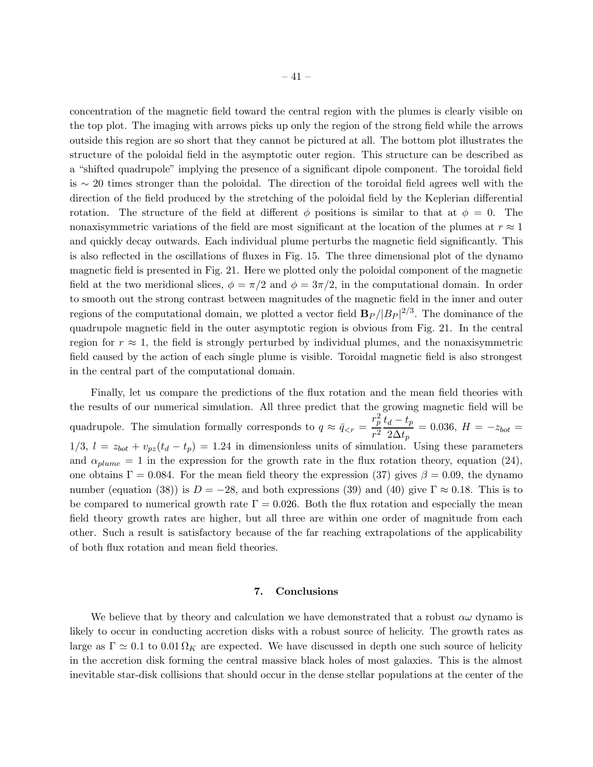concentration of the magnetic field toward the central region with the plumes is clearly visible on the top plot. The imaging with arrows picks up only the region of the strong field while the arrows outside this region are so short that they cannot be pictured at all. The bottom plot illustrates the structure of the poloidal field in the asymptotic outer region. This structure can be described as a "shifted quadrupole" implying the presence of a significant dipole component. The toroidal field is ∼ 20 times stronger than the poloidal. The direction of the toroidal field agrees well with the direction of the field produced by the stretching of the poloidal field by the Keplerian differential rotation. The structure of the field at different  $\phi$  positions is similar to that at  $\phi = 0$ . The nonaxisymmetric variations of the field are most significant at the location of the plumes at  $r \approx 1$ and quickly decay outwards. Each individual plume perturbs the magnetic field significantly. This is also reflected in the oscillations of fluxes in Fig. 15. The three dimensional plot of the dynamo magnetic field is presented in Fig. 21. Here we plotted only the poloidal component of the magnetic field at the two meridional slices,  $\phi = \pi/2$  and  $\phi = 3\pi/2$ , in the computational domain. In order to smooth out the strong contrast between magnitudes of the magnetic field in the inner and outer regions of the computational domain, we plotted a vector field  $B_P / |B_P|^{2/3}$ . The dominance of the quadrupole magnetic field in the outer asymptotic region is obvious from Fig. 21. In the central region for  $r \approx 1$ , the field is strongly perturbed by individual plumes, and the nonaxisymmetric field caused by the action of each single plume is visible. Toroidal magnetic field is also strongest in the central part of the computational domain.

Finally, let us compare the predictions of the flux rotation and the mean field theories with the results of our numerical simulation. All three predict that the growing magnetic field will be quadrupole. The simulation formally corresponds to  $q \approx \bar{q}_{\lt r}$  =  $r_p^2$  $\frac{r_p^2}{r^2}\frac{t_d-t_p}{2\Delta t_p}$  $\frac{a}{2\Delta t_p} = 0.036, H = -z_{bot} =$  $1/3$ ,  $l = z_{bot} + v_{pz}(t_d - t_p) = 1.24$  in dimensionless units of simulation. Using these parameters and  $\alpha_{plume} = 1$  in the expression for the growth rate in the flux rotation theory, equation (24), one obtains  $\Gamma = 0.084$ . For the mean field theory the expression (37) gives  $\beta = 0.09$ , the dynamo number (equation (38)) is  $D = -28$ , and both expressions (39) and (40) give  $\Gamma \approx 0.18$ . This is to be compared to numerical growth rate  $\Gamma = 0.026$ . Both the flux rotation and especially the mean field theory growth rates are higher, but all three are within one order of magnitude from each other. Such a result is satisfactory because of the far reaching extrapolations of the applicability of both flux rotation and mean field theories.

## 7. Conclusions

We believe that by theory and calculation we have demonstrated that a robust  $\alpha\omega$  dynamo is likely to occur in conducting accretion disks with a robust source of helicity. The growth rates as large as  $\Gamma \simeq 0.1$  to  $0.01 \Omega_K$  are expected. We have discussed in depth one such source of helicity in the accretion disk forming the central massive black holes of most galaxies. This is the almost inevitable star-disk collisions that should occur in the dense stellar populations at the center of the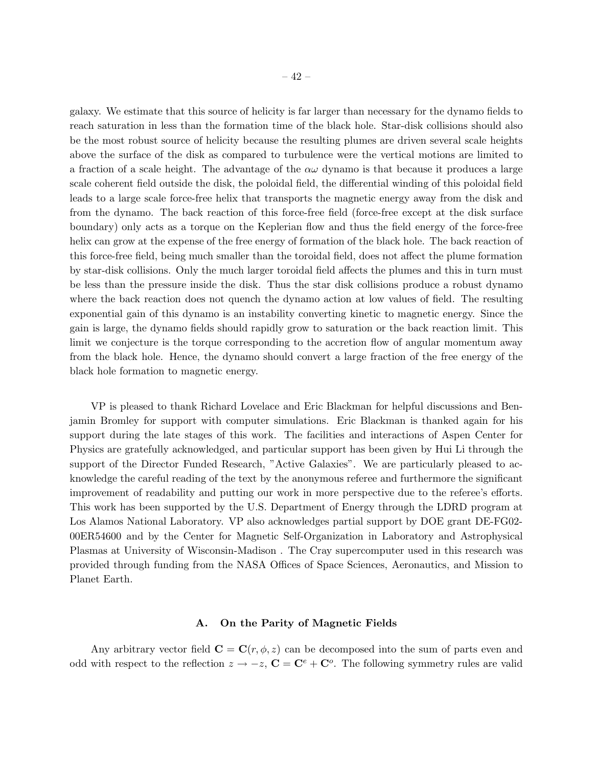galaxy. We estimate that this source of helicity is far larger than necessary for the dynamo fields to reach saturation in less than the formation time of the black hole. Star-disk collisions should also be the most robust source of helicity because the resulting plumes are driven several scale heights above the surface of the disk as compared to turbulence were the vertical motions are limited to a fraction of a scale height. The advantage of the  $\alpha\omega$  dynamo is that because it produces a large scale coherent field outside the disk, the poloidal field, the differential winding of this poloidal field leads to a large scale force-free helix that transports the magnetic energy away from the disk and from the dynamo. The back reaction of this force-free field (force-free except at the disk surface boundary) only acts as a torque on the Keplerian flow and thus the field energy of the force-free helix can grow at the expense of the free energy of formation of the black hole. The back reaction of this force-free field, being much smaller than the toroidal field, does not affect the plume formation by star-disk collisions. Only the much larger toroidal field affects the plumes and this in turn must be less than the pressure inside the disk. Thus the star disk collisions produce a robust dynamo where the back reaction does not quench the dynamo action at low values of field. The resulting exponential gain of this dynamo is an instability converting kinetic to magnetic energy. Since the gain is large, the dynamo fields should rapidly grow to saturation or the back reaction limit. This limit we conjecture is the torque corresponding to the accretion flow of angular momentum away from the black hole. Hence, the dynamo should convert a large fraction of the free energy of the black hole formation to magnetic energy.

VP is pleased to thank Richard Lovelace and Eric Blackman for helpful discussions and Benjamin Bromley for support with computer simulations. Eric Blackman is thanked again for his support during the late stages of this work. The facilities and interactions of Aspen Center for Physics are gratefully acknowledged, and particular support has been given by Hui Li through the support of the Director Funded Research, "Active Galaxies". We are particularly pleased to acknowledge the careful reading of the text by the anonymous referee and furthermore the significant improvement of readability and putting our work in more perspective due to the referee's efforts. This work has been supported by the U.S. Department of Energy through the LDRD program at Los Alamos National Laboratory. VP also acknowledges partial support by DOE grant DE-FG02- 00ER54600 and by the Center for Magnetic Self-Organization in Laboratory and Astrophysical Plasmas at University of Wisconsin-Madison . The Cray supercomputer used in this research was provided through funding from the NASA Offices of Space Sciences, Aeronautics, and Mission to Planet Earth.

#### A. On the Parity of Magnetic Fields

Any arbitrary vector field  $\mathbf{C} = \mathbf{C}(r, \phi, z)$  can be decomposed into the sum of parts even and odd with respect to the reflection  $z \to -z$ ,  $\mathbf{C} = \mathbf{C}^e + \mathbf{C}^o$ . The following symmetry rules are valid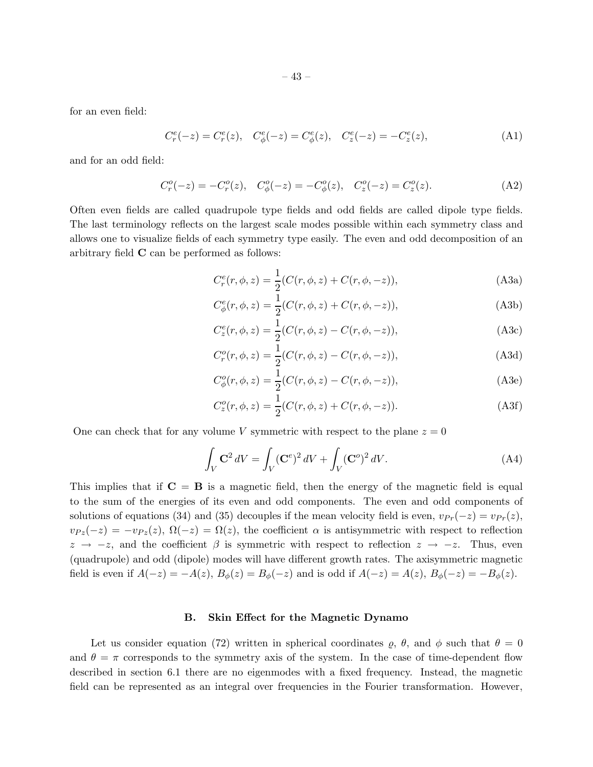for an even field:

$$
C_r^e(-z) = C_r^e(z), \quad C_\phi^e(-z) = C_\phi^e(z), \quad C_z^e(-z) = -C_z^e(z), \tag{A1}
$$

and for an odd field:

$$
C_r^o(-z) = -C_r^o(z), \quad C_\phi^o(-z) = -C_\phi^o(z), \quad C_z^o(-z) = C_z^o(z). \tag{A2}
$$

Often even fields are called quadrupole type fields and odd fields are called dipole type fields. The last terminology reflects on the largest scale modes possible within each symmetry class and allows one to visualize fields of each symmetry type easily. The even and odd decomposition of an arbitrary field C can be performed as follows:

$$
C_r^e(r, \phi, z) = \frac{1}{2} (C(r, \phi, z) + C(r, \phi, -z)),
$$
 (A3a)

$$
C^e_{\phi}(r,\phi,z) = \frac{1}{2}(C(r,\phi,z) + C(r,\phi,-z)),
$$
 (A3b)

$$
C_z^e(r, \phi, z) = \frac{1}{2} (C(r, \phi, z) - C(r, \phi, -z)),
$$
 (A3c)

$$
C_r^o(r, \phi, z) = \frac{1}{2} (C(r, \phi, z) - C(r, \phi, -z)),
$$
\n(A3d)

$$
C^o_{\phi}(r,\phi,z) = \frac{1}{2}(C(r,\phi,z) - C(r,\phi,-z)),
$$
 (A3e)

$$
C_z^o(r, \phi, z) = \frac{1}{2} (C(r, \phi, z) + C(r, \phi, -z)).
$$
 (A3f)

One can check that for any volume V symmetric with respect to the plane  $z = 0$ 

$$
\int_{V} \mathbf{C}^{2} dV = \int_{V} (\mathbf{C}^{e})^{2} dV + \int_{V} (\mathbf{C}^{o})^{2} dV.
$$
\n(A4)

This implies that if  $C = B$  is a magnetic field, then the energy of the magnetic field is equal to the sum of the energies of its even and odd components. The even and odd components of solutions of equations (34) and (35) decouples if the mean velocity field is even,  $v_{Pr}(-z) = v_{Pr}(z)$ ,  $v_{Pz}(-z) = -v_{Pz}(z), \Omega(-z) = \Omega(z)$ , the coefficient  $\alpha$  is antisymmetric with respect to reflection  $z \rightarrow -z$ , and the coefficient  $\beta$  is symmetric with respect to reflection  $z \rightarrow -z$ . Thus, even (quadrupole) and odd (dipole) modes will have different growth rates. The axisymmetric magnetic field is even if  $A(-z) = -A(z)$ ,  $B_{\phi}(z) = B_{\phi}(-z)$  and is odd if  $A(-z) = A(z)$ ,  $B_{\phi}(-z) = -B_{\phi}(z)$ .

## B. Skin Effect for the Magnetic Dynamo

Let us consider equation (72) written in spherical coordinates  $\varrho$ ,  $\theta$ , and  $\phi$  such that  $\theta = 0$ and  $\theta = \pi$  corresponds to the symmetry axis of the system. In the case of time-dependent flow described in section 6.1 there are no eigenmodes with a fixed frequency. Instead, the magnetic field can be represented as an integral over frequencies in the Fourier transformation. However,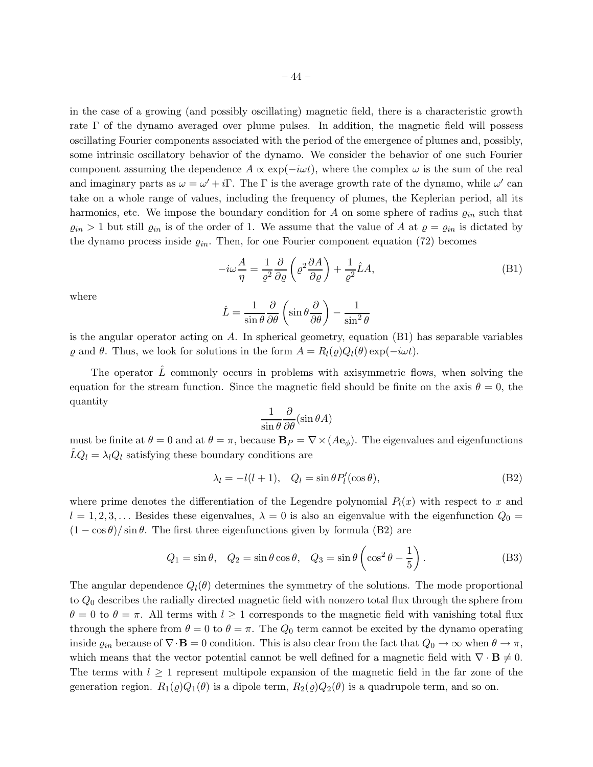in the case of a growing (and possibly oscillating) magnetic field, there is a characteristic growth rate Γ of the dynamo averaged over plume pulses. In addition, the magnetic field will possess oscillating Fourier components associated with the period of the emergence of plumes and, possibly, some intrinsic oscillatory behavior of the dynamo. We consider the behavior of one such Fourier component assuming the dependence  $A \propto \exp(-i\omega t)$ , where the complex  $\omega$  is the sum of the real and imaginary parts as  $\omega = \omega' + i\Gamma$ . The  $\Gamma$  is the average growth rate of the dynamo, while  $\omega'$  can take on a whole range of values, including the frequency of plumes, the Keplerian period, all its harmonics, etc. We impose the boundary condition for A on some sphere of radius  $\varrho_{in}$  such that  $\varrho_{in} > 1$  but still  $\varrho_{in}$  is of the order of 1. We assume that the value of A at  $\varrho = \varrho_{in}$  is dictated by the dynamo process inside  $\varrho_{in}$ . Then, for one Fourier component equation (72) becomes

$$
-i\omega \frac{A}{\eta} = \frac{1}{\varrho^2} \frac{\partial}{\partial \varrho} \left( \varrho^2 \frac{\partial A}{\partial \varrho} \right) + \frac{1}{\varrho^2} \hat{L} A,\tag{B1}
$$

where

$$
\hat{L} = \frac{1}{\sin \theta} \frac{\partial}{\partial \theta} \left( \sin \theta \frac{\partial}{\partial \theta} \right) - \frac{1}{\sin^2 \theta}
$$

is the angular operator acting on A. In spherical geometry, equation (B1) has separable variables  $\varrho$  and  $\theta$ . Thus, we look for solutions in the form  $A = R_l(\varrho)Q_l(\theta) \exp(-i\omega t)$ .

The operator  $\hat{L}$  commonly occurs in problems with axisymmetric flows, when solving the equation for the stream function. Since the magnetic field should be finite on the axis  $\theta = 0$ , the quantity

$$
\frac{1}{\sin \theta} \frac{\partial}{\partial \theta} (\sin \theta A)
$$

must be finite at  $\theta = 0$  and at  $\theta = \pi$ , because  $\mathbf{B}_P = \nabla \times (A \mathbf{e}_{\phi})$ . The eigenvalues and eigenfunctions  $\hat{L}Q_l = \lambda_l Q_l$  satisfying these boundary conditions are

$$
\lambda_l = -l(l+1), \quad Q_l = \sin \theta P'_l(\cos \theta), \tag{B2}
$$

where prime denotes the differentiation of the Legendre polynomial  $P_l(x)$  with respect to x and  $l = 1, 2, 3, \ldots$  Besides these eigenvalues,  $\lambda = 0$  is also an eigenvalue with the eigenfunction  $Q_0 =$  $(1 - \cos \theta)/\sin \theta$ . The first three eigenfunctions given by formula (B2) are

$$
Q_1 = \sin \theta, \quad Q_2 = \sin \theta \cos \theta, \quad Q_3 = \sin \theta \left( \cos^2 \theta - \frac{1}{5} \right). \tag{B3}
$$

The angular dependence  $Q_l(\theta)$  determines the symmetry of the solutions. The mode proportional to  $Q_0$  describes the radially directed magnetic field with nonzero total flux through the sphere from  $\theta = 0$  to  $\theta = \pi$ . All terms with  $l \geq 1$  corresponds to the magnetic field with vanishing total flux through the sphere from  $\theta = 0$  to  $\theta = \pi$ . The  $Q_0$  term cannot be excited by the dynamo operating inside  $\varrho_{in}$  because of  $\nabla \cdot \mathbf{B} = 0$  condition. This is also clear from the fact that  $Q_0 \to \infty$  when  $\theta \to \pi$ , which means that the vector potential cannot be well defined for a magnetic field with  $\nabla \cdot \mathbf{B} \neq 0$ . The terms with  $l \geq 1$  represent multipole expansion of the magnetic field in the far zone of the generation region.  $R_1(\varrho)Q_1(\theta)$  is a dipole term,  $R_2(\varrho)Q_2(\theta)$  is a quadrupole term, and so on.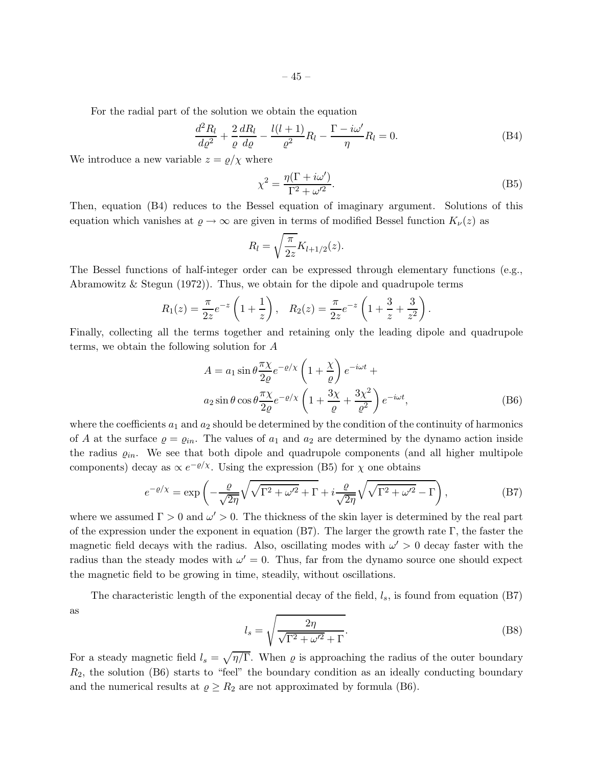For the radial part of the solution we obtain the equation

$$
\frac{d^2R_l}{d\varrho^2} + \frac{2}{\varrho}\frac{dR_l}{d\varrho} - \frac{l(l+1)}{\varrho^2}R_l - \frac{\Gamma - i\omega'}{\eta}R_l = 0.
$$
 (B4)

We introduce a new variable  $z = \rho/\chi$  where

$$
\chi^2 = \frac{\eta(\Gamma + i\omega')}{\Gamma^2 + \omega'^2}.
$$
 (B5)

Then, equation (B4) reduces to the Bessel equation of imaginary argument. Solutions of this equation which vanishes at  $\varrho \to \infty$  are given in terms of modified Bessel function  $K_{\nu}(z)$  as

$$
R_l = \sqrt{\frac{\pi}{2z}} K_{l+1/2}(z).
$$

The Bessel functions of half-integer order can be expressed through elementary functions (e.g., Abramowitz & Stegun (1972)). Thus, we obtain for the dipole and quadrupole terms

$$
R_1(z) = \frac{\pi}{2z}e^{-z}\left(1+\frac{1}{z}\right), \quad R_2(z) = \frac{\pi}{2z}e^{-z}\left(1+\frac{3}{z}+\frac{3}{z^2}\right).
$$

Finally, collecting all the terms together and retaining only the leading dipole and quadrupole terms, we obtain the following solution for A

$$
A = a_1 \sin \theta \frac{\pi \chi}{2\varrho} e^{-\varrho/\chi} \left( 1 + \frac{\chi}{\varrho} \right) e^{-i\omega t} +
$$
  
\n
$$
a_2 \sin \theta \cos \theta \frac{\pi \chi}{2\varrho} e^{-\varrho/\chi} \left( 1 + \frac{3\chi}{\varrho} + \frac{3\chi^2}{\varrho^2} \right) e^{-i\omega t},
$$
 (B6)

where the coefficients  $a_1$  and  $a_2$  should be determined by the condition of the continuity of harmonics of A at the surface  $\varrho = \varrho_{in}$ . The values of  $a_1$  and  $a_2$  are determined by the dynamo action inside the radius  $\varrho_{in}$ . We see that both dipole and quadrupole components (and all higher multipole components) decay as  $\propto e^{-\varrho/\chi}$ . Using the expression (B5) for  $\chi$  one obtains

$$
e^{-\varrho/\chi} = \exp\left(-\frac{\varrho}{\sqrt{2\eta}}\sqrt{\sqrt{\Gamma^2 + \omega'^2} + \Gamma} + i\frac{\varrho}{\sqrt{2\eta}}\sqrt{\sqrt{\Gamma^2 + \omega'^2} - \Gamma}\right),\tag{B7}
$$

where we assumed  $\Gamma > 0$  and  $\omega' > 0$ . The thickness of the skin layer is determined by the real part of the expression under the exponent in equation  $(B7)$ . The larger the growth rate Γ, the faster the magnetic field decays with the radius. Also, oscillating modes with  $\omega' > 0$  decay faster with the radius than the steady modes with  $\omega' = 0$ . Thus, far from the dynamo source one should expect the magnetic field to be growing in time, steadily, without oscillations.

The characteristic length of the exponential decay of the field,  $l_s$ , is found from equation (B7) as

$$
l_s = \sqrt{\frac{2\eta}{\sqrt{\Gamma^2 + \omega'^2} + \Gamma}}.\tag{B8}
$$

For a steady magnetic field  $l_s = \sqrt{\eta/\Gamma}$ . When  $\varrho$  is approaching the radius of the outer boundary  $R_2$ , the solution (B6) starts to "feel" the boundary condition as an ideally conducting boundary and the numerical results at  $\rho \geq R_2$  are not approximated by formula (B6).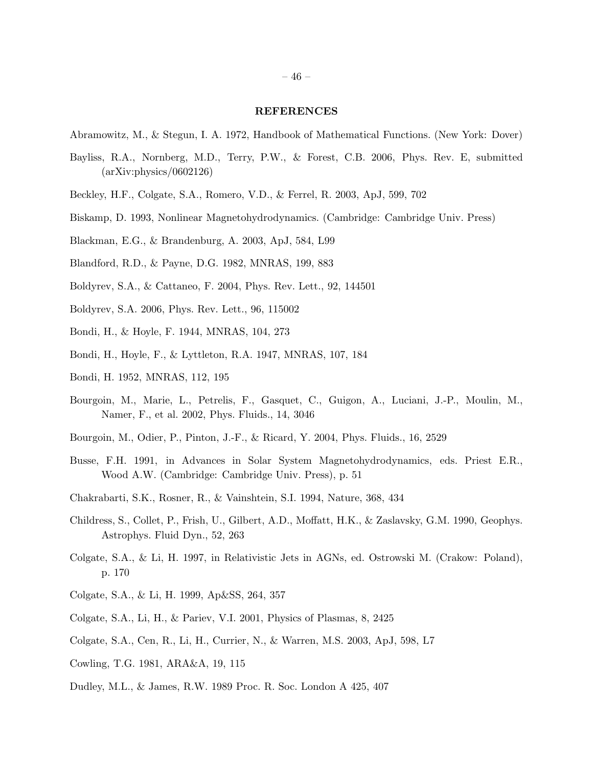#### REFERENCES

- Abramowitz, M., & Stegun, I. A. 1972, Handbook of Mathematical Functions. (New York: Dover)
- Bayliss, R.A., Nornberg, M.D., Terry, P.W., & Forest, C.B. 2006, Phys. Rev. E, submitted (arXiv:physics/0602126)
- Beckley, H.F., Colgate, S.A., Romero, V.D., & Ferrel, R. 2003, ApJ, 599, 702
- Biskamp, D. 1993, Nonlinear Magnetohydrodynamics. (Cambridge: Cambridge Univ. Press)
- Blackman, E.G., & Brandenburg, A. 2003, ApJ, 584, L99
- Blandford, R.D., & Payne, D.G. 1982, MNRAS, 199, 883
- Boldyrev, S.A., & Cattaneo, F. 2004, Phys. Rev. Lett., 92, 144501
- Boldyrev, S.A. 2006, Phys. Rev. Lett., 96, 115002
- Bondi, H., & Hoyle, F. 1944, MNRAS, 104, 273
- Bondi, H., Hoyle, F., & Lyttleton, R.A. 1947, MNRAS, 107, 184
- Bondi, H. 1952, MNRAS, 112, 195
- Bourgoin, M., Marie, L., Petrelis, F., Gasquet, C., Guigon, A., Luciani, J.-P., Moulin, M., Namer, F., et al. 2002, Phys. Fluids., 14, 3046
- Bourgoin, M., Odier, P., Pinton, J.-F., & Ricard, Y. 2004, Phys. Fluids., 16, 2529
- Busse, F.H. 1991, in Advances in Solar System Magnetohydrodynamics, eds. Priest E.R., Wood A.W. (Cambridge: Cambridge Univ. Press), p. 51
- Chakrabarti, S.K., Rosner, R., & Vainshtein, S.I. 1994, Nature, 368, 434
- Childress, S., Collet, P., Frish, U., Gilbert, A.D., Moffatt, H.K., & Zaslavsky, G.M. 1990, Geophys. Astrophys. Fluid Dyn., 52, 263
- Colgate, S.A., & Li, H. 1997, in Relativistic Jets in AGNs, ed. Ostrowski M. (Crakow: Poland), p. 170
- Colgate, S.A., & Li, H. 1999, Ap&SS, 264, 357
- Colgate, S.A., Li, H., & Pariev, V.I. 2001, Physics of Plasmas, 8, 2425
- Colgate, S.A., Cen, R., Li, H., Currier, N., & Warren, M.S. 2003, ApJ, 598, L7
- Cowling, T.G. 1981, ARA&A, 19, 115
- Dudley, M.L., & James, R.W. 1989 Proc. R. Soc. London A 425, 407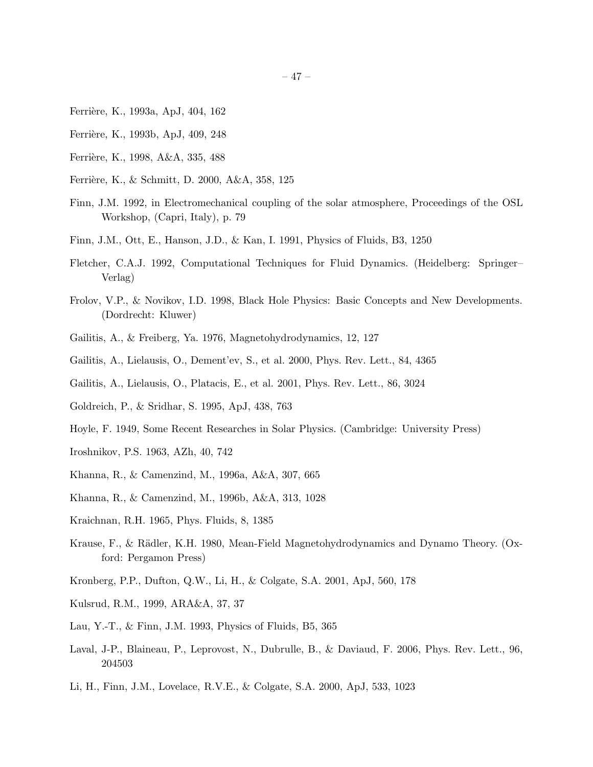- Ferrière, K., 1993a, ApJ, 404, 162
- Ferrière, K., 1993b, ApJ, 409, 248
- Ferrière, K., 1998, A&A, 335, 488
- Ferrière, K., & Schmitt, D. 2000, A&A, 358, 125
- Finn, J.M. 1992, in Electromechanical coupling of the solar atmosphere, Proceedings of the OSL Workshop, (Capri, Italy), p. 79
- Finn, J.M., Ott, E., Hanson, J.D., & Kan, I. 1991, Physics of Fluids, B3, 1250
- Fletcher, C.A.J. 1992, Computational Techniques for Fluid Dynamics. (Heidelberg: Springer– Verlag)
- Frolov, V.P., & Novikov, I.D. 1998, Black Hole Physics: Basic Concepts and New Developments. (Dordrecht: Kluwer)
- Gailitis, A., & Freiberg, Ya. 1976, Magnetohydrodynamics, 12, 127
- Gailitis, A., Lielausis, O., Dement'ev, S., et al. 2000, Phys. Rev. Lett., 84, 4365
- Gailitis, A., Lielausis, O., Platacis, E., et al. 2001, Phys. Rev. Lett., 86, 3024
- Goldreich, P., & Sridhar, S. 1995, ApJ, 438, 763
- Hoyle, F. 1949, Some Recent Researches in Solar Physics. (Cambridge: University Press)
- Iroshnikov, P.S. 1963, AZh, 40, 742
- Khanna, R., & Camenzind, M., 1996a, A&A, 307, 665
- Khanna, R., & Camenzind, M., 1996b, A&A, 313, 1028
- Kraichnan, R.H. 1965, Phys. Fluids, 8, 1385
- Krause, F., & Rädler, K.H. 1980, Mean-Field Magnetohydrodynamics and Dynamo Theory. (Oxford: Pergamon Press)
- Kronberg, P.P., Dufton, Q.W., Li, H., & Colgate, S.A. 2001, ApJ, 560, 178
- Kulsrud, R.M., 1999, ARA&A, 37, 37
- Lau, Y.-T., & Finn, J.M. 1993, Physics of Fluids, B5, 365
- Laval, J-P., Blaineau, P., Leprovost, N., Dubrulle, B., & Daviaud, F. 2006, Phys. Rev. Lett., 96, 204503
- Li, H., Finn, J.M., Lovelace, R.V.E., & Colgate, S.A. 2000, ApJ, 533, 1023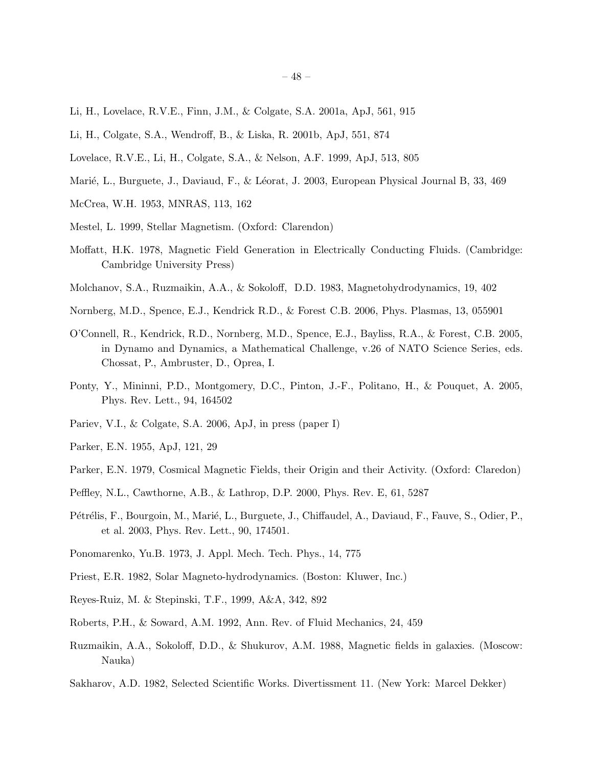- Li, H., Lovelace, R.V.E., Finn, J.M., & Colgate, S.A. 2001a, ApJ, 561, 915
- Li, H., Colgate, S.A., Wendroff, B., & Liska, R. 2001b, ApJ, 551, 874
- Lovelace, R.V.E., Li, H., Colgate, S.A., & Nelson, A.F. 1999, ApJ, 513, 805
- Marié, L., Burguete, J., Daviaud, F., & Léorat, J. 2003, European Physical Journal B, 33, 469
- McCrea, W.H. 1953, MNRAS, 113, 162
- Mestel, L. 1999, Stellar Magnetism. (Oxford: Clarendon)
- Moffatt, H.K. 1978, Magnetic Field Generation in Electrically Conducting Fluids. (Cambridge: Cambridge University Press)
- Molchanov, S.A., Ruzmaikin, A.A., & Sokoloff, D.D. 1983, Magnetohydrodynamics, 19, 402
- Nornberg, M.D., Spence, E.J., Kendrick R.D., & Forest C.B. 2006, Phys. Plasmas, 13, 055901
- O'Connell, R., Kendrick, R.D., Nornberg, M.D., Spence, E.J., Bayliss, R.A., & Forest, C.B. 2005, in Dynamo and Dynamics, a Mathematical Challenge, v.26 of NATO Science Series, eds. Chossat, P., Ambruster, D., Oprea, I.
- Ponty, Y., Mininni, P.D., Montgomery, D.C., Pinton, J.-F., Politano, H., & Pouquet, A. 2005, Phys. Rev. Lett., 94, 164502
- Pariev, V.I., & Colgate, S.A. 2006, ApJ, in press (paper I)
- Parker, E.N. 1955, ApJ, 121, 29
- Parker, E.N. 1979, Cosmical Magnetic Fields, their Origin and their Activity. (Oxford: Claredon)
- Peffley, N.L., Cawthorne, A.B., & Lathrop, D.P. 2000, Phys. Rev. E, 61, 5287
- Pétrélis, F., Bourgoin, M., Marié, L., Burguete, J., Chiffaudel, A., Daviaud, F., Fauve, S., Odier, P., et al. 2003, Phys. Rev. Lett., 90, 174501.
- Ponomarenko, Yu.B. 1973, J. Appl. Mech. Tech. Phys., 14, 775
- Priest, E.R. 1982, Solar Magneto-hydrodynamics. (Boston: Kluwer, Inc.)
- Reyes-Ruiz, M. & Stepinski, T.F., 1999, A&A, 342, 892
- Roberts, P.H., & Soward, A.M. 1992, Ann. Rev. of Fluid Mechanics, 24, 459
- Ruzmaikin, A.A., Sokoloff, D.D., & Shukurov, A.M. 1988, Magnetic fields in galaxies. (Moscow: Nauka)
- Sakharov, A.D. 1982, Selected Scientific Works. Divertissment 11. (New York: Marcel Dekker)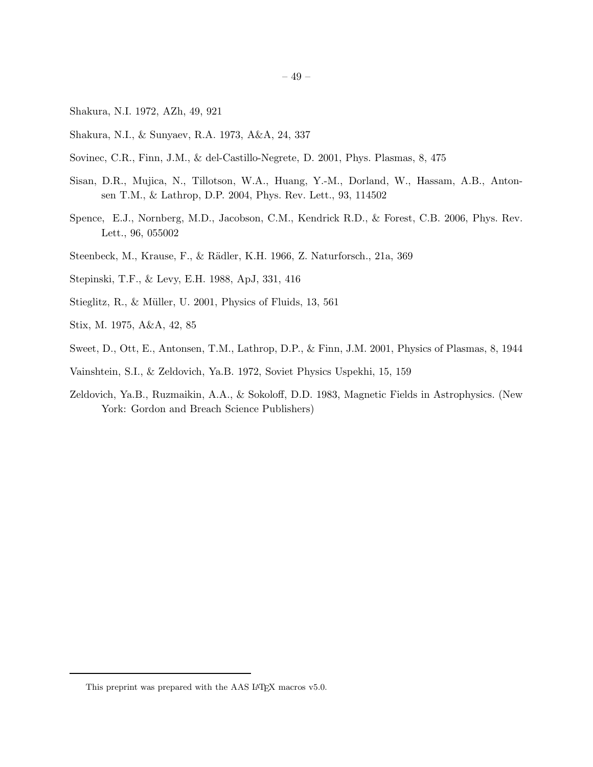- Shakura, N.I. 1972, AZh, 49, 921
- Shakura, N.I., & Sunyaev, R.A. 1973, A&A, 24, 337
- Sovinec, C.R., Finn, J.M., & del-Castillo-Negrete, D. 2001, Phys. Plasmas, 8, 475
- Sisan, D.R., Mujica, N., Tillotson, W.A., Huang, Y.-M., Dorland, W., Hassam, A.B., Antonsen T.M., & Lathrop, D.P. 2004, Phys. Rev. Lett., 93, 114502
- Spence, E.J., Nornberg, M.D., Jacobson, C.M., Kendrick R.D., & Forest, C.B. 2006, Phys. Rev. Lett., 96, 055002
- Steenbeck, M., Krause, F., & R¨adler, K.H. 1966, Z. Naturforsch., 21a, 369
- Stepinski, T.F., & Levy, E.H. 1988, ApJ, 331, 416
- Stieglitz, R., & Müller, U. 2001, Physics of Fluids, 13, 561
- Stix, M. 1975, A&A, 42, 85
- Sweet, D., Ott, E., Antonsen, T.M., Lathrop, D.P., & Finn, J.M. 2001, Physics of Plasmas, 8, 1944
- Vainshtein, S.I., & Zeldovich, Ya.B. 1972, Soviet Physics Uspekhi, 15, 159
- Zeldovich, Ya.B., Ruzmaikin, A.A., & Sokoloff, D.D. 1983, Magnetic Fields in Astrophysics. (New York: Gordon and Breach Science Publishers)

This preprint was prepared with the AAS IATEX macros v5.0.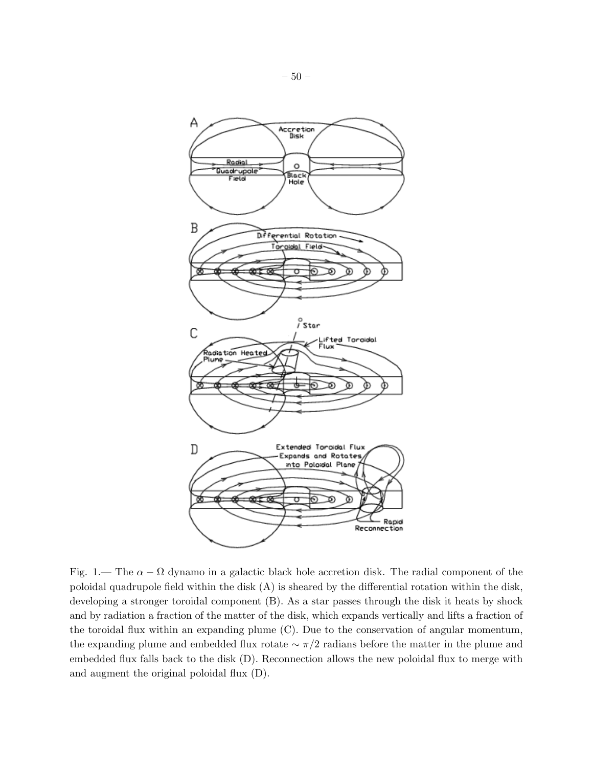

Fig. 1.— The  $\alpha - \Omega$  dynamo in a galactic black hole accretion disk. The radial component of the poloidal quadrupole field within the disk (A) is sheared by the differential rotation within the disk, developing a stronger toroidal component (B). As a star passes through the disk it heats by shock and by radiation a fraction of the matter of the disk, which expands vertically and lifts a fraction of the toroidal flux within an expanding plume (C). Due to the conservation of angular momentum, the expanding plume and embedded flux rotate  $\sim \pi/2$  radians before the matter in the plume and embedded flux falls back to the disk (D). Reconnection allows the new poloidal flux to merge with and augment the original poloidal flux (D).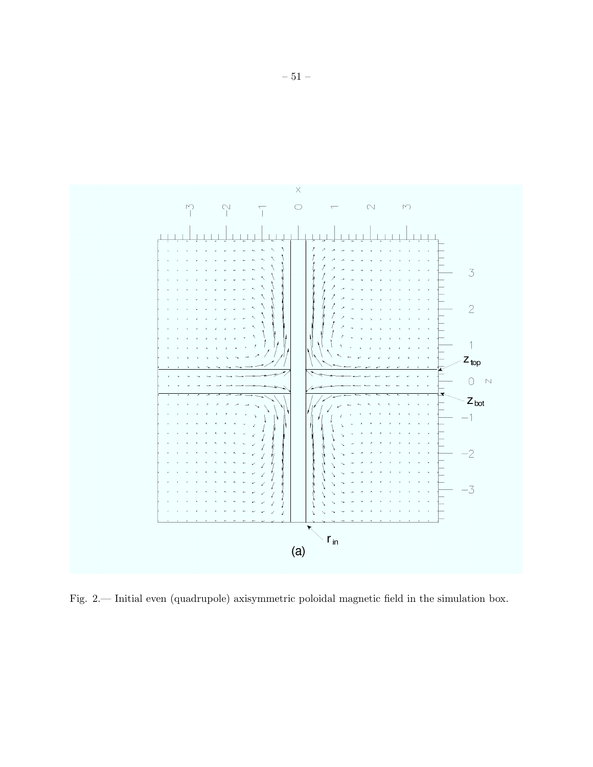

Fig. 2.— Initial even (quadrupole) axisymmetric poloidal magnetic field in the simulation box.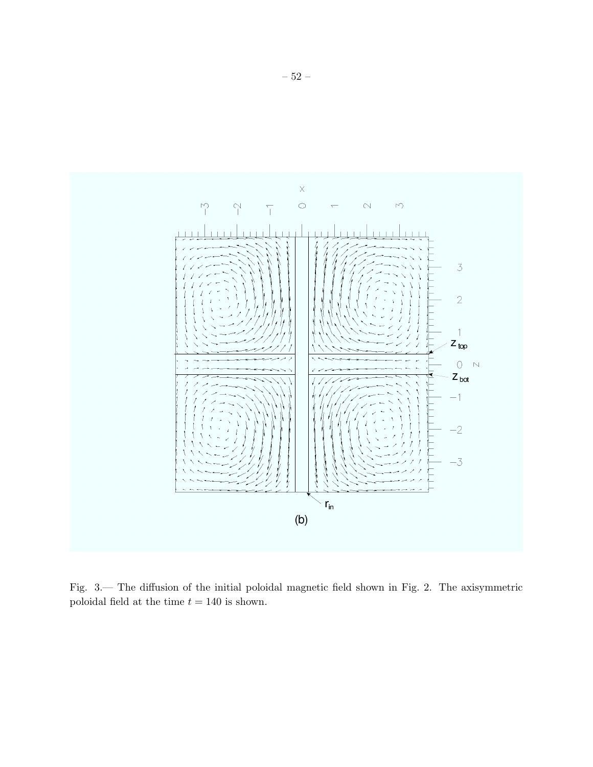

Fig. 3.— The diffusion of the initial poloidal magnetic field shown in Fig. 2. The axisymmetric poloidal field at the time  $t=140$  is shown.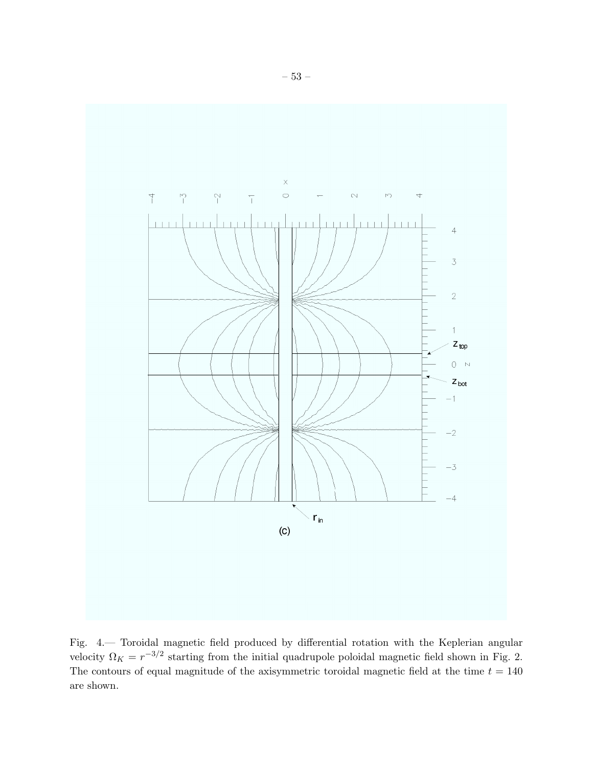

Fig. 4.— Toroidal magnetic field produced by differential rotation with the Keplerian angular velocity  $\Omega_K = r^{-3/2}$  starting from the initial quadrupole poloidal magnetic field shown in Fig. 2. The contours of equal magnitude of the axisymmetric toroidal magnetic field at the time  $t = 140$ are shown.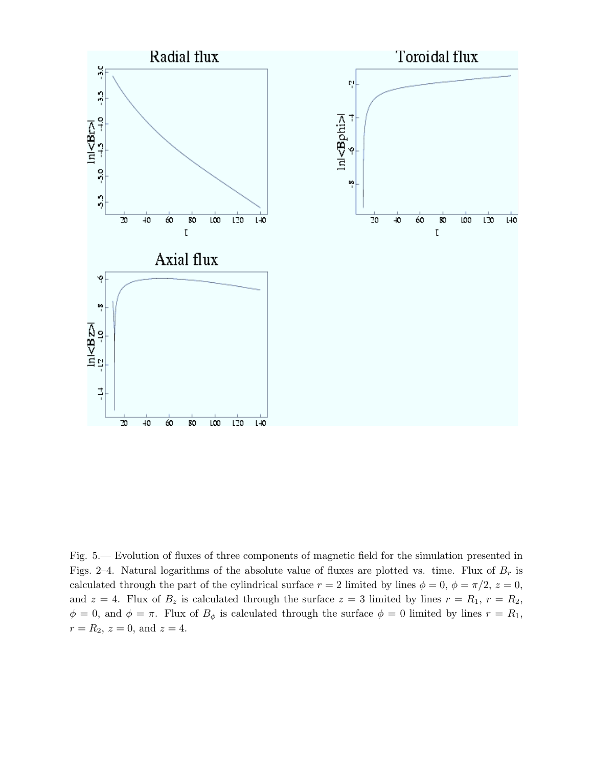

Fig. 5.— Evolution of fluxes of three components of magnetic field for the simulation presented in Figs. 2–4. Natural logarithms of the absolute value of fluxes are plotted vs. time. Flux of  $B_r$  is calculated through the part of the cylindrical surface  $r = 2$  limited by lines  $\phi = 0$ ,  $\phi = \pi/2$ ,  $z = 0$ , and  $z = 4$ . Flux of  $B_z$  is calculated through the surface  $z = 3$  limited by lines  $r = R_1$ ,  $r = R_2$ ,  $\phi = 0$ , and  $\phi = \pi$ . Flux of  $B_{\phi}$  is calculated through the surface  $\phi = 0$  limited by lines  $r = R_1$ ,  $r = R_2, z = 0, \text{ and } z = 4.$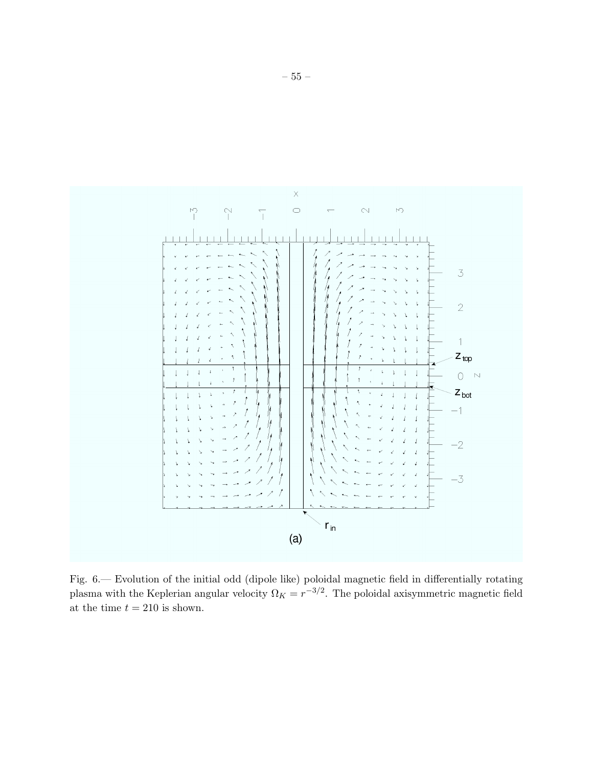

Fig. 6.— Evolution of the initial odd (dipole like) poloidal magnetic field in differentially rotating plasma with the Keplerian angular velocity  $\Omega_K = r^{-3/2}$ . The poloidal axisymmetric magnetic field at the time  $t = 210$  is shown.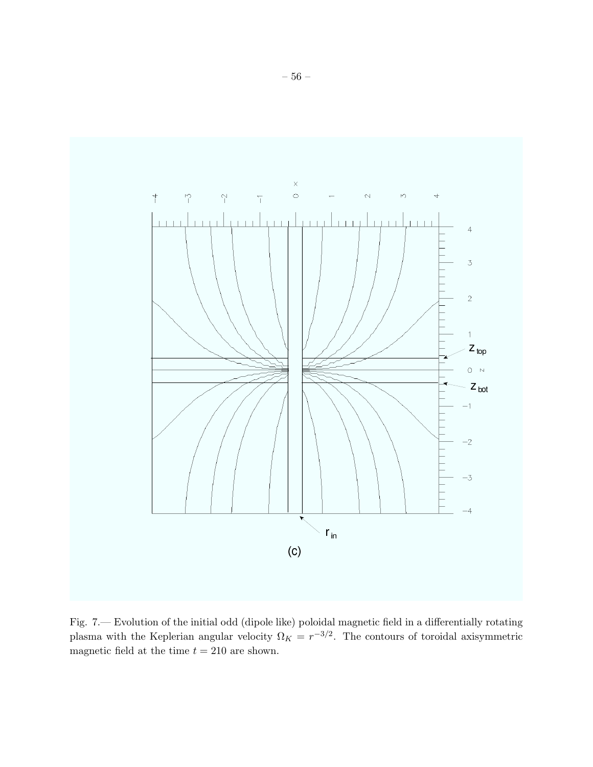

Fig. 7.— Evolution of the initial odd (dipole like) poloidal magnetic field in a differentially rotating plasma with the Keplerian angular velocity  $\Omega_K = r^{-3/2}$ . The contours of toroidal axisymmetric magnetic field at the time  $t = 210$  are shown.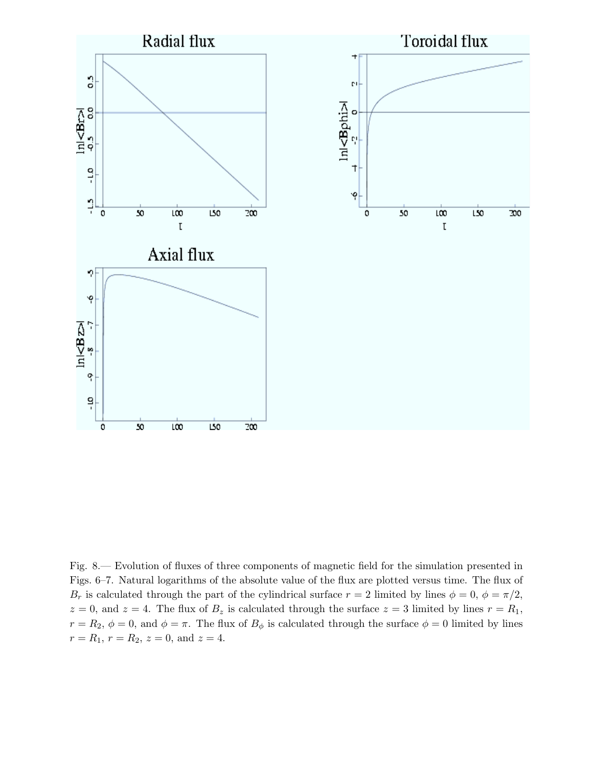

Fig. 8.— Evolution of fluxes of three components of magnetic field for the simulation presented in Figs. 6–7. Natural logarithms of the absolute value of the flux are plotted versus time. The flux of  $B_r$  is calculated through the part of the cylindrical surface  $r = 2$  limited by lines  $\phi = 0$ ,  $\phi = \pi/2$ ,  $z = 0$ , and  $z = 4$ . The flux of  $B_z$  is calculated through the surface  $z = 3$  limited by lines  $r = R_1$ ,  $r = R_2$ ,  $\phi = 0$ , and  $\phi = \pi$ . The flux of  $B_{\phi}$  is calculated through the surface  $\phi = 0$  limited by lines  $r = R_1, r = R_2, z = 0, \text{ and } z = 4.$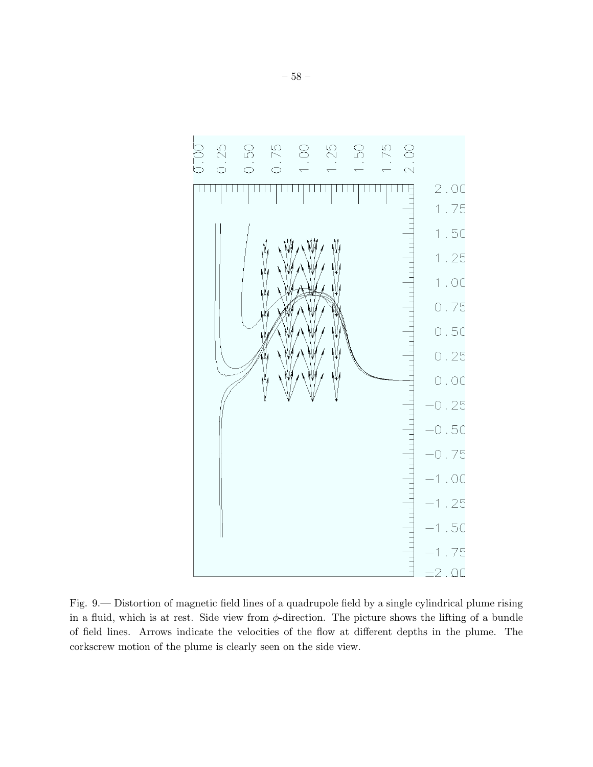

Fig. 9.— Distortion of magnetic field lines of a quadrupole field by a single cylindrical plume rising in a fluid, which is at rest. Side view from  $\phi$ -direction. The picture shows the lifting of a bundle of field lines. Arrows indicate the velocities of the flow at different depths in the plume. The corkscrew motion of the plume is clearly seen on the side view.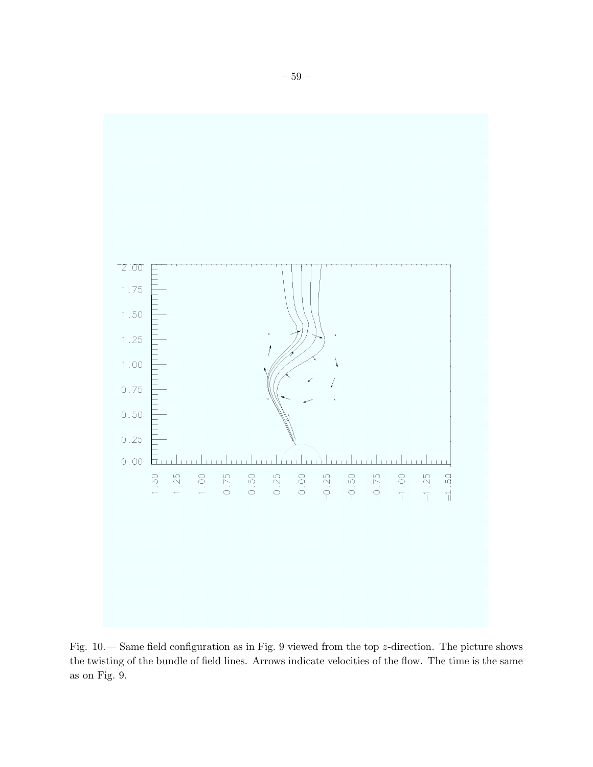

Fig. 10.— Same field configuration as in Fig. 9 viewed from the top z-direction. The picture shows the twisting of the bundle of field lines. Arrows indicate velocities of the flow. The time is the same as on Fig. 9.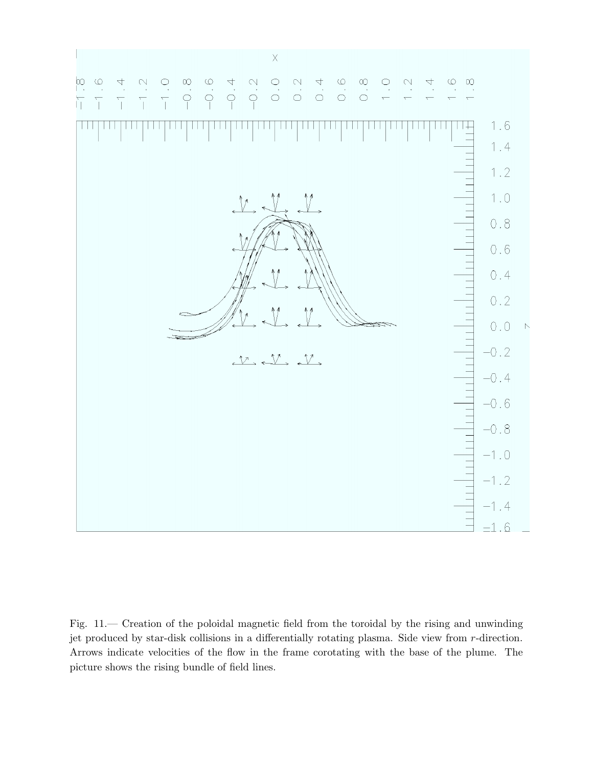

Fig. 11.— Creation of the poloidal magnetic field from the toroidal by the rising and unwinding jet produced by star-disk collisions in a differentially rotating plasma. Side view from r-direction. Arrows indicate velocities of the flow in the frame corotating with the base of the plume. The picture shows the rising bundle of field lines.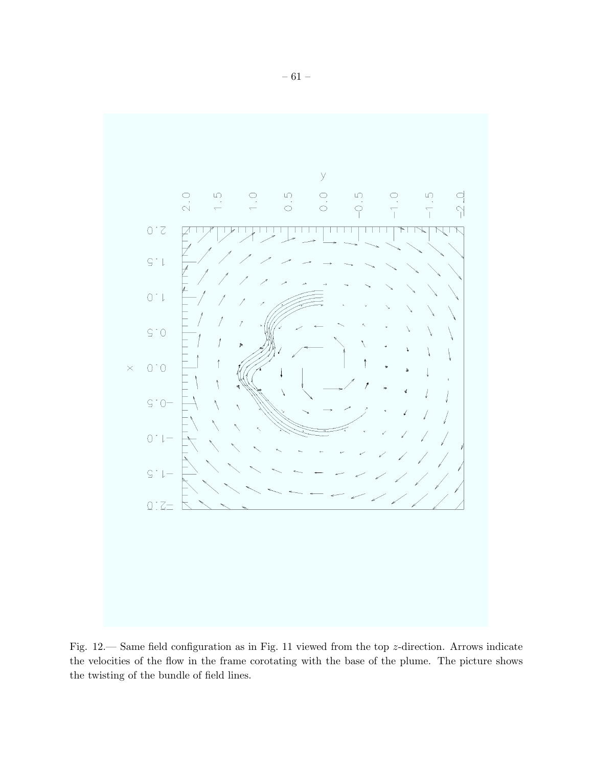

Fig. 12.— Same field configuration as in Fig. 11 viewed from the top z-direction. Arrows indicate the velocities of the flow in the frame corotating with the base of the plume. The picture shows the twisting of the bundle of field lines.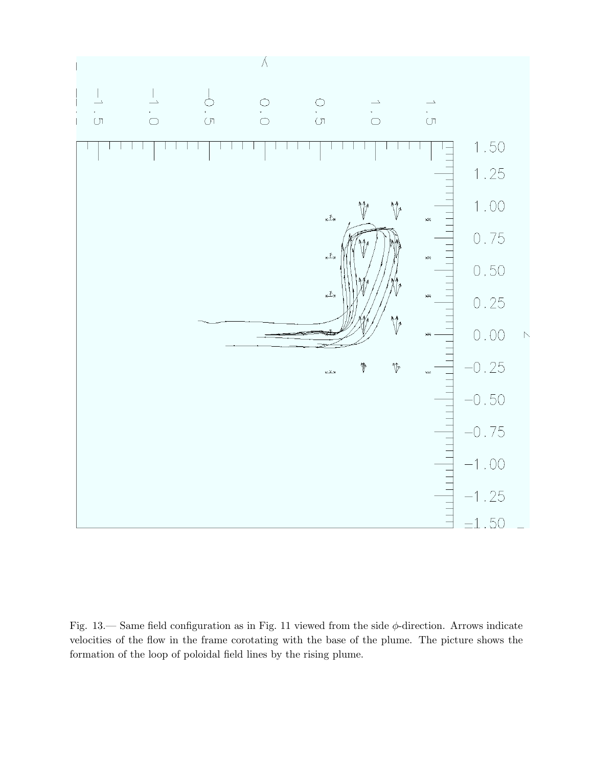

Fig.  $13$ .— Same field configuration as in Fig. 11 viewed from the side  $\phi$ -direction. Arrows indicate velocities of the flow in the frame corotating with the base of the plume. The picture shows the formation of the loop of poloidal field lines by the rising plume.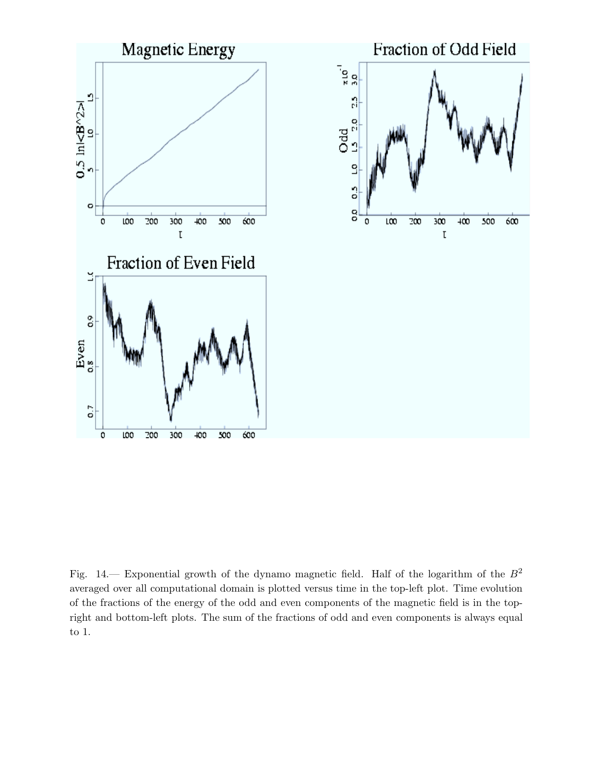

Fig. 14.— Exponential growth of the dynamo magnetic field. Half of the logarithm of the  $B^2$ averaged over all computational domain is plotted versus time in the top-left plot. Time evolution of the fractions of the energy of the odd and even components of the magnetic field is in the topright and bottom-left plots. The sum of the fractions of odd and even components is always equal to 1.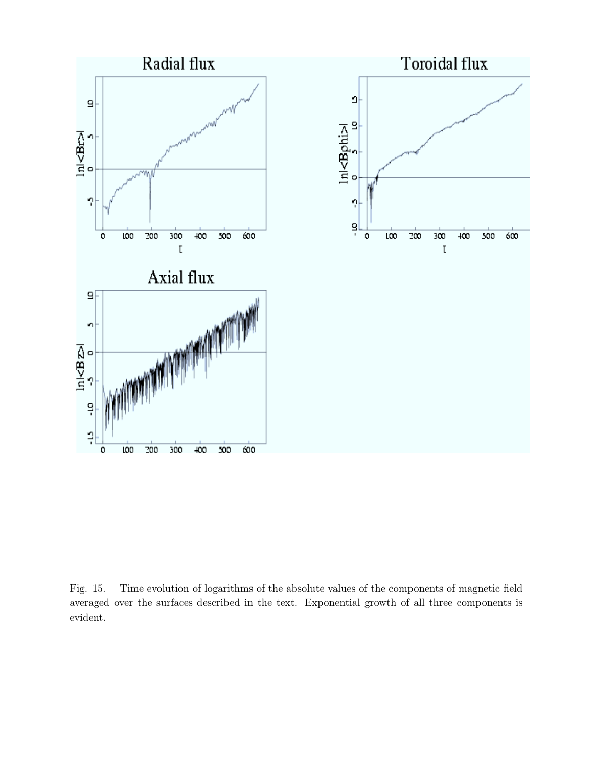

Fig. 15.— Time evolution of logarithms of the absolute values of the components of magnetic field averaged over the surfaces described in the text. Exponential growth of all three components is evident.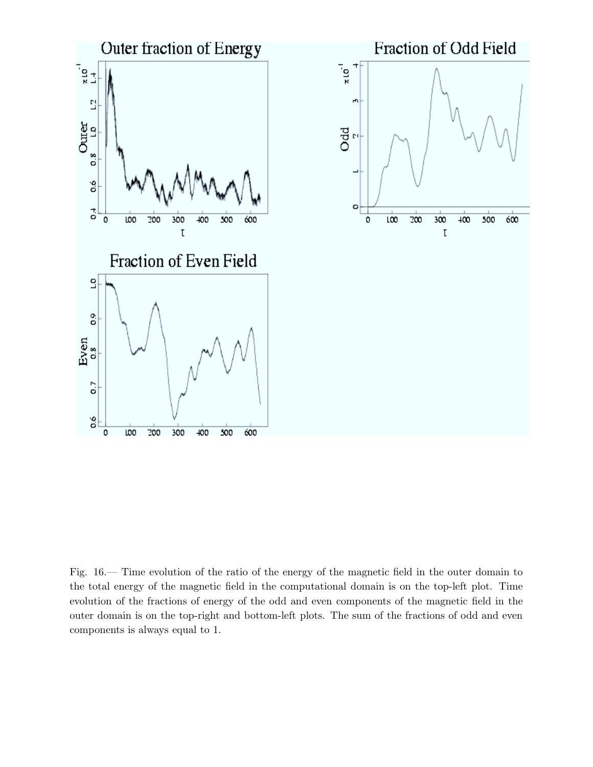

Fig. 16.— Time evolution of the ratio of the energy of the magnetic field in the outer domain to the total energy of the magnetic field in the computational domain is on the top-left plot. Time evolution of the fractions of energy of the odd and even components of the magnetic field in the outer domain is on the top-right and bottom-left plots. The sum of the fractions of odd and even components is always equal to 1.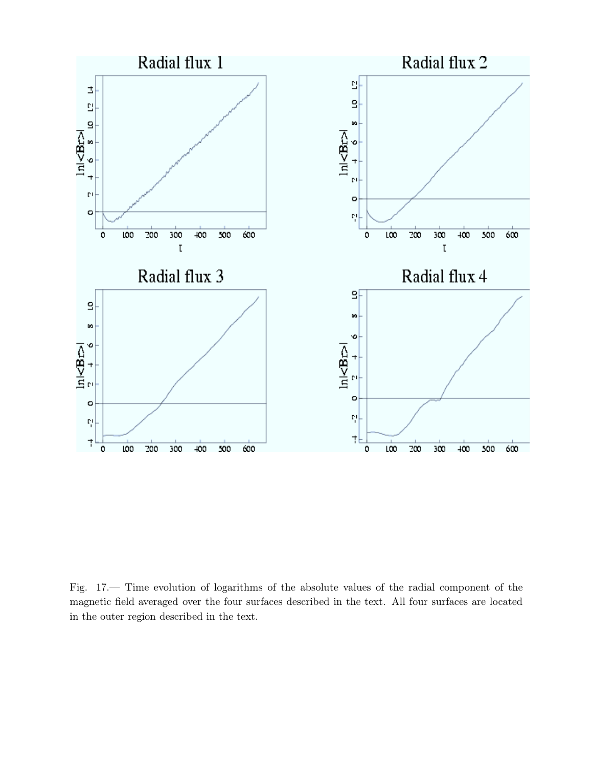

Fig. 17.— Time evolution of logarithms of the absolute values of the radial component of the magnetic field averaged over the four surfaces described in the text. All four surfaces are located in the outer region described in the text.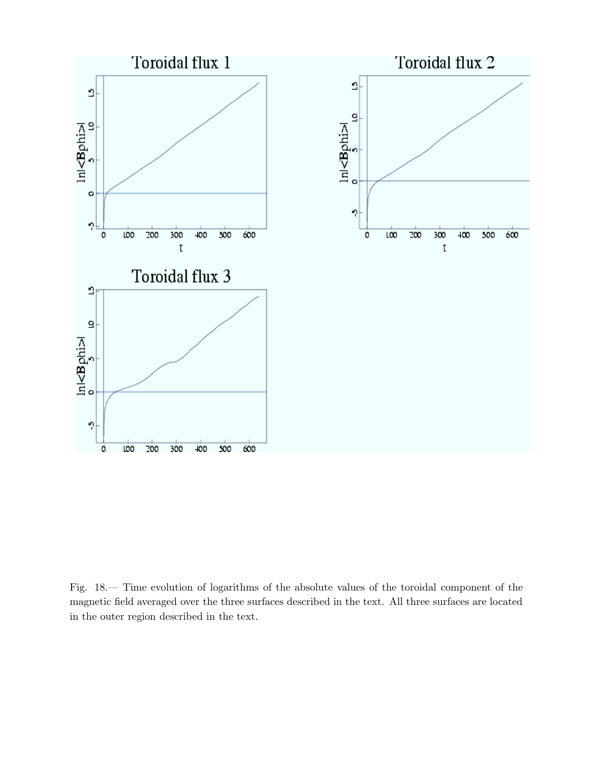

Fig. 18.— Time evolution of logarithms of the absolute values of the toroidal component of the magnetic field averaged over the three surfaces described in the text. All three surfaces are located in the outer region described in the text.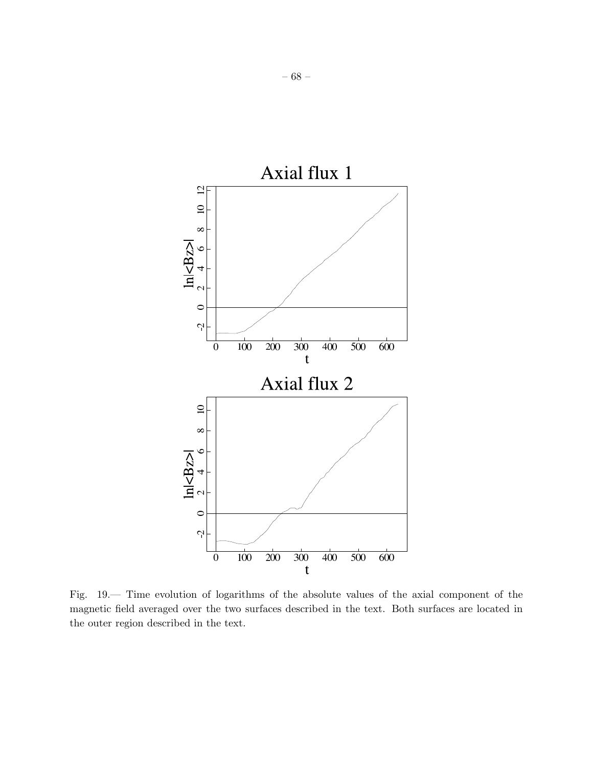

Fig. 19.— Time evolution of logarithms of the absolute values of the axial component of the magnetic field averaged over the two surfaces described in the text. Both surfaces are located in the outer region described in the text.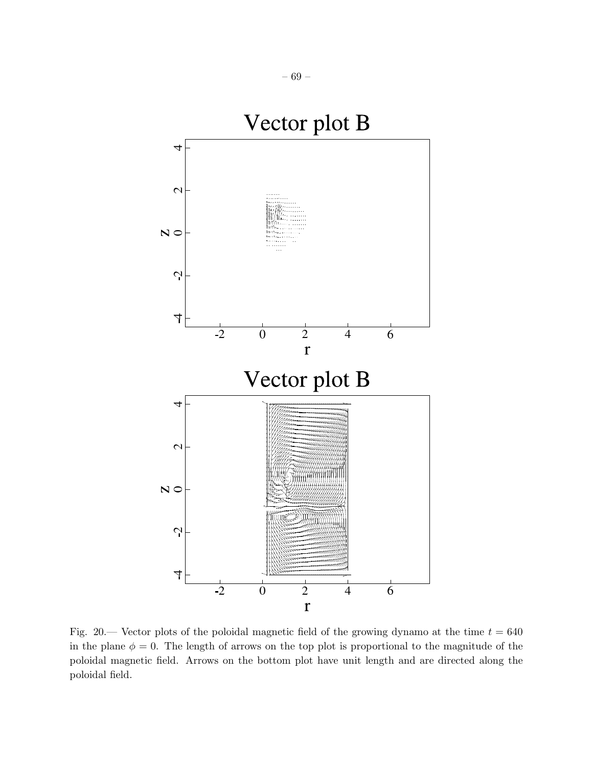

Fig. 20.— Vector plots of the poloidal magnetic field of the growing dynamo at the time  $t = 640$ in the plane  $\phi = 0$ . The length of arrows on the top plot is proportional to the magnitude of the poloidal magnetic field. Arrows on the bottom plot have unit length and are directed along the poloidal field.